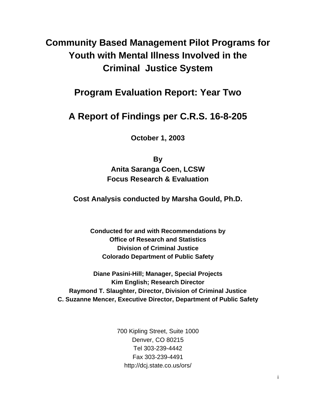# **Community Based Management Pilot Programs for Youth with Mental Illness Involved in the Criminal Justice System**

**Program Evaluation Report: Year Two** 

# **A Report of Findings per C.R.S. 16-8-205**

**October 1, 2003** 

**By** 

**Anita Saranga Coen, LCSW Focus Research & Evaluation** 

**Cost Analysis conducted by Marsha Gould, Ph.D.**

**Conducted for and with Recommendations by Office of Research and Statistics Division of Criminal Justice Colorado Department of Public Safety** 

**Diane Pasini-Hill; Manager, Special Projects Kim English; Research Director Raymond T. Slaughter, Director, Division of Criminal Justice C. Suzanne Mencer, Executive Director, Department of Public Safety**

> 700 Kipling Street, Suite 1000 Denver, CO 80215 Tel 303-239-4442 Fax 303-239-4491 http://dcj.state.co.us/ors/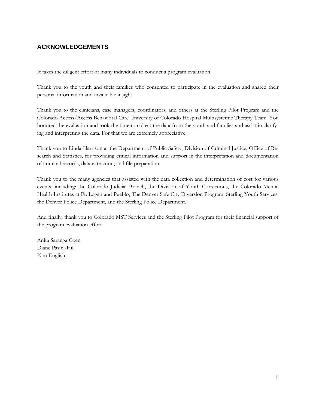# **ACKNOWLEDGEMENTS**

It takes the diligent effort of many individuals to conduct a program evaluation.

Thank you to the youth and their families who consented to participate in the evaluation and shared their personal information and invaluable insight.

Thank you to the clinicians, case managers, coordinators, and others at the Sterling Pilot Program and the Colorado Access/Access Behavioral Care University of Colorado Hospital Multisystemic Therapy Team. You honored the evaluation and took the time to collect the data from the youth and families and assist in clarifying and interpreting the data. For that we are extremely appreciative.

Thank you to Linda Harrison at the Department of Public Safety, Division of Criminal Justice, Office of Research and Statistics, for providing critical information and support in the interpretation and documentation of criminal records, data extraction, and file preparation.

Thank you to the many agencies that assisted with the data collection and determination of cost for various events, including: the Colorado Judicial Branch, the Division of Youth Corrections, the Colorado Mental Health Institutes at Ft. Logan and Pueblo, The Denver Safe City Diversion Program, Sterling Youth Services, the Denver Police Department, and the Sterling Police Department.

And finally, thank you to Colorado MST Services and the Sterling Pilot Program for their financial support of the program evaluation effort.

Anita Saranga Coen Diane Pasini-Hill Kim English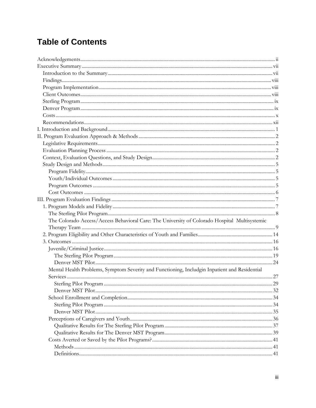# **Table of Contents**

| The Colorado Access/Access Behavioral Care: The University of Colorado Hospital Multisystemic |  |
|-----------------------------------------------------------------------------------------------|--|
|                                                                                               |  |
|                                                                                               |  |
|                                                                                               |  |
|                                                                                               |  |
|                                                                                               |  |
|                                                                                               |  |
| Mental Health Problems, Symptom Severity and Functioning, Includgin Inpatient and Residential |  |
|                                                                                               |  |
|                                                                                               |  |
|                                                                                               |  |
|                                                                                               |  |
|                                                                                               |  |
|                                                                                               |  |
|                                                                                               |  |
|                                                                                               |  |
|                                                                                               |  |
|                                                                                               |  |
|                                                                                               |  |
|                                                                                               |  |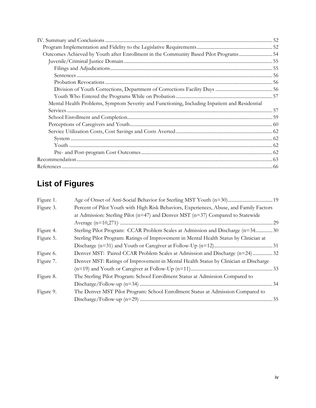| Outcomes Achieved by Youth after Enrollment in the Community Based Pilot Programs54           |  |
|-----------------------------------------------------------------------------------------------|--|
|                                                                                               |  |
|                                                                                               |  |
|                                                                                               |  |
|                                                                                               |  |
|                                                                                               |  |
|                                                                                               |  |
| Mental Health Problems, Symptom Severity and Functioning, Including Inpatient and Residential |  |
|                                                                                               |  |
|                                                                                               |  |
|                                                                                               |  |
|                                                                                               |  |
|                                                                                               |  |
|                                                                                               |  |
|                                                                                               |  |
|                                                                                               |  |
|                                                                                               |  |

# **List of Figures**

| Percent of Pilot Youth with High Risk Behaviors, Experiences, Abuse, and Family Factors<br>Figure 3.<br>at Admission: Sterling Pilot ( $n=47$ ) and Denver MST ( $n=37$ ) Compared to Statewide<br>Sterling Pilot Program: CCAR Problem Scales at Admission and Discharge (n=34,30)<br>Figure 4.<br>Sterling Pilot Program: Ratings of Improvement in Mental Health Status by Clinician at<br>Figure 5.<br>Denver MST: Paired CCAR Problem Scales at Admission and Discharge (n=24)32<br>Figure 6.<br>Denver MST: Ratings of Improvement in Mental Health Status by Clinician at Discharge<br>Figure 7.<br>The Sterling Pilot Program: School Enrollment Status at Admission Compared to<br>Figure 8.<br>The Denver MST Pilot Program: School Enrollment Status at Admission Compared to<br>Figure 9. | Figure 1. |  |  |  |  |
|-------------------------------------------------------------------------------------------------------------------------------------------------------------------------------------------------------------------------------------------------------------------------------------------------------------------------------------------------------------------------------------------------------------------------------------------------------------------------------------------------------------------------------------------------------------------------------------------------------------------------------------------------------------------------------------------------------------------------------------------------------------------------------------------------------|-----------|--|--|--|--|
|                                                                                                                                                                                                                                                                                                                                                                                                                                                                                                                                                                                                                                                                                                                                                                                                       |           |  |  |  |  |
|                                                                                                                                                                                                                                                                                                                                                                                                                                                                                                                                                                                                                                                                                                                                                                                                       |           |  |  |  |  |
|                                                                                                                                                                                                                                                                                                                                                                                                                                                                                                                                                                                                                                                                                                                                                                                                       |           |  |  |  |  |
|                                                                                                                                                                                                                                                                                                                                                                                                                                                                                                                                                                                                                                                                                                                                                                                                       |           |  |  |  |  |
|                                                                                                                                                                                                                                                                                                                                                                                                                                                                                                                                                                                                                                                                                                                                                                                                       |           |  |  |  |  |
|                                                                                                                                                                                                                                                                                                                                                                                                                                                                                                                                                                                                                                                                                                                                                                                                       |           |  |  |  |  |
|                                                                                                                                                                                                                                                                                                                                                                                                                                                                                                                                                                                                                                                                                                                                                                                                       |           |  |  |  |  |
|                                                                                                                                                                                                                                                                                                                                                                                                                                                                                                                                                                                                                                                                                                                                                                                                       |           |  |  |  |  |
|                                                                                                                                                                                                                                                                                                                                                                                                                                                                                                                                                                                                                                                                                                                                                                                                       |           |  |  |  |  |
|                                                                                                                                                                                                                                                                                                                                                                                                                                                                                                                                                                                                                                                                                                                                                                                                       |           |  |  |  |  |
|                                                                                                                                                                                                                                                                                                                                                                                                                                                                                                                                                                                                                                                                                                                                                                                                       |           |  |  |  |  |
|                                                                                                                                                                                                                                                                                                                                                                                                                                                                                                                                                                                                                                                                                                                                                                                                       |           |  |  |  |  |
|                                                                                                                                                                                                                                                                                                                                                                                                                                                                                                                                                                                                                                                                                                                                                                                                       |           |  |  |  |  |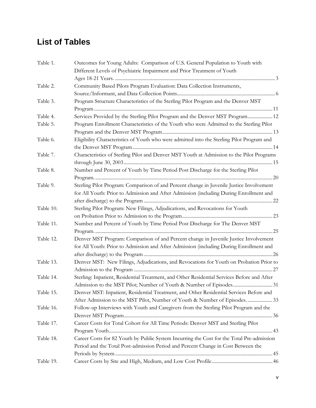# **List of Tables**

| Table 1.  | Outcomes for Young Adults: Comparison of U.S. General Population to Youth with              |
|-----------|---------------------------------------------------------------------------------------------|
|           | Different Levels of Psychiatric Impairment and Prior Treatment of Youth                     |
|           |                                                                                             |
| Table 2.  | Community Based Pilots Program Evaluation: Data Collection Instruments,                     |
|           |                                                                                             |
| Table 3.  | Program Structure Characteristics of the Sterling Pilot Program and the Denver MST          |
|           |                                                                                             |
| Table 4.  | Services Provided by the Sterling Pilot Program and the Denver MST Program 12               |
| Table 5.  | Program Enrollment Characteristics of the Youth who were Admitted to the Sterling Pilot     |
|           |                                                                                             |
| Table 6.  | Eligibility Characteristics of Youth who were admitted into the Sterling Pilot Program and  |
|           |                                                                                             |
| Table 7.  | Characteristics of Sterling Pilot and Denver MST Youth at Admission to the Pilot Programs   |
|           |                                                                                             |
| Table 8.  | Number and Percent of Youth by Time Period Post Discharge for the Sterling Pilot            |
|           |                                                                                             |
| Table 9.  | Sterling Pilot Program: Comparison of and Percent change in Juvenile Justice Involvement    |
|           | for All Youth: Prior to Admission and After Admission (including During Enrollment and      |
|           |                                                                                             |
| Table 10. | Sterling Pilot Program: New Filings, Adjudications, and Revocations for Youth               |
|           |                                                                                             |
| Table 11. | Number and Percent of Youth by Time Period Post Discharge for The Denver MST                |
|           |                                                                                             |
| Table 12. | Denver MST Program: Comparison of and Percent change in Juvenile Justice Involvement        |
|           | for All Youth: Prior to Admission and After Admission (including During Enrollment and      |
|           |                                                                                             |
| Table 13. | Denver MST: New Filings, Adjudications, and Revocations for Youth on Probation Prior to     |
|           |                                                                                             |
| Table 14. | Sterling: Inpatient, Residential Treatment, and Other Residential Services Before and After |
|           |                                                                                             |
| Table 15. | Denver MST: Inpatient, Residential Treatment, and Other Residential Services Before and     |
|           | After Admission to the MST Pilot, Number of Youth & Number of Episodes33                    |
| Table 16. | Follow-up Interviews with Youth and Caregivers from the Sterling Pilot Program and the      |
|           |                                                                                             |
| Table 17. | Career Costs for Total Cohort for All Time Periods: Denver MST and Sterling Pilot           |
|           |                                                                                             |
| Table 18. | Career Costs for 82 Youth by Public System Incurring the Cost for the Total Pre-admission   |
|           | Period and the Total Post-admission Period and Percent Change in Cost Between the           |
|           |                                                                                             |
| Table 19. |                                                                                             |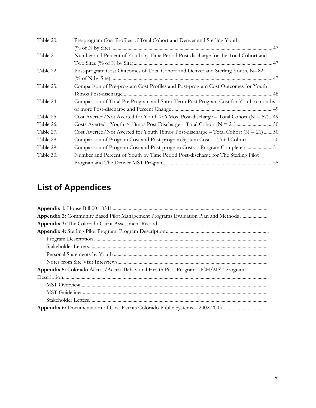| Table 20. | Pre-program Cost Profiles of Total Cohort and Denver and Sterling Youth                    |
|-----------|--------------------------------------------------------------------------------------------|
|           |                                                                                            |
| Table 21. | Number and Percent of Youth by Time Period Post-discharge for the Total Cohort and         |
|           |                                                                                            |
| Table 22. | Post-program Cost Outcomes of Total Cohort and Denver and Sterling Youth, N=82             |
|           |                                                                                            |
| Table 23. | Comparison of Pre-program Cost Profiles and Post-program Cost Outcomes for Youth           |
|           |                                                                                            |
| Table 24. | Comparison of Total Pre Program and Short Term Post Program Cost for Youth 6 months        |
|           |                                                                                            |
| Table 25. | Cost Averted/Not Averted for Youth $> 6$ Mos. Post-discharge – Total Cohort ( $N = 57$ )49 |
| Table 26. |                                                                                            |
| Table 27. | Cost Averted/Not Averted for Youth 18mos Post-discharge - Total Cohort ( $N = 21$ )  50    |
| Table 28. | Comparison of Program Cost and Post-program System Costs - Total Cohort 50                 |
| Table 29. | Comparison of Program Cost and Post-program Costs - Program Completers 51                  |
| Table 30. | Number and Percent of Youth by Time Period Post-discharge for The Sterling Pilot           |
|           |                                                                                            |

# **List of Appendices**

| Appendix 5: Colorado Access/Access Behavioral Health Pilot Program: UCH/MST Program |
|-------------------------------------------------------------------------------------|
|                                                                                     |
|                                                                                     |
|                                                                                     |
|                                                                                     |
|                                                                                     |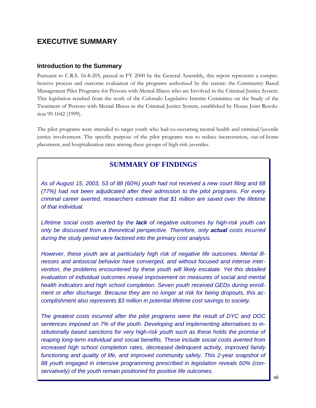# **EXECUTIVE SUMMARY**

#### **Introduction to the Summary**

Pursuant to C.R.S. 16-8-205, passed in FY 2000 by the General Assembly, this report represents a comprehensive process and outcome evaluation of the programs authorized by the statute: the Community Based Management Pilot Programs for Persons with Mental Illness who are Involved in the Criminal Justice System. This legislation resulted from the work of the Colorado Legislative Interim Committee on the Study of the Treatment of Persons with Mental Illness in the Criminal Justice System, established by House Joint Resolution 99-1042 (1999).

The pilot programs were intended to target youth who had co-occurring mental health and criminal/juvenile justice involvement. The specific purpose of the pilot programs was to reduce incarceration, out-of-home placement, and hospitalization rates among these groups of high-risk juveniles.

## **SUMMARY OF FINDINGS**

*As of August 15, 2003, 53 of 88 (60%) youth had not received a new court filing and 68 (77%) had not been adjudicated after their admission to the pilot programs. For every criminal career averted, researchers estimate that \$1 million are saved over the lifetime of that individual.* 

*Lifetime social costs averted by the lack of negative outcomes by high-risk youth can only be discussed from a theoretical perspective. Therefore, only actual costs incurred during the study period were factored into the primary cost analysis.* 

*However, these youth are at particularly high risk of negative life outcomes. Mental illnesses and antisocial behavior have converged, and without focused and intense intervention, the problems encountered by these youth will likely escalate. Yet this detailed evaluation of individual outcomes reveal improvement on measures of social and mental health indicators and high school completion. Seven youth received GEDs during enrollment or after discharge. Because they are no longer at risk for being dropouts, this accomplishment also represents \$3 million in potential lifetime cost savings to society.* 

*The greatest costs incurred after the pilot programs were the result of DYC and DOC sentences imposed on 7% of the youth. Developing and implementing alternatives to institutionally based sanctions for very high-risk youth such as these holds the promise of reaping long-term individual and social benefits. These include social costs averted from increased high school completion rates, decreased delinquent activity, improved family functioning and quality of life, and improved community safety. This 2-year snapshot of 88 youth engaged in intensive programming prescribed in legislation reveals 60% (conservatively) of the youth remain positioned for positive life outcomes.*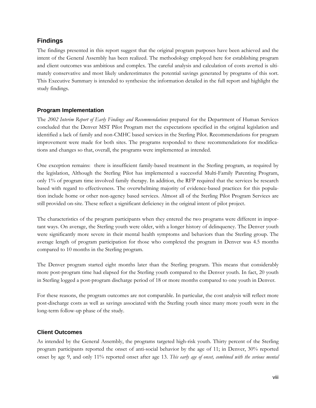## **Findings**

The findings presented in this report suggest that the original program purposes have been achieved and the intent of the General Assembly has been realized. The methodology employed here for establishing program and client outcomes was ambitious and complex. The careful analysis and calculation of costs averted is ultimately conservative and most likely underestimates the potential savings generated by programs of this sort. This Executive Summary is intended to synthesize the information detailed in the full report and highlight the study findings.

### **Program Implementation**

The *2002 Interim Report of Early Findings and Recommendations* prepared for the Department of Human Services concluded that the Denver MST Pilot Program met the expectations specified in the original legislation and identified a lack of family and non-CMHC based services in the Sterling Pilot. Recommendations for program improvement were made for both sites. The programs responded to these recommendations for modifications and changes so that, overall, the programs were implemented as intended.

One exception remains: there is insufficient family-based treatment in the Sterling program, as required by the legislation, Although the Sterling Pilot has implemented a successful Multi-Family Parenting Program, only 1% of program time involved family therapy. In addition, the RFP required that the services be research based with regard to effectiveness. The overwhelming majority of evidence-based practices for this population include home or other non-agency based services. Almost all of the Sterling Pilot Program Services are still provided on-site. These reflect a significant deficiency in the original intent of pilot project.

The characteristics of the program participants when they entered the two programs were different in important ways. On average, the Sterling youth were older, with a longer history of delinquency. The Denver youth were significantly more severe in their mental health symptoms and behaviors than the Sterling group. The average length of program participation for those who completed the program in Denver was 4.5 months compared to 10 months in the Sterling program.

The Denver program started eight months later than the Sterling program. This means that considerably more post-program time had elapsed for the Sterling youth compared to the Denver youth. In fact, 20 youth in Sterling logged a post-program discharge period of 18 or more months compared to one youth in Denver.

For these reasons, the program outcomes are not comparable. In particular, the cost analysis will reflect more post-discharge costs as well as savings associated with the Sterling youth since many more youth were in the long-term follow-up phase of the study.

### **Client Outcomes**

As intended by the General Assembly, the programs targeted high-risk youth. Thirty percent of the Sterling program participants reported the onset of anti-social behavior by the age of 11; in Denver, 30% reported onset by age 9, and only 11% reported onset after age 13. *This early age of onset, combined with the serious mental*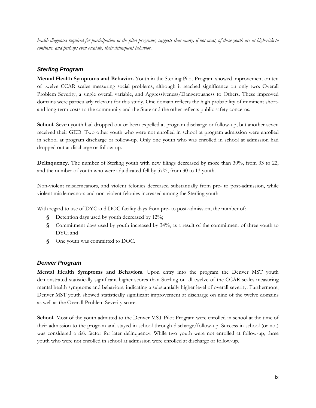*health diagnoses required for participation in the pilot programs, suggests that many, if not most, of these youth are at high-risk to continue, and perhaps even escalate, their delinquent behavior.* 

## *Sterling Program*

**Mental Health Symptoms and Behavior.** Youth in the Sterling Pilot Program showed improvement on ten of twelve CCAR scales measuring social problems, although it reached significance on only two: Overall Problem Severity, a single overall variable, and Aggressiveness/Dangerousness to Others. These improved domains were particularly relevant for this study. One domain reflects the high probability of imminent shortand long-term costs to the community and the State and the other reflects public safety concerns.

**School.** Seven youth had dropped out or been expelled at program discharge or follow-up, but another seven received their GED. Two other youth who were not enrolled in school at program admission were enrolled in school at program discharge or follow-up. Only one youth who was enrolled in school at admission had dropped out at discharge or follow-up.

**Delinquency.** The number of Sterling youth with new filings decreased by more than 30%, from 33 to 22, and the number of youth who were adjudicated fell by 57%, from 30 to 13 youth.

Non-violent misdemeanors, and violent felonies decreased substantially from pre- to post-admission, while violent misdemeanors and non-violent felonies increased among the Sterling youth.

With regard to use of DYC and DOC facility days from pre- to post-admission, the number of:

- **§** Detention days used by youth decreased by 12%;
- **§** Commitment days used by youth increased by 34%, as a result of the commitment of three youth to DYC; and
- **§** One youth was committed to DOC.

### *Denver Program*

**Mental Health Symptoms and Behaviors.** Upon entry into the program the Denver MST youth demonstrated statistically significant higher scores than Sterling on all twelve of the CCAR scales measuring mental health symptoms and behaviors, indicating a substantially higher level of overall severity. Furthermore, Denver MST youth showed statistically significant improvement at discharge on nine of the twelve domains as well as the Overall Problem Severity score.

**School.** Most of the youth admitted to the Denver MST Pilot Program were enrolled in school at the time of their admission to the program and stayed in school through discharge/follow-up. Success in school (or not) was considered a risk factor for later delinquency. While two youth were not enrolled at follow-up, three youth who were not enrolled in school at admission were enrolled at discharge or follow-up.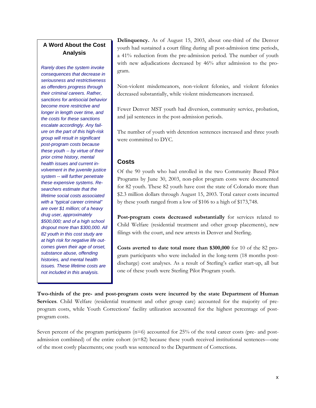# **A Word About the Cost Analysis**

*Rarely does the system invoke consequences that decrease in seriousness and restrictiveness as offenders progress through their criminal careers. Rather, sanctions for antisocial behavior become more restrictive and longer in length over time, and the costs for these sanctions escalate accordingly. Any failure on the part of this high-risk group will result in significant post-program costs because these youth -- by virtue of their prior crime history, mental health issues and current involvement in the juvenile justice system -- will further penetrate these expensive systems. Researchers estimate that the lifetime social costs associated with a "typical career criminal" are over \$1 million; of a heavy drug user, approximately \$500,000; and of a high school dropout more than \$300,000. All 82 youth in this cost study are at high risk for negative life outcomes given their age of onset, substance abuse, offending histories, and mental health issues. These lifetime costs are not included in this analysis.* 

**Delinquency.** As of August 15, 2003, about one-third of the Denver youth had sustained a court filing during all post-admission time periods, a 41% reduction from the pre-admission period. The number of youth with new adjudications decreased by 46% after admission to the program.

Non-violent misdemeanors, non-violent felonies, and violent felonies decreased substantially, while violent misdemeanors increased.

Fewer Denver MST youth had diversion, community service, probation, and jail sentences in the post-admission periods.

The number of youth with detention sentences increased and three youth were committed to DYC.

## **Costs**

Of the 90 youth who had enrolled in the two Community Based Pilot Programs by June 30, 2003, non-pilot program costs were documented for 82 youth. These 82 youth have cost the state of Colorado more than \$2.3 million dollars through August 15, 2003. Total career costs incurred by these youth ranged from a low of \$106 to a high of \$173,748.

**Post-program costs decreased substantially** for services related to Child Welfare (residential treatment and other group placements), new filings with the court, and new arrests in Denver and Sterling.

**Costs averted to date total more than \$300,000** for 10 of the 82 program participants who were included in the long-term (18 months postdischarge) cost analyses. As a result of Sterling's earlier start-up, all but one of these youth were Sterling Pilot Program youth.

**Two-thirds of the pre- and post-program costs were incurred by the state Department of Human Services**. Child Welfare (residential treatment and other group care) accounted for the majority of preprogram costs, while Youth Corrections' facility utilization accounted for the highest percentage of postprogram costs.

Seven percent of the program participants ( $n=6$ ) accounted for 25% of the total career costs (pre- and postadmission combined) of the entire cohort  $(n=82)$  because these youth received institutional sentences—one of the most costly placements; one youth was sentenced to the Department of Corrections.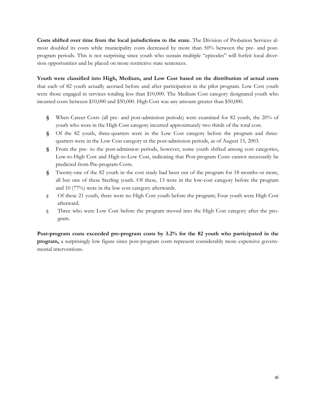**Costs shifted over time from the local jurisdictions to the state.** The Division of Probation Services almost doubled its costs while municipality costs decreased by more than 50% between the pre- and postprogram periods. This is not surprising since youth who sustain multiple "episodes" will forfeit local diversion opportunities and be placed on more restrictive state sentences.

**Youth were classified into High, Medium, and Low Cost based on the distribution of actual costs** that each of 82 youth actually accrued before and after participation in the pilot program. Low Cost youth were those engaged in services totaling less than \$10,000. The Medium Cost category designated youth who incurred costs between \$10,000 and \$50,000. High Cost was any amount greater than \$50,000.

- **§** When Career Costs (all pre- and post-admission periods) were examined for 82 youth, the 20% of youth who were in the High Cost category incurred approximately two thirds of the total cost.
- **§** Of the 82 youth, three-quarters were in the Low Cost category before the program and threequarters were in the Low Cost category in the post-admission periods, as of August 15, 2003.
- **§** From the pre- to the post-admission periods, however, some youth shifted among cost categories, Low-to-High Cost and High-to-Low Cost, indicating that Post-program Costs cannot necessarily be predicted from Pre-program Costs.
- **§** Twenty-one of the 82 youth in the cost study had been out of the program for 18 months or more, all but one of these Sterling youth. Of these, 13 were in the low-cost category before the program and 10 (77%) were in the low cost category afterwards.
- § Of these 21 youth, there were no High Cost youth before the program; Four youth were High Cost afterward.
- § Three who were Low Cost before the program moved into the High Cost category after the program.

**Post-program costs exceeded pre-program costs by 3.2% for the 82 youth who participated in the program,** a surprisingly low figure since post-program costs represent considerably more expensive governmental interventions.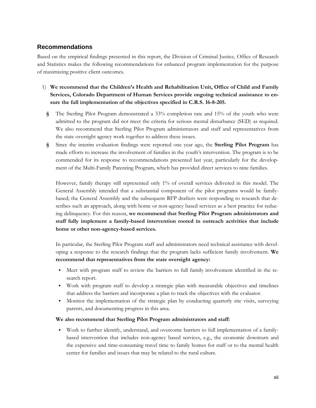## **Recommendations**

Based on the empirical findings presented in this report, the Division of Criminal Justice, Office of Research and Statistics makes the following recommendations for enhanced program implementation for the purpose of maximizing positive client outcomes.

- 1) **We recommend that the Children's Health and Rehabilitation Unit, Office of Child and Family Services, Colorado Department of Human Services provide ongoing technical assistance to ensure the full implementation of the objectives specified in C.R.S. 16-8-205.** 
	- **§** The Sterling Pilot Program demonstrated a 33% completion rate and 15% of the youth who were admitted to the program did not meet the criteria for serious mental disturbance (SED) as required. We also recommend that Sterling Pilot Program administrators and staff and representatives from the state oversight agency work together to address these issues.
	- **§** Since the interim evaluation findings were reported one year ago, the **Sterling Pilot Program** has made efforts to increase the involvement of families in the youth's intervention. The program is to be commended for its response to recommendations presented last year, particularly for the development of the Multi-Family Parenting Program, which has provided direct services to nine families.

However, family therapy still represented only 1% of overall services delivered in this model. The General Assembly intended that a substantial component of the pilot programs would be familybased; the General Assembly and the subsequent RFP drafters were responding to research that describes such an approach, along with home or non-agency based services as a best practice for reducing delinquency. For this reason, **we recommend that Sterling Pilot Program administrators and staff fully implement a family-based intervention rooted in outreach activities that include home or other non-agency-based services.** 

In particular, the Sterling Pilot Program staff and administrators need technical assistance with developing a response to the research findings that the program lacks sufficient family involvement. **We recommend that representatives from the state oversight agency:**

- Meet with program staff to review the barriers to full family involvement identified in the research report.
- Work with program staff to develop a strategic plan with measurable objectives and timelines that address the barriers and incorporate a plan to track the objectives with the evaluator.
- Monitor the implementation of the strategic plan by conducting quarterly site visits, surveying parents, and documenting progress in this area.

#### **We also recommend that Sterling Pilot Program administrators and staff:**

 Work to further identify, understand, and overcome barriers to full implementation of a familybased intervention that includes non-agency based services, e.g., the economic downturn and the expensive and time-consuming travel time to family homes for staff or to the mental health center for families and issues that may be related to the rural culture.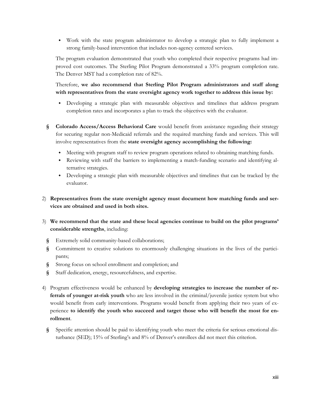Work with the state program administrator to develop a strategic plan to fully implement a strong family-based intervention that includes non-agency centered services.

The program evaluation demonstrated that youth who completed their respective programs had improved cost outcomes. The Sterling Pilot Program demonstrated a 33% program completion rate. The Denver MST had a completion rate of 82%.

Therefore, **we also recommend that Sterling Pilot Program administrators and staff along with representatives from the state oversight agency work together to address this issue by:** 

- Developing a strategic plan with measurable objectives and timelines that address program completion rates and incorporates a plan to track the objectives with the evaluator.
- **§ Colorado Access/Access Behavioral Care** would benefit from assistance regarding their strategy for securing regular non-Medicaid referrals and the required matching funds and services. This will involve representatives from the **state oversight agency accomplishing the following:**
	- Meeting with program staff to review program operations related to obtaining matching funds.
	- Reviewing with staff the barriers to implementing a match-funding scenario and identifying alternative strategies.
	- Developing a strategic plan with measurable objectives and timelines that can be tracked by the evaluator.
- 2) **Representatives from the state oversight agency must document how matching funds and services are obtained and used in both sites.**
- 3) **We recommend that the state and these local agencies continue to build on the pilot programs' considerable strengths**, including:
	- **§** Extremely solid community-based collaborations;
	- **§** Commitment to creative solutions to enormously challenging situations in the lives of the participants;
	- **§** Strong focus on school enrollment and completion; and
	- **§** Staff dedication, energy, resourcefulness, and expertise.
- 4) Program effectiveness would be enhanced by **developing strategies to increase the number of referrals of younger at-risk youth** who are less involved in the criminal/juvenile justice system but who would benefit from early interventions. Programs would benefit from applying their two years of experience **to identify the youth who succeed and target those who will benefit the most for enrollment**.
	- **§** Specific attention should be paid to identifying youth who meet the criteria for serious emotional disturbance (SED); 15% of Sterling's and 8% of Denver's enrollees did not meet this criterion.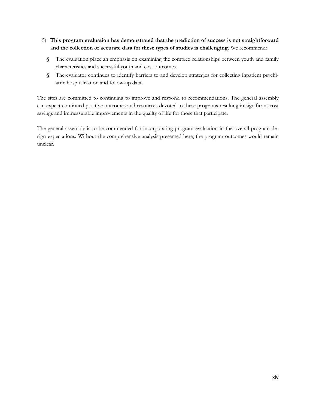- 5) **This program evaluation has demonstrated that the prediction of success is not straightforward and the collection of accurate data for these types of studies is challenging.** We recommend:
	- **§** The evaluation place an emphasis on examining the complex relationships between youth and family characteristics and successful youth and cost outcomes.
	- **§** The evaluator continues to identify barriers to and develop strategies for collecting inpatient psychiatric hospitalization and follow-up data.

The sites are committed to continuing to improve and respond to recommendations. The general assembly can expect continued positive outcomes and resources devoted to these programs resulting in significant cost savings and immeasurable improvements in the quality of life for those that participate.

The general assembly is to be commended for incorporating program evaluation in the overall program design expectations. Without the comprehensive analysis presented here, the program outcomes would remain unclear.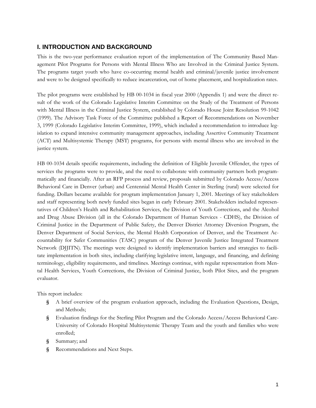## **I. INTRODUCTION AND BACKGROUND**

This is the two-year performance evaluation report of the implementation of The Community Based Management Pilot Programs for Persons with Mental Illness Who are Involved in the Criminal Justice System. The programs target youth who have co-occurring mental health and criminal/juvenile justice involvement and were to be designed specifically to reduce incarceration, out of home placement, and hospitalization rates.

The pilot programs were established by HB 00-1034 in fiscal year 2000 (Appendix 1) and were the direct result of the work of the Colorado Legislative Interim Committee on the Study of the Treatment of Persons with Mental Illness in the Criminal Justice System, established by Colorado House Joint Resolution 99-1042 (1999). The Advisory Task Force of the Committee published a Report of Recommendations on November 3, 1999 (Colorado Legislative Interim Committee, 1999), which included a recommendation to introduce legislation to expand intensive community management approaches, including Assertive Community Treatment (ACT) and Multisystemic Therapy (MST) programs, for persons with mental illness who are involved in the justice system.

HB 00-1034 details specific requirements, including the definition of Eligible Juvenile Offender, the types of services the programs were to provide, and the need to collaborate with community partners both programmatically and financially. After an RFP process and review, proposals submitted by Colorado Access/Access Behavioral Care in Denver (urban) and Centennial Mental Health Center in Sterling (rural) were selected for funding. Dollars became available for program implementation January 1, 2001. Meetings of key stakeholders and staff representing both newly funded sites began in early February 2001. Stakeholders included representatives of Children's Health and Rehabilitation Services, the Division of Youth Corrections, and the Alcohol and Drug Abuse Division (all in the Colorado Department of Human Services - CDHS), the Division of Criminal Justice in the Department of Public Safety, the Denver District Attorney Diversion Program, the Denver Department of Social Services, the Mental Health Corporation of Denver, and the Treatment Accountability for Safer Communities (TASC) program of the Denver Juvenile Justice Integrated Treatment Network (DJJITN). The meetings were designed to identify implementation barriers and strategies to facilitate implementation in both sites, including clarifying legislative intent, language, and financing, and defining terminology, eligibility requirements, and timelines. Meetings continue, with regular representation from Mental Health Services, Youth Corrections, the Division of Criminal Justice, both Pilot Sites, and the program evaluator.

This report includes:

- **§** A brief overview of the program evaluation approach, including the Evaluation Questions, Design, and Methods;
- **§** Evaluation findings for the Sterling Pilot Program and the Colorado Access/Access Behavioral Care-University of Colorado Hospital Multisystemic Therapy Team and the youth and families who were enrolled;
- **§** Summary; and
- **§** Recommendations and Next Steps.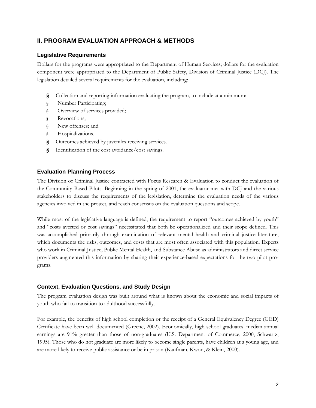## **II. PROGRAM EVALUATION APPROACH & METHODS**

### **Legislative Requirements**

Dollars for the programs were appropriated to the Department of Human Services; dollars for the evaluation component were appropriated to the Department of Public Safety, Division of Criminal Justice (DCJ). The legislation detailed several requirements for the evaluation, including:

- **§** Collection and reporting information evaluating the program, to include at a minimum:
- § Number Participating;
- § Overview of services provided;
- § Revocations;
- § New offenses; and
- § Hospitalizations.
- **§** Outcomes achieved by juveniles receiving services.
- **§** Identification of the cost avoidance/cost savings.

### **Evaluation Planning Process**

The Division of Criminal Justice contracted with Focus Research & Evaluation to conduct the evaluation of the Community Based Pilots. Beginning in the spring of 2001, the evaluator met with DCJ and the various stakeholders to discuss the requirements of the legislation, determine the evaluation needs of the various agencies involved in the project, and reach consensus on the evaluation questions and scope.

While most of the legislative language is defined, the requirement to report "outcomes achieved by youth" and "costs averted or cost savings" necessitated that both be operationalized and their scope defined. This was accomplished primarily through examination of relevant mental health and criminal justice literature, which documents the risks, outcomes, and costs that are most often associated with this population. Experts who work in Criminal Justice, Public Mental Health, and Substance Abuse as administrators and direct service providers augmented this information by sharing their experience-based expectations for the two pilot programs.

### **Context, Evaluation Questions, and Study Design**

The program evaluation design was built around what is known about the economic and social impacts of youth who fail to transition to adulthood successfully.

For example, the benefits of high school completion or the receipt of a General Equivalency Degree (GED) Certificate have been well documented (Greene, 2002). Economically, high school graduates' median annual earnings are 91% greater than those of non-graduates (U.S. Department of Commerce, 2000, Schwartz, 1995). Those who do not graduate are more likely to become single parents, have children at a young age, and are more likely to receive public assistance or be in prison (Kaufman, Kwon, & Klein, 2000).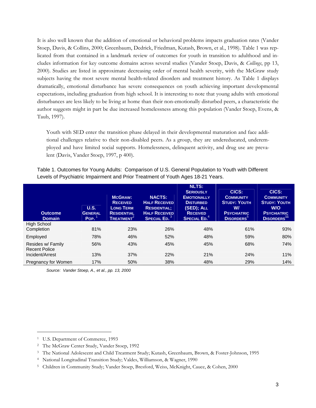It is also well known that the addition of emotional or behavioral problems impacts graduation rates (Vander Stoep, Davis, & Collins, 2000; Greenbaum, Dedrick, Friedman, Kutash, Brown, et al., 1998). Table 1 was replicated from that contained in a landmark review of outcomes for youth in transition to adulthood and includes information for key outcome domains across several studies (Vander Stoep, Davis, & *Collings*, pp 13, 2000). Studies are listed in approximate decreasing order of mental health severity, with the McGraw study subjects having the most severe mental health-related disorders and treatment history. As Table 1 displays dramatically, emotional disturbance has severe consequences on youth achieving important developmental expectations, including graduation from high school. It is interesting to note that young adults with emotional disturbances are less likely to be living at home than their non-emotionally disturbed peers, a characteristic the author suggests might in part be due increased homelessness among this population (Vander Stoep, Evens, & Taub, 1997).

Youth with SED enter the transition phase delayed in their developmental maturation and face additional challenges relative to their non-disabled peers. As a group, they are undereducated, underemployed and have limited social supports. Homelessness, delinquent activity, and drug use are prevalent (Davis, Vander Stoep, 1997, p 400).

| Table 1. Outcomes for Young Adults: Comparison of U.S. General Population to Youth with Different |
|---------------------------------------------------------------------------------------------------|
| Levels of Psychiatric Impairment and Prior Treatment of Youth Ages 18-21 Years.                   |

| <b>Outcome</b><br><b>Domain</b>           | U.S.<br><b>GENERAL</b><br>Pop. | <b>MCGRAW:</b><br><b>RECEIVED</b><br><b>LONG TERM</b><br><b>RESIDENTIAL</b><br><b>TREATMENT</b> | <b>NACTS:</b><br><b>HALF RECEIVED</b><br><b>RESIDENTIAL:</b><br><b>HALF RECEIVED</b><br>SPECIAL ED. <sup>3</sup> | <b>NLTS:</b><br><b>SERIOUSLY</b><br><b>EMOTIONALLY</b><br><b>DISTURBED</b><br>(SED); ALL<br><b>RECEIVED</b><br><b>SPECIAL ED.</b> <sup>4</sup> | CICS:<br><b>COMMUNITY</b><br><b>STUDY: YOUTH</b><br>W/<br><b>PSYCHIATRIC</b><br><b>DISORDERS</b> <sup>3</sup> | CICS:<br><b>COMMUNITY</b><br><b>STUDY: YOUTH</b><br>W/O<br><b>PSYCHIATRIC</b><br>DISORDERS <sup>11</sup> |
|-------------------------------------------|--------------------------------|-------------------------------------------------------------------------------------------------|------------------------------------------------------------------------------------------------------------------|------------------------------------------------------------------------------------------------------------------------------------------------|---------------------------------------------------------------------------------------------------------------|----------------------------------------------------------------------------------------------------------|
| <b>High School</b><br>Completion          | 81%                            | 23%                                                                                             | 26%                                                                                                              | 48%                                                                                                                                            | 61%                                                                                                           | 93%                                                                                                      |
| Employed                                  | 78%                            | 46%                                                                                             | 52%                                                                                                              | 48%                                                                                                                                            | 59%                                                                                                           | 80%                                                                                                      |
| Resides w/ Family<br><b>Recent Police</b> | 56%                            | 43%                                                                                             | 45%                                                                                                              | 45%                                                                                                                                            | 68%                                                                                                           | 74%                                                                                                      |
| Incident/Arrest                           | 13%                            | 37%                                                                                             | 22%                                                                                                              | 21%                                                                                                                                            | 24%                                                                                                           | 11%                                                                                                      |
| Pregnancy for Women                       | 17%                            | 50%                                                                                             | 38%                                                                                                              | 48%                                                                                                                                            | 29%                                                                                                           | 14%                                                                                                      |

*Source: Vander Stoep, A., et al., pp. 13, 2000* 

 $\overline{a}$ 

<sup>1</sup> U.S. Department of Commerce, 1993

<sup>2</sup> The McGraw Center Study, Vander Stoep, 1992

<sup>3</sup> The National Adolescent and Child Treatment Study; Kutash, Greenbaum, Brown, & Foster-Johnson, 1995

<sup>4</sup> National Longitudinal Transition Study; Valdes, Williamson, & Wagner, 1990

<sup>5</sup> Children in Community Study; Vander Stoep, Bresford, Weiss, McKnight, Cauce, & Cohen, 2000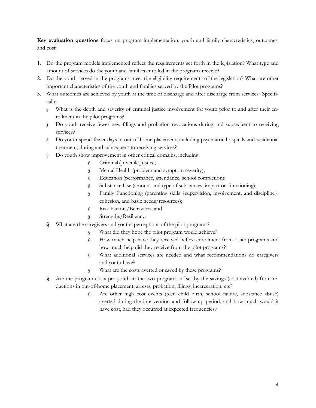**Key evaluation questions** focus on program implementation, youth and family characteristics, outcomes, and cost.

- 1. Do the program models implemented reflect the requirements set forth in the legislation? What type and amount of services do the youth and families enrolled in the programs receive?
- 2. Do the youth served in the programs meet the eligibility requirements of the legislation? What are other important characteristics of the youth and families served by the Pilot programs?
- 3. What outcomes are achieved by youth at the time of discharge and after discharge from services? Specifically,
	- § What is the depth and severity of criminal justice involvement for youth prior to and after their enrollment in the pilot programs?
	- § Do youth receive fewer new filings and probation revocations during and subsequent to receiving services?
	- § Do youth spend fewer days in out-of-home placement, including psychiatric hospitals and residential treatment, during and subsequent to receiving services?
	- § Do youth show improvement in other critical domains, including:
		- § Criminal/Juvenile Justice;
		- § Mental Health (problem and symptom severity);
		- § Education (performance, attendance, school completion);
		- § Substance Use (amount and type of substances, impact on functioning);
		- § Family Functioning (parenting skills {supervision, involvement, and discipline}, cohesion, and basic needs/resources);
		- § Risk Factors/Behaviors; and
		- § Strengths/Resiliency.
	- **§** What are the caregivers and youths perceptions of the pilot programs?
		- § What did they hope the pilot program would achieve?
		- § How much help have they received before enrollment from other programs and how much help did they receive from the pilot programs?
		- § What additional services are needed and what recommendations do caregivers and youth have?
		- § What are the costs averted or saved by these programs?
	- **§** Are the program costs per youth in the two programs offset by the savings (cost averted) from reductions in out-of-home placement, arrests, probation, filings, incarceration, etc?
		- § Are other high cost events (teen child birth, school failure, substance abuse) averted during the intervention and follow-up period, and how much would it have cost, had they occurred at expected frequencies?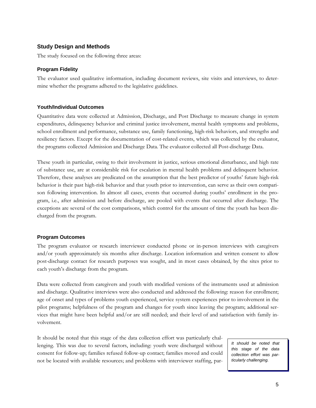#### **Study Design and Methods**

The study focused on the following three areas:

#### **Program Fidelity**

The evaluator used qualitative information, including document reviews, site visits and interviews, to determine whether the programs adhered to the legislative guidelines.

#### **Youth/Individual Outcomes**

Quantitative data were collected at Admission, Discharge, and Post Discharge to measure change in system expenditures, delinquency behavior and criminal justice involvement, mental health symptoms and problems, school enrollment and performance, substance use, family functioning, high-risk behaviors, and strengths and resiliency factors. Except for the documentation of cost-related events, which was collected by the evaluator, the programs collected Admission and Discharge Data. The evaluator collected all Post-discharge Data.

These youth in particular, owing to their involvement in justice, serious emotional disturbance, and high rate of substance use, are at considerable risk for escalation in mental health problems and delinquent behavior. Therefore, these analyses are predicated on the assumption that the best predictor of youths' future high-risk behavior is their past high-risk behavior and that youth prior to intervention, can serve as their own comparison following intervention. In almost all cases, events that occurred during youths' enrollment in the program, i.e., after admission and before discharge, are pooled with events that occurred after discharge. The exceptions are several of the cost comparisons, which control for the amount of time the youth has been discharged from the program.

#### **Program Outcomes**

The program evaluator or research interviewer conducted phone or in-person interviews with caregivers and/or youth approximately six months after discharge. Location information and written consent to allow post-discharge contact for research purposes was sought, and in most cases obtained, by the sites prior to each youth's discharge from the program.

Data were collected from caregivers and youth with modified versions of the instruments used at admission and discharge. Qualitative interviews were also conducted and addressed the following: reason for enrollment; age of onset and types of problems youth experienced, service system experiences prior to involvement in the pilot programs; helpfulness of the program and changes for youth since leaving the program; additional services that might have been helpful and/or are still needed; and their level of and satisfaction with family involvement.

It should be noted that this stage of the data collection effort was particularly challenging. This was due to several factors, including: youth were discharged without consent for follow-up; families refused follow-up contact; families moved and could not be located with available resources; and problems with interviewer staffing, par-

*It should be noted that this stage of the data collection effort was particularly challenging.*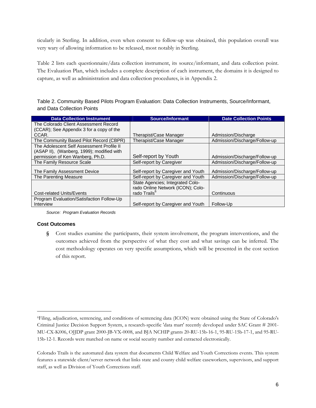ticularly in Sterling. In addition, even when consent to follow-up was obtained, this population overall was very wary of allowing information to be released, most notably in Sterling.

Table 2 lists each questionnaire/data collection instrument, its source/informant, and data collection point. The Evaluation Plan, which includes a complete description of each instrument, the domains it is designed to capture, as well as administration and data collection procedures, is in Appendix 2.

Table 2. Community Based Pilots Program Evaluation: Data Collection Instruments, Source/Informant, and Data Collection Points

| <b>Data Collection Instrument</b>         | Source/Informant                   | <b>Date Collection Points</b> |
|-------------------------------------------|------------------------------------|-------------------------------|
| The Colorado Client Assessment Record     |                                    |                               |
| (CCAR); See Appendix 3 for a copy of the  |                                    |                               |
| CCAR.                                     | Therapist/Case Manager             | Admission/Discharge           |
| The Community Based Pilot Record (CBPR)   | Therapist/Case Manager             | Admission/Discharge/Follow-up |
| The Adolescent Self Assessment Profile II |                                    |                               |
| (ASAP II), (Wanberg, 1999); modified with |                                    |                               |
| permission of Ken Wanberg, Ph.D.          | Self-report by Youth               | Admission/Discharge/Follow-up |
| The Family Resource Scale                 | Self-report by Caregiver           | Admission/Discharge/Follow-up |
| The Family Assessment Device              | Self-report by Caregiver and Youth | Admission/Discharge/Follow-up |
| The Parenting Measure                     | Self-report by Caregiver and Youth | Admission/Discharge/Follow-up |
|                                           | State Agencies; Integrated Colo-   |                               |
|                                           | rado Online Network (ICON); Colo-  |                               |
| <b>Cost-related Units/Events</b>          | rado Trails <sup>6</sup>           | Continuous                    |
| Program Evaluation/Satisfaction Follow-Up |                                    |                               |
| Interview                                 | Self-report by Caregiver and Youth | Follow-Up                     |

*Source: Program Evaluation Records* 

#### **Cost Outcomes**

<u>.</u>

**§** Cost studies examine the participants, their system involvement, the program interventions, and the outcomes achieved from the perspective of what they cost and what savings can be inferred. The cost methodology operates on very specific assumptions, which will be presented in the cost section of this report.

<sup>6</sup>Filing, adjudication, sentencing, and conditions of sentencing data (ICON) were obtained using the State of Colorado's Criminal Justice Decision Support System, a research-specific 'data mart' recently developed under SAC Grant # 2001- MU-CX-K006, OJJDP grant 2000-JB-VX-0008, and BJA NCHIP grants 20-RU-15b-16-1, 95-RU-15b-17-1, and 95-RU-15b-12-1. Records were matched on name or social security number and extracted electronically.

Colorado Trails is the automated data system that documents Child Welfare and Youth Corrections events. This system features a statewide client/server network that links state and county child welfare caseworkers, supervisors, and support staff, as well as Division of Youth Corrections staff.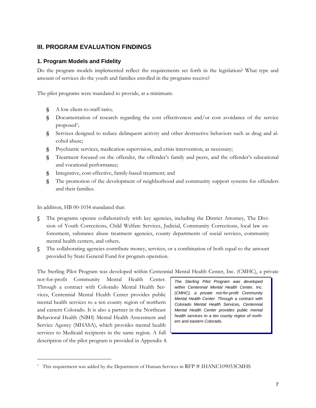## **III. PROGRAM EVALUATION FINDINGS**

### **1. Program Models and Fidelity**

Do the program models implemented reflect the requirements set forth in the legislation? What type and amount of services do the youth and families enrolled in the programs receive?

The pilot programs were mandated to provide, at a minimum:

- **§** A low client-to-staff ratio;
- **§** Documentation of research regarding the cost effectiveness and/or cost avoidance of the service proposed<sup>7</sup>;
- **§** Services designed to reduce delinquent activity and other destructive behaviors such as drug and alcohol abuse;
- **§** Psychiatric services, medication supervision, and crisis intervention, as necessary;
- **§** Treatment focused on the offender, the offender's family and peers, and the offender's educational and vocational performance;
- **§** Integrative, cost-effective, family-based treatment; and
- **§** The promotion of the development of neighborhood and community support systems for offenders and their families.

In addition, HB 00-1034 mandated that:

 $\overline{a}$ 

- **§** The programs operate collaboratively with key agencies, including the District Attorney, The Division of Youth Corrections, Child Welfare Services, Judicial, Community Corrections, local law enforcement, substance abuse treatment agencies, county departments of social services, community mental health centers, and others.
- **§** The collaborating agencies contribute money, services, or a combination of both equal to the amount provided by State General Fund for program operation.

The Sterling Pilot Program was developed within Centennial Mental Health Center, Inc. (CMHC), a private

not-for-profit Community Mental Health Center. Through a contract with Colorado Mental Health Services, Centennial Mental Health Center provides public mental health services to a ten county region of northern and eastern Colorado. It is also a partner in the Northeast Behavioral Health (NBH) Mental Health Assessment and Service Agency (MHASA), which provides mental health services to Medicaid recipients in the same region. A full description of the pilot program is provided in Appendix 4.

*The Sterling Pilot Program was developed within Centennial Mental Health Center, Inc. (CMHC), a private not-for-profit Community Mental Health Center. Through a contract with Colorado Mental Health Services, Centennial Mental Health Center provides public mental health services to a ten county region of northern and eastern Colorado.* 

<sup>7</sup> This requirement was added by the Department of Human Services in RFP # IHANC109053CMHS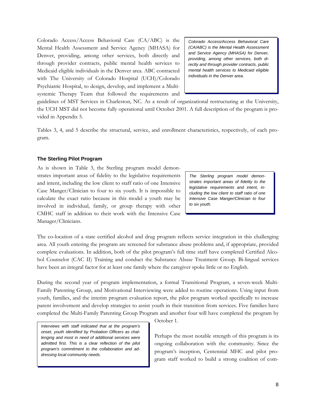Colorado Access/Access Behavioral Care (CA/ABC) is the Mental Health Assessment and Service Agency (MHASA) for Denver, providing, among other services, both directly and through provider contracts, public mental health services to Medicaid eligible individuals in the Denver area. ABC contracted with The University of Colorado Hospital (UCH)/Colorado Psychiatric Hospital, to design, develop, and implement a Multisystemic Therapy Team that followed the requirements and

*Colorado Access/Access Behavioral Care (CA/ABC) is the Mental Health Assessment and Service Agency (MHASA) for Denver, providing, among other services, both directly and through provider contracts, public mental health services to Medicaid eligible individuals in the Denver area.* 

guidelines of MST Services in Charleston, NC. As a result of organizational restructuring at the University, the UCH MST did not become fully operational until October 2001. A full description of the program is provided in Appendix 5.

Tables 3, 4, and 5 describe the structural, service, and enrollment characteristics, respectively, of each program.

#### **The Sterling Pilot Program**

As is shown in Table 3, the Sterling program model demonstrates important areas of fidelity to the legislative requirements and intent, including the low client to staff ratio of one Intensive Case Manger/Clinician to four to six youth. It is impossible to calculate the exact ratio because in this model a youth may be involved in individual, family, or group therapy with other CMHC staff in addition to their work with the Intensive Case Manager/Clinicians.

*The Sterling program model demonstrates important areas of fidelity to the legislative requirements and intent, including the low client to staff ratio of one Intensive Case Manger/Clinician to four to six youth.* 

The co-location of a state certified alcohol and drug program reflects service integration in this challenging area. All youth entering the program are screened for substance abuse problems and, if appropriate, provided complete evaluations. In addition, both of the pilot program's full time staff have completed Certified Alcohol Counselor (CAC II) Training and conduct the Substance Abuse Treatment Group. Bi-lingual services have been an integral factor for at least one family where the caregiver spoke little or no English.

During the second year of program implementation, a formal Transitional Program, a seven-week Multi-Family Parenting Group, and Motivational Interviewing were added to routine operations. Using input from youth, families, and the interim program evaluation report, the pilot program worked specifically to increase parent involvement and develop strategies to assist youth in their transition from services. Five families have completed the Multi-Family Parenting Group Program and another four will have completed the program by

*Interviews with staff indicated that at the program's onset, youth identified by Probation Officers as challenging and most in need of additional services were admitted first. This is a clear reflection of the pilot program's commitment to the collaboration and addressing local community needs.* 

October 1.

Perhaps the most notable strength of this program is its ongoing collaboration with the community. Since the program's inception, Centennial MHC and pilot program staff worked to build a strong coalition of com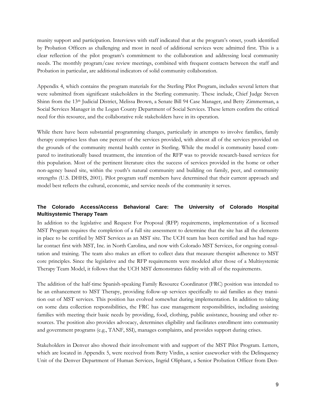munity support and participation. Interviews with staff indicated that at the program's onset, youth identified by Probation Officers as challenging and most in need of additional services were admitted first. This is a clear reflection of the pilot program's commitment to the collaboration and addressing local community needs. The monthly program/case review meetings, combined with frequent contacts between the staff and Probation in particular, are additional indicators of solid community collaboration.

Appendix 4, which contains the program materials for the Sterling Pilot Program, includes several letters that were submitted from significant stakeholders in the Sterling community. These include, Chief Judge Steven Shinn from the 13th Judicial District, Melissa Brown, a Senate Bill 94 Case Manager, and Betty Zimmerman, a Social Services Manager in the Logan County Department of Social Services. These letters confirm the critical need for this resource, and the collaborative role stakeholders have in its operation.

While there have been substantial programming changes, particularly in attempts to involve families, family therapy comprises less than one percent of the services provided, with almost all of the services provided on the grounds of the community mental health center in Sterling. While the model is community based compared to institutionally based treatment, the intention of the RFP was to provide research-based services for this population. Most of the pertinent literature cites the success of services provided in the home or other non-agency based site, within the youth's natural community and building on family, peer, and community strengths (U.S. DHHS, 2001). Pilot program staff members have determined that their current approach and model best reflects the cultural, economic, and service needs of the community it serves.

### **The Colorado Access/Access Behavioral Care: The University of Colorado Hospital Multisystemic Therapy Team**

In addition to the legislative and Request For Proposal (RFP) requirements, implementation of a licensed MST Program requires the completion of a full site assessment to determine that the site has all the elements in place to be certified by MST Services as an MST site. The UCH team has been certified and has had regular contact first with MST, Inc. in North Carolina, and now with Colorado MST Services, for ongoing consultation and training. The team also makes an effort to collect data that measure therapist adherence to MST core principles. Since the legislative and the RFP requirements were modeled after those of a Multisystemic Therapy Team Model, it follows that the UCH MST demonstrates fidelity with all of the requirements.

The addition of the half-time Spanish-speaking Family Resource Coordinator (FRC) position was intended to be an enhancement to MST Therapy, providing follow-up services specifically to aid families as they transition out of MST services. This position has evolved somewhat during implementation. In addition to taking on some data collection responsibilities, the FRC has case management responsibilities, including assisting families with meeting their basic needs by providing, food, clothing, public assistance, housing and other resources. The position also provides advocacy, determines eligibility and facilitates enrollment into community and government programs (e.g., TANF, SSI), manages complaints, and provides support during crises.

Stakeholders in Denver also showed their involvement with and support of the MST Pilot Program. Letters, which are located in Appendix 5, were received from Betty Virdin, a senior caseworker with the Delinquency Unit of the Denver Department of Human Services, Ingrid Oliphant, a Senior Probation Officer from Den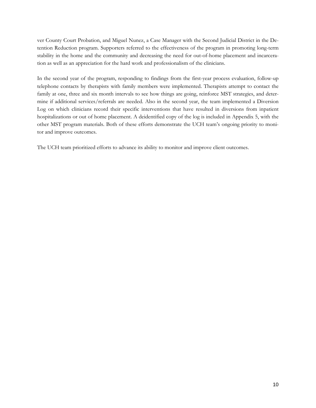ver County Court Probation, and Miguel Nunez, a Case Manager with the Second Judicial District in the Detention Reduction program. Supporters referred to the effectiveness of the program in promoting long-term stability in the home and the community and decreasing the need for out-of-home placement and incarceration as well as an appreciation for the hard work and professionalism of the clinicians.

In the second year of the program, responding to findings from the first-year process evaluation, follow-up telephone contacts by therapists with family members were implemented. Therapists attempt to contact the family at one, three and six month intervals to see how things are going, reinforce MST strategies, and determine if additional services/referrals are needed. Also in the second year, the team implemented a Diversion Log on which clinicians record their specific interventions that have resulted in diversions from inpatient hospitalizations or out of home placement. A deidentified copy of the log is included in Appendix 5, with the other MST program materials. Both of these efforts demonstrate the UCH team's ongoing priority to monitor and improve outcomes.

The UCH team prioritized efforts to advance its ability to monitor and improve client outcomes.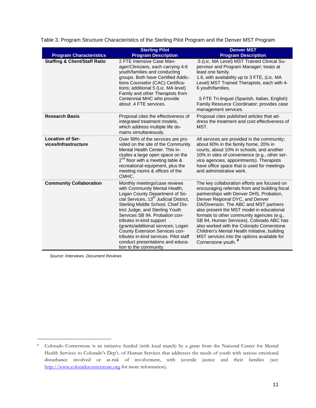| <b>Program Characteristics</b>                  | <b>Sterling Pilot</b><br><b>Program Description</b>                                                                                                                                                                                                                                                                                                                                                                                                                           | <b>Denver MST</b><br><b>Program Description</b>                                                                                                                                                                                                                                                                                                                                                                                                                                                                                   |
|-------------------------------------------------|-------------------------------------------------------------------------------------------------------------------------------------------------------------------------------------------------------------------------------------------------------------------------------------------------------------------------------------------------------------------------------------------------------------------------------------------------------------------------------|-----------------------------------------------------------------------------------------------------------------------------------------------------------------------------------------------------------------------------------------------------------------------------------------------------------------------------------------------------------------------------------------------------------------------------------------------------------------------------------------------------------------------------------|
| <b>Staffing &amp; Client/Staff Ratio</b>        | 2 FTE Intensive Case Man-<br>ager/Clinicians, each carrying 4-6<br>youth/families and conducting<br>groups. Both have Certified Addic-<br>tions Counselor (CAC) Certifica-<br>tions; additional 5 (Lic. MA level)<br>Family and other Therapists from<br>Centennial MHC who provide<br>about .4 FTE services.                                                                                                                                                                 | .5 (Lic. MA Level) MST Trained Clinical Su-<br>pervisor and Program Manager; treats at<br>least one family.<br>1.6, with availability up to 3 FTE, (Lic. MA<br>Level) MST Trained Therapists, each with 4-<br>6 youth/families.<br>.5 FTE Tri-lingual (Spanish, Italian, English)<br>Family Resource Coordinator; provides case<br>management services.                                                                                                                                                                           |
| <b>Research Basis</b>                           | Proposal cites the effectiveness of<br>integrated treatment models,<br>which address multiple life do-<br>mains simultaneously.                                                                                                                                                                                                                                                                                                                                               | Proposal cites published articles that ad-<br>dress the treatment and cost effectiveness of<br>MST.                                                                                                                                                                                                                                                                                                                                                                                                                               |
| <b>Location of Ser-</b><br>vices/Infrastructure | Over 99% of the services are pro-<br>vided on the site of the Community<br>Mental Health Center. This in-<br>cludes a large open space on the<br>$2^{nd}$ floor with a meeting table &<br>recreational equipment, plus the<br>meeting rooms & offices of the<br>CMHC.                                                                                                                                                                                                         | All services are provided in the community;<br>about 60% in the family home, 20% in<br>courts, about 10% in schools, and another<br>10% in sites of convenience (e.g., other ser-<br>vice agencies, appointments). Therapists<br>have office space that is used for meetings<br>and administrative work.                                                                                                                                                                                                                          |
| <b>Community Collaboration</b>                  | Monthly meetings/case reviews<br>with Community Mental Health,<br>Logan County Department of So-<br>cial Services, 13 <sup>th</sup> Judicial District,<br>Sterling Middle School, Chief Dis-<br>trict Judge, and Sterling Youth<br>Services SB 94. Probation con-<br>tributes in-kind support<br>(grants/additional services; Logan<br>County Extension Services con-<br>tributes in-kind services. Pilot staff<br>conduct presentations and educa-<br>tion to the community. | The key collaboration efforts are focused on<br>encouraging referrals from and building fiscal<br>partnerships with Denver DHS, Probation,<br>Denver Regional DYC, and Denver<br>DA/Diversion. The ABC and MST partners<br>also present the MST model in educational<br>formats to other community agencies (e.g.,<br>SB 94, Human Services). Colorado ABC has<br>also worked with the Colorado Cornerstone<br>Children's Mental Health Initiative, building<br>MST services into the options available for<br>Cornerstone youth. |

Table 3. Program Structure Characteristics of the Sterling Pilot Program and the Denver MST Program

 *Source: Interviews, Document Reviews* 

 $\overline{a}$ 

<sup>8</sup> Colorado Cornerstone is an initiative funded (with local match) by a grant from the National Center for Mental Health Services to Colorado's Dep't. of Human Services that addresses the needs of youth with serious emotional disturbance involved or at-risk of involvement, with juvenile justice and their families (see: http://www.coloradocornerstone.org for more information).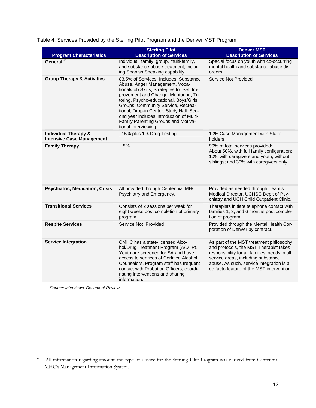|  |  | Table 4. Services Provided by the Sterling Pilot Program and the Denver MST Program |  |
|--|--|-------------------------------------------------------------------------------------|--|

| <b>Program Characteristics</b>                                      | <b>Sterling Pilot</b><br><b>Description of Services</b>                                                                                                                                                                                                                                                                                                                                               | <b>Denver MST</b><br><b>Description of Services</b>                                                                                                                                                                                                               |
|---------------------------------------------------------------------|-------------------------------------------------------------------------------------------------------------------------------------------------------------------------------------------------------------------------------------------------------------------------------------------------------------------------------------------------------------------------------------------------------|-------------------------------------------------------------------------------------------------------------------------------------------------------------------------------------------------------------------------------------------------------------------|
| General <sup>9</sup>                                                | Individual, family, group, multi-family,<br>and substance abuse treatment, includ-<br>ing Spanish Speaking capability.                                                                                                                                                                                                                                                                                | Special focus on youth with co-occurring<br>mental health and substance abuse dis-<br>orders.                                                                                                                                                                     |
| <b>Group Therapy &amp; Activities</b>                               | 83.5% of Services. Includes: Substance<br>Abuse, Anger Management, Voca-<br>tional/Job Skills, Strategies for Self Im-<br>provement and Change, Mentoring, Tu-<br>toring, Psycho-educational, Boys/Girls<br>Groups, Community Service, Recrea-<br>tional, Drop-in Center, Study Hall. Sec-<br>ond year includes introduction of Multi-<br>Family Parenting Groups and Motiva-<br>tional Interviewing. | Service Not Provided                                                                                                                                                                                                                                              |
| <b>Individual Therapy &amp;</b><br><b>Intensive Case Management</b> | 15% plus 1% Drug Testing                                                                                                                                                                                                                                                                                                                                                                              | 10% Case Management with Stake-<br>holders                                                                                                                                                                                                                        |
| <b>Family Therapy</b>                                               | .5%                                                                                                                                                                                                                                                                                                                                                                                                   | 90% of total services provided:<br>About 50%, with full family configuration;<br>10% with caregivers and youth, without<br>siblings; and 30% with caregivers only.                                                                                                |
| <b>Psychiatric, Medication, Crisis</b>                              | All provided through Centennial MHC<br>Psychiatry and Emergency.                                                                                                                                                                                                                                                                                                                                      | Provided as needed through Team's<br>Medical Director, UCHSC Dep't of Psy-<br>chiatry and UCH Child Outpatient Clinic.                                                                                                                                            |
| <b>Transitional Services</b>                                        | Consists of 2 sessions per week for<br>eight weeks post completion of primary<br>program.                                                                                                                                                                                                                                                                                                             | Therapists initiate telephone contact with<br>families 1, 3, and 6 months post comple-<br>tion of program.                                                                                                                                                        |
| <b>Respite Services</b>                                             | Service Not Provided                                                                                                                                                                                                                                                                                                                                                                                  | Provided through the Mental Health Cor-<br>poration of Denver by contract.                                                                                                                                                                                        |
| <b>Service Integration</b>                                          | CMHC has a state-licensed Alco-<br>hol/Drug Treatment Program (A/DTP).<br>Youth are screened for SA and have<br>access to services of Certified Alcohol<br>Counselors. Program staff has frequent<br>contact with Probation Officers, coordi-<br>nating interventions and sharing<br>information.                                                                                                     | As part of the MST treatment philosophy<br>and protocols, the MST Therapist takes<br>responsibility for all families' needs in all<br>service areas, including substance<br>abuse. As such, service integration is a<br>de facto feature of the MST intervention. |

 *Source: Interviews, Document Reviews* 

 $\overline{a}$ 

<sup>9</sup> All information regarding amount and type of service for the Sterling Pilot Program was derived from Centennial MHC's Management Information System.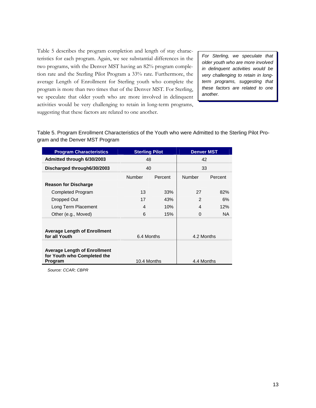Table 5 describes the program completion and length of stay characteristics for each program. Again, we see substantial differences in the two programs, with the Denver MST having an 82% program completion rate and the Sterling Pilot Program a 33% rate. Furthermore, the average Length of Enrollment for Sterling youth who complete the program is more than two times that of the Denver MST. For Sterling, we speculate that older youth who are more involved in delinquent activities would be very challenging to retain in long-term programs, suggesting that these factors are related to one another.

*For Sterling, we speculate that older youth who are more involved in delinquent activities would be very challenging to retain in longterm programs, suggesting that these factors are related to one another.* 

Table 5. Program Enrollment Characteristics of the Youth who were Admitted to the Sterling Pilot Program and the Denver MST Program

| <b>Program Characteristics</b>                                                | <b>Sterling Pilot</b> |         | <b>Denver MST</b> |         |
|-------------------------------------------------------------------------------|-----------------------|---------|-------------------|---------|
| Admitted through 6/30/2003                                                    | 48                    |         | 42                |         |
| Discharged through 6/30/2003                                                  | 40                    |         | 33                |         |
|                                                                               | Number                | Percent | Number            | Percent |
| <b>Reason for Discharge</b>                                                   |                       |         |                   |         |
| Completed Program                                                             | 13                    | 33%     | 27                | 82%     |
| Dropped Out                                                                   | 17                    | 43%     | $\mathfrak{p}$    | 6%      |
| Long Term Placement                                                           | 4                     | 10%     | 4                 | 12%     |
| Other (e.g., Moved)                                                           | 6                     | 15%     | $\Omega$          | NA.     |
| <b>Average Length of Enrollment</b><br>for all Youth                          | 6.4 Months            |         | 4.2 Months        |         |
| <b>Average Length of Enrollment</b><br>for Youth who Completed the<br>Program | 10.4 Months           |         | 4.4 Months        |         |

 *Source: CCAR; CBPR*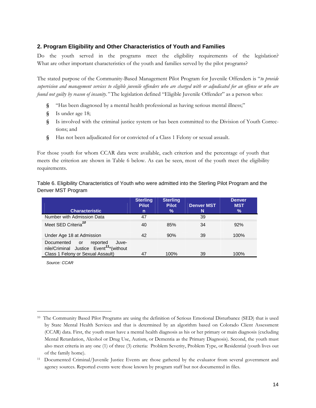### **2. Program Eligibility and Other Characteristics of Youth and Families**

Do the youth served in the programs meet the eligibility requirements of the legislation? What are other important characteristics of the youth and families served by the pilot programs?

The stated purpose of the Community-Based Management Pilot Program for Juvenile Offenders is "*to provide supervision and management services to eligible juvenile offenders who are charged with or adjudicated for an offense or who are found not guilty by reason of insanity.*" The legislation defined "Eligible Juvenile Offender" as a person who:

- **§** "Has been diagnosed by a mental health professional as having serious mental illness;"
- **§** Is under age 18;
- **§** Is involved with the criminal justice system or has been committed to the Division of Youth Corrections; and
- **§** Has not been adjudicated for or convicted of a Class 1 Felony or sexual assault.

For those youth for whom CCAR data were available, each criterion and the percentage of youth that meets the criterion are shown in Table 6 below. As can be seen, most of the youth meet the eligibility requirements.

Table 6. Eligibility Characteristics of Youth who were admitted into the Sterling Pilot Program and the Denver MST Program

|                                                                                              | <b>Sterling</b><br><b>Pilot</b> | <b>Sterling</b><br><b>Pilot</b> | <b>Denver MST</b> | <b>Denver</b><br><b>MST</b> |
|----------------------------------------------------------------------------------------------|---------------------------------|---------------------------------|-------------------|-----------------------------|
| <b>Characteristic</b>                                                                        | n                               | %                               | N                 | $\%$                        |
| Number with Admission Data                                                                   | 47                              |                                 | 39                |                             |
| Meet SED Criteria <sup>10</sup>                                                              | 40                              | 85%                             | 34                | 92%                         |
| Under Age 18 at Admission                                                                    | 42                              | 90%                             | 39                | 100%                        |
| Documented<br>reported<br>or<br>Juve-<br>nile/Criminal Justice Event <sup>11*</sup> (without |                                 |                                 |                   |                             |
| Class 1 Felony or Sexual Assault)                                                            | 47                              | 100%                            | 39                | 100%                        |

*Source: CCAR* 

 $\overline{a}$ 

<sup>10</sup> The Community Based Pilot Programs are using the definition of Serious Emotional Disturbance (SED) that is used by State Mental Health Services and that is determined by an algorithm based on Colorado Client Assessment (CCAR) data. First, the youth must have a mental health diagnosis as his or her primary or main diagnosis (excluding Mental Retardation, Alcohol or Drug Use, Autism, or Dementia as the Primary Diagnosis). Second, the youth must also meet criteria in any one (1) of three (3) criteria: Problem Severity, Problem Type, or Residential (youth lives out of the family home).

<sup>11</sup> Documented Criminal/Juvenile Justice Events are those gathered by the evaluator from several government and agency sources. Reported events were those known by program staff but not documented in files.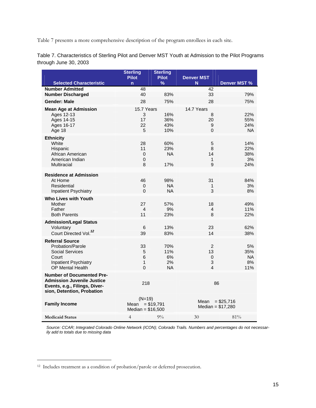Table 7 presents a more comprehensive description of the program enrollees in each site.

Table 7. Characteristics of Sterling Pilot and Denver MST Youth at Admission to the Pilot Programs through June 30, 2003

|                                                                    | <b>Sterling</b><br><b>Pilot</b> | <b>Sterling</b><br><b>Pilot</b> | <b>Denver MST</b> |                     |
|--------------------------------------------------------------------|---------------------------------|---------------------------------|-------------------|---------------------|
| <b>Selected Characteristic</b>                                     | $\overline{n}$                  | $\frac{9}{6}$                   | N                 | <b>Denver MST %</b> |
| <b>Number Admitted</b>                                             | 48                              |                                 | 42                |                     |
| <b>Number Discharged</b>                                           | 40                              | 83%                             | 33                | 79%                 |
| <b>Gender: Male</b>                                                | 28                              | 75%                             | 28                | 75%                 |
| <b>Mean Age at Admission</b>                                       | 15.7 Years                      |                                 | 14.7 Years        |                     |
| Ages 12-13                                                         | 3                               | 16%                             | 8                 | 22%                 |
| Ages 14-15                                                         | 17                              | 36%                             | 20                | 55%                 |
| Ages 16-17                                                         | 22                              | 43%                             | 9                 | 24%                 |
| Age 18                                                             | 5                               | 10%                             | $\Omega$          | <b>NA</b>           |
| <b>Ethnicity</b>                                                   |                                 |                                 |                   |                     |
| White                                                              | 28                              | 60%                             | 5                 | 14%                 |
| Hispanic                                                           | 11                              | 23%                             | 8                 | 22%                 |
| African American                                                   | 0                               | <b>NA</b>                       | 14                | 38%                 |
| American Indian<br><b>Multiracial</b>                              | $\mathbf 0$<br>8                | 17%                             | $\mathbf{1}$<br>9 | 3%<br>24%           |
|                                                                    |                                 |                                 |                   |                     |
| <b>Residence at Admission</b>                                      |                                 |                                 |                   |                     |
| At Home                                                            | 46                              | 98%                             | 31                | 84%                 |
| Residential                                                        | 0                               | <b>NA</b>                       | $\mathbf{1}$      | 3%                  |
| Inpatient Psychiatry                                               | $\overline{0}$                  | <b>NA</b>                       | 3                 | 8%                  |
| <b>Who Lives with Youth</b>                                        |                                 |                                 |                   |                     |
| Mother                                                             | 27                              | 57%                             | 18                | 49%                 |
| Father                                                             | 4                               | 9%                              | 4                 | 11%                 |
| <b>Both Parents</b>                                                | 11                              | 23%                             | 8                 | 22%                 |
| <b>Admission/Legal Status</b>                                      |                                 |                                 |                   |                     |
| Voluntary                                                          | 6                               | 13%                             | 23                | 62%                 |
| Court Directed Vol. <sup>12</sup>                                  | 39                              | 83%                             | 14                | 38%                 |
| <b>Referral Source</b>                                             |                                 |                                 |                   |                     |
| Probation/Parole                                                   | 33                              | 70%                             | $\overline{2}$    | 5%                  |
| <b>Social Services</b>                                             | 5                               | 11%                             | 13                | 35%                 |
| Court                                                              | 6                               | 6%                              | 0                 | <b>NA</b>           |
| <b>Inpatient Psychiatry</b>                                        | $\mathbf{1}$                    | 2%                              | 3                 | 8%                  |
| <b>OP Mental Health</b>                                            | $\overline{0}$                  | <b>NA</b>                       | $\overline{4}$    | 11%                 |
| <b>Number of Documented Pre-</b>                                   |                                 |                                 |                   |                     |
| <b>Admission Juvenile Justice</b><br>Events, e.g., Filings, Diver- | 218                             |                                 |                   | 86                  |
| sion, Detention, Probation                                         |                                 |                                 |                   |                     |
|                                                                    |                                 |                                 |                   |                     |
| <b>Family Income</b>                                               | $(N=19)$<br>Mean                | $= $19,791$                     | Mean              | $= $25,716$         |
|                                                                    | Median = $$16,500$              |                                 |                   | Median = $$17,280$  |
|                                                                    |                                 |                                 |                   |                     |
| <b>Medicaid Status</b>                                             | $\overline{4}$                  | $9\%$                           | 30                | 81%                 |

*Source: CCAR; Integrated Colorado Online Network (ICON); Colorado Trails. Numbers and percentages do not necessarily add to totals due to missing data* 

 $\overline{a}$ 

<sup>&</sup>lt;sup>12</sup> Includes treatment as a condition of probation/parole or deferred prosecution.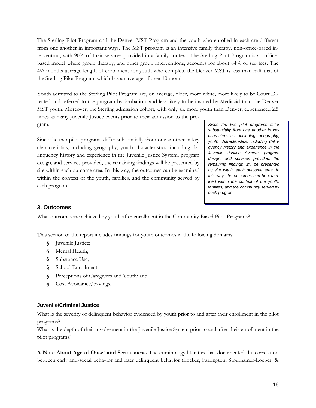The Sterling Pilot Program and the Denver MST Program and the youth who enrolled in each are different from one another in important ways. The MST program is an intensive family therapy, non-office-based intervention, with 90% of their services provided in a family context. The Sterling Pilot Program is an officebased model where group therapy, and other group interventions, accounts for about 84% of services. The 4½ months average length of enrollment for youth who complete the Denver MST is less than half that of the Sterling Pilot Program, which has an average of over 10 months.

Youth admitted to the Sterling Pilot Program are, on average, older, more white, more likely to be Court Directed and referred to the program by Probation, and less likely to be insured by Medicaid than the Denver MST youth. Moreover, the Sterling admission cohort, with only six more youth than Denver, experienced 2.5 times as many Juvenile Justice events prior to their admission to the pro-

gram.

Since the two pilot programs differ substantially from one another in key characteristics, including geography, youth characteristics, including delinquency history and experience in the Juvenile Justice System, program design, and services provided, the remaining findings will be presented by site within each outcome area. In this way, the outcomes can be examined within the context of the youth, families, and the community served by each program.

*Since the two pilot programs differ substantially from one another in key characteristics, including geography, youth characteristics, including delinquency history and experience in the Juvenile Justice System, program design, and services provided, the remaining findings will be presented by site within each outcome area. In this way, the outcomes can be examined within the context of the youth, families, and the community served by each program.* 

### **3. Outcomes**

What outcomes are achieved by youth after enrollment in the Community Based Pilot Programs?

This section of the report includes findings for youth outcomes in the following domains:

- **§** Juvenile Justice;
- **§** Mental Health;
- **§** Substance Use;
- **§** School Enrollment;
- **§** Perceptions of Caregivers and Youth; and
- **§** Cost Avoidance/Savings.

#### **Juvenile/Criminal Justice**

What is the severity of delinquent behavior evidenced by youth prior to and after their enrollment in the pilot programs?

What is the depth of their involvement in the Juvenile Justice System prior to and after their enrollment in the pilot programs?

**A Note About Age of Onset and Seriousness.** The criminology literature has documented the correlation between early anti-social behavior and later delinquent behavior (Loeber, Farrington, Stouthamer-Loeber, &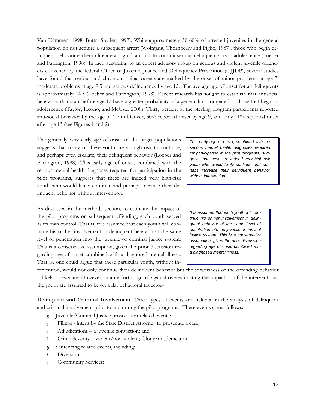Van Kammen, 1998; Butts, Snyder, 1997). While approximately 50-60% of arrested juveniles in the general population do not acquire a subsequent arrest (Wolfgang, Thornberry and Figlio, 1987), those who begin delinquent behavior earlier in life are at significant risk to commit serious delinquent acts in adolescence (Loeber and Farrington, 1998). In fact, according to an expert advisory group on serious and violent juvenile offenders convened by the federal Office of Juvenile Justice and Delinquency Prevention (OJJDP), several studies have found that serious and chronic criminal careers are marked by the onset of minor problems at age 7, moderate problems at age 9.5 and serious delinquency by age 12. The average age of onset for all delinquents is approximately 14.5 (Loeber and Farrington, 1998). Recent research has sought to establish that antisocial behaviors that start before age 12 have a greater probability of a genetic link compared to those that begin in adolescence (Taylor, Iacono, and McGue, 2000). Thirty percent of the Sterling program participants reported anti-social behavior by the age of 11; in Denver, 30% reported onset by age 9, and only 11% reported onset after age 13 (see Figures 1 and 2).

The generally very early age of onset of the target populations suggests that many of these youth are at high-risk to continue, and perhaps even escalate, their delinquent behavior (Loeber and Farrington, 1998). This early age of onset, combined with the serious mental health diagnoses required for participation in the pilot programs, suggests that these are indeed very high-risk youth who would likely continue and perhaps increase their delinquent behavior without intervention.

As discussed in the methods section, to estimate the impact of the pilot programs on subsequent offending, each youth served as its own control. That is, it is assumed that each youth will continue his or her involvement in delinquent behavior at the same level of penetration into the juvenile or criminal justice system. This is a conservative assumption, given the prior discussion regarding age of onset combined with a diagnosed mental illness. That is, one could argue that these particular youth, without in-

*This early age of onset, combined with the serious mental health diagnoses required for participation in the pilot programs, suggests that these are indeed very high-risk youth who would likely continue and perhaps increase their delinquent behavior without intervention.* 

*It is assumed that each youth will continue his or her involvement in delinquent behavior at the same level of penetration into the juvenile or criminal justice system. This is a conservative assumption, given the prior discussion regarding age of onset combined with a diagnosed mental illness.* 

tervention, would not only continue their delinquent behavior but the seriousness of the offending behavior is likely to escalate. However, in an effort to guard against overestimating the impact of the interventions, the youth are assumed to be on a flat behavioral trajectory.

**Delinquent and Criminal Involvement.** Three types of events are included in the analysis of delinquent and criminal involvement prior to and during the pilot programs. These events are as follows:

- **§** Juvenile/Criminal Justice prosecution related events:
- § Filings intent by the State District Attorney to prosecute a case;
- § Adjudications a juvenile conviction; and
- § Crime Severity violent/non-violent; felony/misdemeanor.
- **§** Sentencing related events, including:
- § Diversion;
- § Community Services;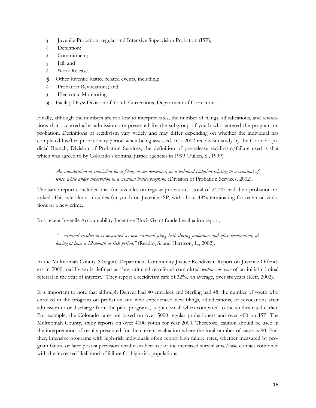- § Juvenile Probation, regular and Intensive Supervision Probation (ISP);
- § Detention;
- § Commitment;
- § Jail; and
- § Work Release.
- **§** Other Juvenile Justice related events, including:
- § Probation Revocations; and
- § Electronic Monitoring.
- **§** Facility Days: Division of Youth Corrections, Department of Corrections.

Finally, although the numbers are too low to interpret rates, the number of filings, adjudications, and revocations that occurred after admission, are presented for the subgroup of youth who entered the program on probation. Definitions of recidivism vary widely and may differ depending on whether the individual has completed his/her probationary period when being assessed. In a 2002 recidivism study by the Colorado Judicial Branch, Division of Probation Services, the definition of pre-release recidivism/failure used is that which was agreed to by Colorado's criminal justice agencies in 1999 (Pullen, S., 1999)

*An adjudication or conviction for a felony or misdemeanor, or a technical violation relating to a criminal offense, while under supervision in a criminal justice program.* (Division of Probation Services, 2002).

The same report concluded that for juveniles on regular probation, a total of 24.4% had their probation revoked. This rate almost doubles for youth on Juvenile ISP, with about 48% terminating for technical violations or a new crime.

In a recent Juvenile Accountability Incentive Block Grant funded evaluation report,

*"…criminal recidivism is measured as new criminal filing both during probation and after termination, allowing at least a 12-month at risk period."* (Readio, S. and Harrison, L., 2002).

In the Multnomah County (Oregon) Department Community Justice Recidivism Report on Juvenile Offenders in 2000, recidivism is defined as "any criminal re-referral committed *within one year* of an initial criminal referral in the year of interest." They report a recidivism rate of 32%, on average, over six years (Keir, 2002).

It is important to note that although Denver had 40 enrollees and Sterling had 48, the number of youth who enrolled in the program on probation and who experienced new filings, adjudications, or revocations after admission to or discharge from the pilot programs, is quite small when compared to the studies cited earlier. For example, the Colorado rates are based on over 5000 regular probationers and over 400 on ISP. The Multnomah County, study reports on over 4000 youth for year 2000. Therefore, caution should be used in the interpretation of results presented for the current evaluation where the total number of cases is 90. Further, intensive programs with high-risk individuals often report high failure rates, whether measured by program failure or later post-supervision recidivism because of the increased surveillance/case contact combined with the increased likelihood of failure for high-risk populations.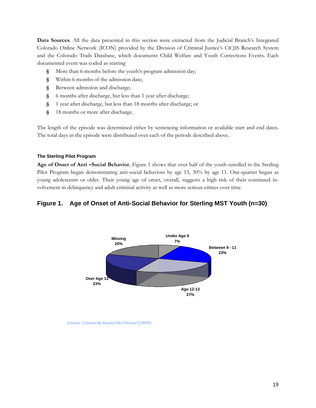**Data Sources**. All the data presented in this section were extracted from the Judicial Branch's Integrated Colorado Online Network (ICON) provided by the Division of Criminal Justice's CICJIS Research System and the Colorado Trails Database, which documents Child Welfare and Youth Corrections Events. Each documented event was coded as starting

- **§** More than 6 months before the youth's program admission day;
- **§** Within 6 months of the admission date;
- **§** Between admission and discharge;
- **§** 6 months after discharge, but less than 1 year after discharge;
- **§** 1 year after discharge, but less than 18 months after discharge; or
- **§** 18 months or more after discharge.

The length of the episode was determined either by sentencing information or available start and end dates. The total days in the episode were distributed over each of the periods described above.

#### **The Sterling Pilot Program**

**Age of Onset of Anti –Social Behavior.** Figure 1 shows that over half of the youth enrolled in the Sterling Pilot Program began demonstrating anti-social behaviors by age 13, 30% by age 11. One-quarter began as young adolescents or older. Their young age of onset, overall, suggests a high risk of their continued involvement in delinquency and adult criminal activity as well as more serious crimes over time.

## **Figure 1. Age of Onset of Anti-Social Behavior for Sterling MST Youth (n=30)**



*Source: Community Based Pilot Record (CBPR*)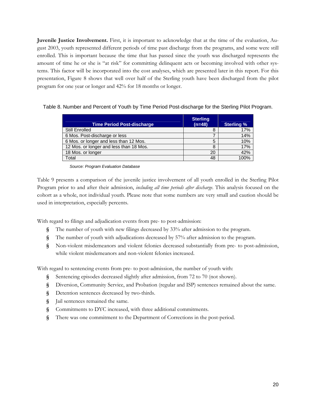**Juvenile Justice Involvement.** First, it is important to acknowledge that at the time of the evaluation, August 2003, youth represented different periods of time past discharge from the programs, and some were still enrolled. This is important because the time that has passed since the youth was discharged represents the amount of time he or she is "at risk" for committing delinquent acts or becoming involved with other systems. This factor will be incorporated into the cost analyses, which are presented later in this report. For this presentation, Figure 8 shows that well over half of the Sterling youth have been discharged from the pilot program for one year or longer and 42% for 18 months or longer.

#### Table 8. Number and Percent of Youth by Time Period Post-discharge for the Sterling Pilot Program.

| <b>Time Period Post-discharge</b>       | <b>Sterling</b><br>$(n=48)$ | <b>Sterling %</b> |
|-----------------------------------------|-----------------------------|-------------------|
| <b>Still Enrolled</b>                   |                             | 17%               |
| 6 Mos. Post-discharge or less           |                             | 14%               |
| 6 Mos. or longer and less than 12 Mos.  | 5                           | 10%               |
| 12 Mos. or longer and less than 18 Mos. |                             | 17%               |
| 18 Mos. or longer                       | 20                          | 42%               |
| Total                                   | 48                          | 1በበ%              |

*Source: Program Evaluation Database* 

Table 9 presents a comparison of the juvenile justice involvement of all youth enrolled in the Sterling Pilot Program prior to and after their admission, *including all time periods after discharge*. This analysis focused on the cohort as a whole, not individual youth. Please note that some numbers are very small and caution should be used in interpretation, especially percents.

With regard to filings and adjudication events from pre- to post-admission:

- **§** The number of youth with new filings decreased by 33% after admission to the program.
- **§** The number of youth with adjudications decreased by 57% after admission to the program.
- **§** Non-violent misdemeanors and violent felonies decreased substantially from pre- to post-admission, while violent misdemeanors and non-violent felonies increased.

With regard to sentencing events from pre- to post-admission, the number of youth with:

- **§** Sentencing episodes decreased slightly after admission, from 72 to 70 (not shown).
- **§** Diversion, Community Service, and Probation (regular and ISP) sentences remained about the same.
- **§** Detention sentences decreased by two-thirds.
- **§** Jail sentences remained the same.
- **§** Commitments to DYC increased, with three additional commitments.
- **§** There was one commitment to the Department of Corrections in the post-period.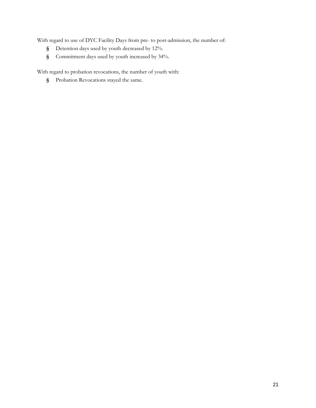With regard to use of DYC Facility Days from pre- to post-admission, the number of:

- **§** Detention days used by youth decreased by 12%.
- **§** Commitment days used by youth increased by 34%.

With regard to probation revocations, the number of youth with:

**§** Probation Revocations stayed the same.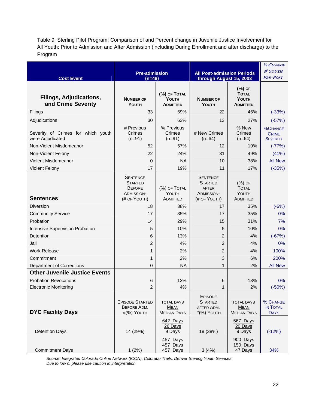Table 9. Sterling Pilot Program: Comparison of and Percent change in Juvenile Justice Involvement for All Youth: Prior to Admission and After Admission (including During Enrollment and after discharge) to the Program

|                                                        |                                                                                  |                                                        |                                                                                 | % CHANGE                                               |                                                   |
|--------------------------------------------------------|----------------------------------------------------------------------------------|--------------------------------------------------------|---------------------------------------------------------------------------------|--------------------------------------------------------|---------------------------------------------------|
|                                                        | <b>Pre-admission</b>                                                             |                                                        | <b>All Post-admission Periods</b>                                               | $\#$ YOUTH                                             |                                                   |
| <b>Cost Event</b>                                      | $(n=48)$                                                                         |                                                        | through August 15, 2003                                                         |                                                        | <b>PRE-POST</b>                                   |
| <b>Filings, Adjudications,</b><br>and Crime Severity   | <b>NUMBER OF</b><br>YOUTH                                                        | (%) OF TOTAL<br>YOUTH<br><b>ADMITTED</b>               | <b>NUMBER OF</b><br>YOUTH                                                       | (%) OF<br><b>TOTAL</b><br>YOUTH<br><b>ADMITTED</b>     |                                                   |
| Filings                                                | 33                                                                               | 69%                                                    | 22                                                                              | 46%                                                    | $(-33%)$                                          |
| Adjudications                                          | 30                                                                               | 63%                                                    | 13                                                                              | 27%                                                    | $(-57%)$                                          |
| Severity of Crimes for which youth<br>were Adjudicated | # Previous<br>Crimes<br>$(n=91)$                                                 | % Previous<br>Crimes<br>$(n=91)$                       | # New Crimes<br>$(n=64)$                                                        | % New<br>Crimes<br>$(n=64)$                            | <b>%CHANGE</b><br><b>CRIME</b><br><b>SEVERITY</b> |
| Non-Violent Misdemeanor                                | 52                                                                               | 57%                                                    | $12 \overline{ }$                                                               | 19%                                                    | $(-77%)$                                          |
| Non-Violent Felony                                     | 22                                                                               | 24%                                                    | 31                                                                              | 49%                                                    | (41%)                                             |
| Violent Misdemeanor                                    | $\Omega$                                                                         | <b>NA</b>                                              | 10                                                                              | 38%                                                    | <b>All New</b>                                    |
| <b>Violent Felony</b>                                  | 17                                                                               | 19%                                                    | 11                                                                              | 17%                                                    | $(-35%)$                                          |
| <b>Sentences</b>                                       | <b>SENTENCE</b><br><b>STARTED</b><br><b>BEFORE</b><br>ADMISSION-<br>(# OF YOUTH) | (%) OF TOTAL<br>YOUTH<br>ADMITTED                      | <b>SENTENCE</b><br><b>STARTED</b><br><b>AFTER</b><br>ADMISSION-<br>(# OF YOUTH) | $(%)$ OF<br><b>TOTAL</b><br>YOUTH<br>ADMITTED          |                                                   |
| <b>Diversion</b>                                       | 18                                                                               | 38%                                                    | 17                                                                              | 35%                                                    | $(-6%)$                                           |
| <b>Community Service</b>                               | 17                                                                               | 35%                                                    | 17                                                                              | 35%                                                    | 0%                                                |
| Probation                                              | 14                                                                               | 29%                                                    | 15                                                                              | 31%                                                    | 7%                                                |
| Intensive Supervision Probation                        | 5                                                                                | 10%                                                    | 5                                                                               | 10%                                                    | 0%                                                |
| Detention                                              | 6                                                                                | 13%                                                    | 2                                                                               | 4%                                                     | $(-67%)$                                          |
| Jail                                                   | 2                                                                                | 4%                                                     | $\overline{2}$                                                                  | 4%                                                     | 0%                                                |
| <b>Work Release</b>                                    | 1                                                                                | 2%                                                     | $\overline{2}$                                                                  | 4%                                                     | 100%                                              |
| Commitment                                             | 1                                                                                | 2%                                                     | 3                                                                               | 6%                                                     | 200%                                              |
| <b>Department of Corrections</b>                       | $\Omega$                                                                         | <b>NA</b>                                              | $\mathbf{1}$                                                                    | 2%                                                     | <b>All New</b>                                    |
| <b>Other Juvenile Justice Events</b>                   |                                                                                  |                                                        |                                                                                 |                                                        |                                                   |
| <b>Probation Revocations</b>                           | 6                                                                                | 13%                                                    | 6                                                                               | 13%                                                    | $0\%$                                             |
| <b>Electronic Monitoring</b>                           | $\overline{2}$                                                                   | 4%                                                     | 1                                                                               | 2%                                                     | $(-50%)$                                          |
| <b>DYC Facility Days</b>                               | <b>EPISODE STARTED</b><br>BEFORE ADM.<br>#(%) YOUTH                              | <b>TOTAL DAYS</b><br><b>MEAN</b><br><b>MEDIAN DAYS</b> | <b>EPISODE</b><br><b>STARTED</b><br>AFTER ADM.<br>#(%) YOUTH                    | <b>TOTAL DAYS</b><br><b>MEAN</b><br><b>MEDIAN DAYS</b> | % CHANGE<br>IN TOTAL<br><b>DAYS</b>               |
| <b>Detention Days</b>                                  | 14 (29%)                                                                         | 642 Days<br>26 Days<br>9 Days                          | 18 (38%)                                                                        | 567 Days<br>20 Days<br>9 Days                          | $(-12%)$                                          |
| <b>Commitment Days</b>                                 | 1(2%)                                                                            | 457 Days<br>457 Days<br>457 Days                       | 3(4%)                                                                           | 900 Days<br>150 Days<br>47 Days                        | 34%                                               |

*Source: Integrated Colorado Online Network (ICON); Colorado Trails, Denver Sterling Youth Services Due to low n, please use caution in interpretation*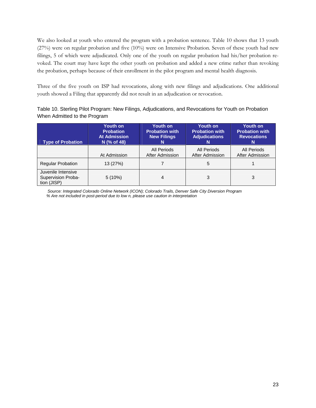We also looked at youth who entered the program with a probation sentence. Table 10 shows that 13 youth (27%) were on regular probation and five (10%) were on Intensive Probation. Seven of these youth had new filings, 5 of which were adjudicated. Only one of the youth on regular probation had his/her probation revoked. The court may have kept the other youth on probation and added a new crime rather than revoking the probation, perhaps because of their enrollment in the pilot program and mental health diagnosis.

Three of the five youth on ISP had revocations, along with new filings and adjudications. One additional youth showed a Filing that apparently did not result in an adjudication or revocation.

| Table 10. Sterling Pilot Program: New Filings, Adjudications, and Revocations for Youth on Probation |  |
|------------------------------------------------------------------------------------------------------|--|
| When Admitted to the Program                                                                         |  |

| <b>Type of Probation</b>                                | <b>Youth on</b><br><b>Probation</b><br><b>At Admission</b><br>N (% of 48) | <b>Youth on</b><br><b>Probation with</b><br><b>New Filings</b><br>N | Youth on<br><b>Probation with</b><br><b>Adjudications</b> | Youth on<br><b>Probation with</b><br><b>Revocations</b><br>N |
|---------------------------------------------------------|---------------------------------------------------------------------------|---------------------------------------------------------------------|-----------------------------------------------------------|--------------------------------------------------------------|
|                                                         | At Admission                                                              | All Periods<br>After Admission                                      | All Periods<br>After Admission                            | All Periods<br>After Admission                               |
| <b>Regular Probation</b>                                | 13 (27%)                                                                  |                                                                     | 5                                                         |                                                              |
| Juvenile Intensive<br>Supervision Proba-<br>tion (JISP) | 5(10%)                                                                    |                                                                     | 3                                                         | 3                                                            |

 *Source: Integrated Colorado Online Network (ICON); Colorado Trails, Denver Safe City Diversion Program % Are not included in post-period due to low n, please use caution in interpretation*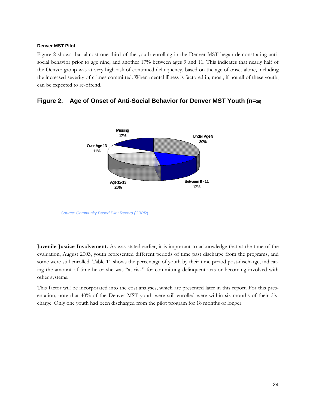### **Denver MST Pilot**

Figure 2 shows that almost one third of the youth enrolling in the Denver MST began demonstrating antisocial behavior prior to age nine, and another 17% between ages 9 and 11. This indicates that nearly half of the Denver group was at very high risk of continued delinquency, based on the age of onset alone, including the increased severity of crimes committed. When mental illness is factored in, most, if not all of these youth, can be expected to re-offend.





*Source: Community Based Pilot Record (CBPR*)

**Juvenile Justice Involvement.** As was stated earlier, it is important to acknowledge that at the time of the evaluation, August 2003, youth represented different periods of time past discharge from the programs, and some were still enrolled. Table 11 shows the percentage of youth by their time period post-discharge, indicating the amount of time he or she was "at risk" for committing delinquent acts or becoming involved with other systems.

This factor will be incorporated into the cost analyses, which are presented later in this report. For this presentation, note that 40% of the Denver MST youth were still enrolled were within six months of their discharge. Only one youth had been discharged from the pilot program for 18 months or longer.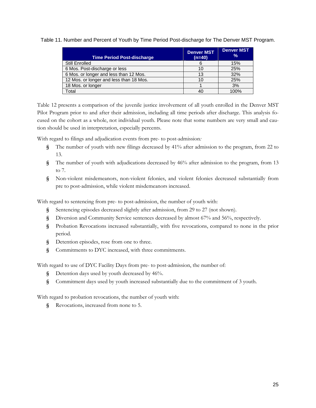Table 11. Number and Percent of Youth by Time Period Post-discharge for The Denver MST Program.

| <b>Time Period Post-discharge</b>       | <b>Denver MST</b><br>$(n=40)$ | <b>Denver MST</b><br>$\%$ |
|-----------------------------------------|-------------------------------|---------------------------|
| <b>Still Enrolled</b>                   | 6                             | 15%                       |
| 6 Mos. Post-discharge or less           | 10                            | 25%                       |
| 6 Mos. or longer and less than 12 Mos.  | 13                            | 32%                       |
| 12 Mos. or longer and less than 18 Mos. | 10                            | 25%                       |
| 18 Mos. or longer                       |                               | 3%                        |
| Total                                   | 40                            | 100%                      |

Table 12 presents a comparison of the juvenile justice involvement of all youth enrolled in the Denver MST Pilot Program prior to and after their admission, including all time periods after discharge. This analysis focused on the cohort as a whole, not individual youth. Please note that some numbers are very small and caution should be used in interpretation, especially percents.

With regard to filings and adjudication events from pre- to post-admission*:* 

- **§** The number of youth with new filings decreased by 41% after admission to the program, from 22 to 13.
- **§** The number of youth with adjudications decreased by 46% after admission to the program, from 13 to 7.
- **§** Non-violent misdemeanors, non-violent felonies, and violent felonies decreased substantially from pre to post-admission, while violent misdemeanors increased.

With regard to sentencing from pre- to post-admission, the number of youth with:

- **§** Sentencing episodes decreased slightly after admission, from 29 to 27 (not shown).
- **§** Diversion and Community Service sentences decreased by almost 67% and 56%, respectively.
- **§** Probation Revocations increased substantially, with five revocations, compared to none in the prior period.
- **§** Detention episodes, rose from one to three.
- **§** Commitments to DYC increased, with three commitments.

With regard to use of DYC Facility Days from pre- to post-admission, the number of:

- **§** Detention days used by youth decreased by 46%.
- **§** Commitment days used by youth increased substantially due to the commitment of 3 youth.

With regard to probation revocations, the number of youth with:

**§** Revocations, increased from none to 5.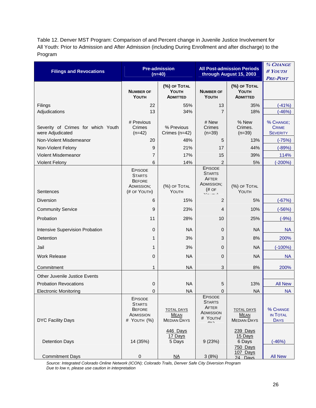Table 12. Denver MST Program: Comparison of and Percent change in Juvenile Justice Involvement for All Youth: Prior to Admission and After Admission (including During Enrollment and after discharge) to the Program

| <b>Filings and Revocations</b>                         | <b>Pre-admission</b><br>$(n=40)$                                        |                                                        | <b>All Post-admission Periods</b><br>through August 15, 2003                        |                                                        | % CHANGE<br>#YOUTH<br><b>PRE-POST</b>        |
|--------------------------------------------------------|-------------------------------------------------------------------------|--------------------------------------------------------|-------------------------------------------------------------------------------------|--------------------------------------------------------|----------------------------------------------|
|                                                        | <b>NUMBER OF</b><br>YOUTH                                               | (%) OF TOTAL<br>YOUTH<br><b>ADMITTED</b>               | <b>NUMBER OF</b><br>YOUTH                                                           | (%) OF TOTAL<br>YOUTH<br><b>ADMITTED</b>               |                                              |
| Filings<br>Adjudications                               | 22<br>13                                                                | 55%<br>34%                                             | 13<br>7                                                                             | 35%<br>18%                                             | $(-41%)$<br>(-46%)                           |
| Severity of Crimes for which Youth<br>were Adjudicated | # Previous<br>Crimes<br>$(n=42)$                                        | % Previous<br>Crimes $(n=42)$                          | # New<br>Crimes<br>$(n=39)$                                                         | % New<br>Crimes.<br>$(n=39)$                           | % CHANGE;<br><b>CRIME</b><br><b>SEVERITY</b> |
| Non-Violent Misdemeanor                                | 20                                                                      | 48%                                                    | 5                                                                                   | 13%                                                    | $(-75%)$                                     |
| Non-Violent Felony                                     | 9                                                                       | 21%                                                    | 17                                                                                  | 44%                                                    | $(-89%)$                                     |
| Violent Misdemeanor                                    | $\overline{7}$                                                          | 17%                                                    | 15                                                                                  | 39%                                                    | 114%                                         |
| <b>Violent Felony</b>                                  | 6                                                                       | 14%                                                    | $\overline{2}$                                                                      | 5%                                                     | $(-200%)$                                    |
| Sentences                                              | EPISODE<br><b>STARTS</b><br><b>BEFORE</b><br>ADMISSION;<br>(# OF YOUTH) | (%) OF TOTAL<br>YOUTH                                  | EPISODE<br><b>STARTS</b><br>AFTER<br>ADMISSION;<br>$($ # OF                         | (%) OF TOTAL<br>YOUTH                                  |                                              |
| Diversion                                              | 6                                                                       | 15%                                                    | $\overline{2}$                                                                      | 5%                                                     | $(-67%)$                                     |
| <b>Community Service</b>                               | 9                                                                       | 23%                                                    | 4                                                                                   | 10%                                                    | $(-56%)$                                     |
| Probation                                              | 11                                                                      | 28%                                                    | 10                                                                                  | 25%                                                    | $(-9%)$                                      |
| Intensive Supervision Probation                        | $\mathbf 0$                                                             | <b>NA</b>                                              | 0                                                                                   | <b>NA</b>                                              | <b>NA</b>                                    |
| <b>Detention</b>                                       | 1                                                                       | 3%                                                     | 3                                                                                   | 8%                                                     | 200%                                         |
| Jail                                                   | 1                                                                       | 3%                                                     | $\mathbf 0$                                                                         | <b>NA</b>                                              | $(-100%)$                                    |
| <b>Work Release</b>                                    | 0                                                                       | <b>NA</b>                                              | $\overline{0}$                                                                      | <b>NA</b>                                              | <b>NA</b>                                    |
| Commitment                                             | $\mathbf{1}$                                                            | <b>NA</b>                                              | $\mathbf{3}$                                                                        | 8%                                                     | 200%                                         |
| <b>Other Juvenile Justice Events</b>                   |                                                                         |                                                        |                                                                                     |                                                        |                                              |
| <b>Probation Revocations</b>                           | 0                                                                       | <b>NA</b>                                              | 5                                                                                   | 13%                                                    | <b>All New</b>                               |
| Electronic Monitoring                                  | 0                                                                       | <b>NA</b>                                              | 0                                                                                   | <b>NA</b>                                              | <b>NA</b>                                    |
| <b>DYC Facility Days</b>                               | EPISODE<br><b>STARTS</b><br><b>BEFORE</b><br>ADMISSION<br># YOUTH (%)   | <b>TOTAL DAYS</b><br><b>MEAN</b><br><b>MEDIAN DAYS</b> | <b>EPISODE</b><br><b>STARTS</b><br>AFTER<br>ADMISSION<br># YOUTH/<br>$\overline{u}$ | <b>TOTAL DAYS</b><br><b>MEAN</b><br><b>MEDIAN DAYS</b> | % CHANGE<br>IN TOTAL<br><b>DAYS</b>          |
| <b>Detention Days</b>                                  | 14 (35%)                                                                | 446 Days<br>17 Days<br>5 Days                          | 9(23%)                                                                              | 239 Days<br>15 Days<br>6 Days                          | $(-46%)$                                     |
| <b>Commitment Days</b>                                 | 0                                                                       | $\overline{NA}$                                        | 3(8%)                                                                               | 750 Days<br>107 Days<br>24 Days                        | <b>All New</b>                               |

*Source: Integrated Colorado Online Network (ICON); Colorado Trails, Denver Safe City Diversion Program Due to low n, please use caution in interpretation*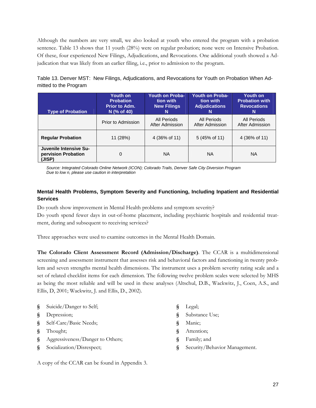Although the numbers are very small, we also looked at youth who entered the program with a probation sentence. Table 13 shows that 11 youth (28%) were on regular probation; none were on Intensive Probation. Of these, four experienced New Filings, Adjudications, and Revocations. One additional youth showed a Adjudication that was likely from an earlier filing, i.e., prior to admission to the program.

Table 13. Denver MST: New Filings, Adjudications, and Revocations for Youth on Probation When Admitted to the Program

| <b>Type of Probation</b>                                | Youth on<br><b>Probation</b><br>Prior to Adm.<br>N (% of 40) | <b>Youth on Proba-</b><br>tion with<br><b>New Filings</b><br>N | <b>Youth on Proba-</b><br>tion with<br><b>Adjudications</b><br>N | Youth on<br><b>Probation with</b><br><b>Revocations</b><br>N |
|---------------------------------------------------------|--------------------------------------------------------------|----------------------------------------------------------------|------------------------------------------------------------------|--------------------------------------------------------------|
|                                                         | Prior to Admission                                           | All Periods<br>After Admission                                 | All Periods<br>After Admission                                   | All Periods<br>After Admission                               |
| <b>Regular Probation</b>                                | 11 (28%)                                                     | 4 (36% of 11)                                                  | 5 (45% of 11)                                                    | 4 (36% of 11)                                                |
| Juvenile Intensive Su-<br>pervision Probation<br>(JISP) | 0                                                            | <b>NA</b>                                                      | ΝA                                                               | <b>NA</b>                                                    |

*Source: Integrated Colorado Online Network (ICON); Colorado Trails, Denver Safe City Diversion Program Due to low n, please use caution in interpretation* 

## **Mental Health Problems, Symptom Severity and Functioning, Including Inpatient and Residential Services**

Do youth show improvement in Mental Health problems and symptom severity?

Do youth spend fewer days in out-of-home placement, including psychiatric hospitals and residential treatment, during and subsequent to receiving services?

Three approaches were used to examine outcomes in the Mental Health Domain.

**The Colorado Client Assessment Record (Admission/Discharge)**. The CCAR is a multidimensional screening and assessment instrument that assesses risk and behavioral factors and functioning in twenty problem and seven strengths mental health dimensions. The instrument uses a problem severity rating scale and a set of related checklist items for each dimension. The following twelve problem scales were selected by MHS as being the most reliable and will be used in these analyses (Altschul, D.B., Wackwitz, J., Coen, A.S., and Ellis, D, 2001; Wackwitz, J. and Ellis, D., 2002).

- **§** Suicide/Danger to Self;
- **§** Depression;
- **§** Self-Care/Basic Needs;
- **§** Thought;
- **§** Aggressiveness/Danger to Others;
- **§** Socialization/Disrespect;

A copy of the CCAR can be found in Appendix 3.

- **§** Legal;
- **§** Substance Use;
- **§** Manic;
- **§** Attention;
- **§** Family; and
- **§** Security/Behavior Management.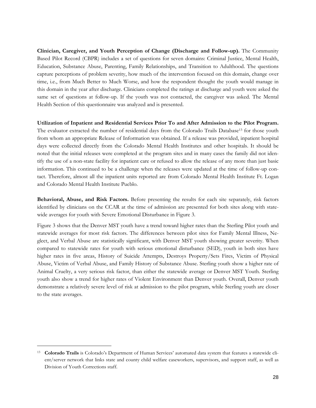**Clinician, Caregiver, and Youth Perception of Change (Discharge and Follow-up).** The Community Based Pilot Record (CBPR) includes a set of questions for seven domains: Criminal Justice, Mental Health, Education, Substance Abuse, Parenting, Family Relationships, and Transition to Adulthood. The questions capture perceptions of problem severity, how much of the intervention focused on this domain, change over time, i.e., from Much Better to Much Worse, and how the respondent thought the youth would manage in this domain in the year after discharge. Clinicians completed the ratings at discharge and youth were asked the same set of questions at follow-up. If the youth was not contacted, the caregiver was asked. The Mental Health Section of this questionnaire was analyzed and is presented.

**Utilization of Inpatient and Residential Services Prior To and After Admission to the Pilot Program.**  The evaluator extracted the number of residential days from the Colorado Trails Database<sup>13</sup> for those youth from whom an appropriate Release of Information was obtained. If a release was provided, inpatient hospital days were collected directly from the Colorado Mental Health Institutes and other hospitals. It should be noted that the initial releases were completed at the program sites and in many cases the family did not identify the use of a non-state facility for inpatient care or refused to allow the release of any more than just basic information. This continued to be a challenge when the releases were updated at the time of follow-up contact. Therefore, almost all the inpatient units reported are from Colorado Mental Health Institute Ft. Logan and Colorado Mental Health Institute Pueblo.

**Behavioral, Abuse, and Risk Factors.** Before presenting the results for each site separately, risk factors identified by clinicians on the CCAR at the time of admission are presented for both sites along with statewide averages for youth with Severe Emotional Disturbance in Figure 3.

Figure 3 shows that the Denver MST youth have a trend toward higher rates than the Sterling Pilot youth and statewide averages for most risk factors. The differences between pilot sites for Family Mental Illness, Neglect, and Verbal Abuse are statistically significant, with Denver MST youth showing greater severity. When compared to statewide rates for youth with serious emotional disturbance (SED), youth in both sites have higher rates in five areas, History of Suicide Attempts, Destroys Property/Sets Fires, Victim of Physical Abuse, Victim of Verbal Abuse, and Family History of Substance Abuse. Sterling youth show a higher rate of Animal Cruelty, a very serious risk factor, than either the statewide average or Denver MST Youth. Sterling youth also show a trend for higher rates of Violent Environment than Denver youth. Overall, Denver youth demonstrate a relatively severe level of risk at admission to the pilot program, while Sterling youth are closer to the state averages.

 $\overline{a}$ 

<sup>13</sup> **Colorado Trails** is Colorado's Department of Human Services' automated data system that features a statewide client/server network that links state and county child welfare caseworkers, supervisors, and support staff, as well as Division of Youth Corrections staff.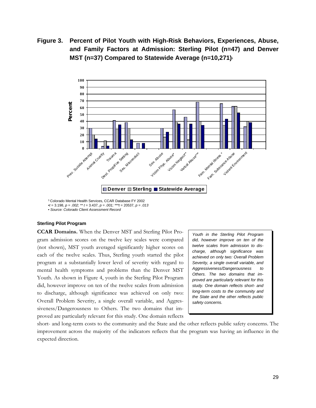**Figure 3. Percent of Pilot Youth with High-Risk Behaviors, Experiences, Abuse, and Family Factors at Admission: Sterling Pilot (n=47) and Denver MST (n=37) Compared to Statewide Average (n=10,271)** 



1 Colorado Mental Health Services, CCAR Database FY 2002 •*t* = 3.198, *p = .002; \*\* t* = 3.437, *p = .001; \*\*\*t* = 20537, *p = .013* • *Source: Colorado Client Assessment Record*

#### **Sterling Pilot Program**

**CCAR Domains.** When the Denver MST and Sterling Pilot Program admission scores on the twelve key scales were compared (not shown), MST youth averaged significantly higher scores on each of the twelve scales. Thus, Sterling youth started the pilot program at a substantially lower level of severity with regard to mental health symptoms and problems than the Denver MST Youth. As shown in Figure 4, youth in the Sterling Pilot Program did, however improve on ten of the twelve scales from admission to discharge, although significance was achieved on only two: Overall Problem Severity, a single overall variable, and Aggressiveness/Dangerousness to Others. The two domains that improved are particularly relevant for this study. One domain reflects

*Youth in the Sterling Pilot Program did, however improve on ten of the twelve scales from admission to discharge, although significance was achieved on only two: Overall Problem Severity, a single overall variable, and Aggressiveness/Dangerousness to Others. The two domains that improved are particularly relevant for this study. One domain reflects short- and long-term costs to the community and the State and the other reflects public safety concerns.* 

short- and long-term costs to the community and the State and the other reflects public safety concerns. The improvement across the majority of the indicators reflects that the program was having an influence in the expected direction.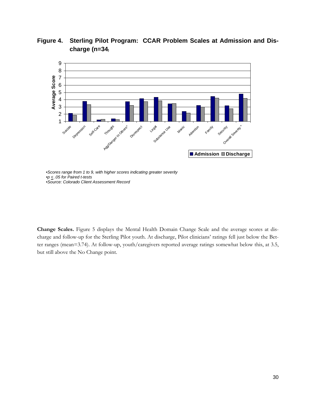

**Figure 4. Sterling Pilot Program: CCAR Problem Scales at Admission and Discharge (n=34)**

**Change Scales.** Figure 5 displays the Mental Health Domain Change Scale and the average scores at discharge and follow-up for the Sterling Pilot youth. At discharge, Pilot clinicians' ratings fell just below the Better ranges (mean=3.74). At follow-up, youth/caregivers reported average ratings somewhat below this, at 3.5, but still above the No Change point.

<sup>•</sup>*Scores range from 1 to 9, with higher scores indicating greater severity* •*p < .05 for Paired t-tests* •*Source: Colorado Client Assessment Record*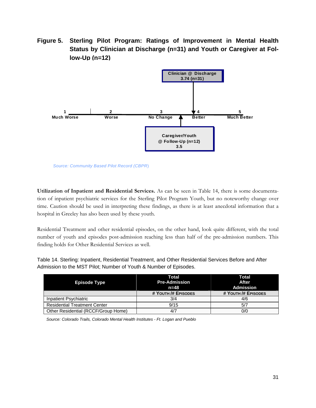**Figure 5. Sterling Pilot Program: Ratings of Improvement in Mental Health Status by Clinician at Discharge (n=31) and Youth or Caregiver at Follow-Up (n=12)**



*Source: Community Based Pilot Record (CBPR*)

**Utilization of Inpatient and Residential Services.** As can be seen in Table 14, there is some documentation of inpatient psychiatric services for the Sterling Pilot Program Youth, but no noteworthy change over time. Caution should be used in interpreting these findings, as there is at least anecdotal information that a hospital in Greeley has also been used by these youth.

Residential Treatment and other residential episodes, on the other hand, look quite different, with the total number of youth and episodes post-admission reaching less than half of the pre-admission numbers. This finding holds for Other Residential Services as well.

Table 14. Sterling: Inpatient, Residential Treatment, and Other Residential Services Before and After Admission to the MST Pilot; Number of Youth & Number of Episodes.

|                                     | Total                | <b>Total</b>        |  |
|-------------------------------------|----------------------|---------------------|--|
| <b>Episode Type</b>                 | <b>Pre-Admission</b> | <b>After</b>        |  |
|                                     | n=48                 | Admission           |  |
|                                     | # YOUTH /# EPISODES  | # YOUTH /# EPISODES |  |
| Inpatient Psychiatric               | 3/4                  | 4/6                 |  |
| <b>Residential Treatment Center</b> | 9/15                 | 5/7                 |  |
| Other Residential (RCCF/Group Home) |                      | 0/0                 |  |

*Source: Colorado Trails, Colorado Mental Health Institutes - Ft. Logan and Pueblo*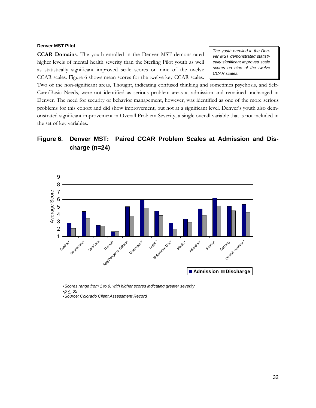#### **Denver MST Pilot**

**CCAR Domains**. The youth enrolled in the Denver MST demonstrated higher levels of mental health severity than the Sterling Pilot youth as well as statistically significant improved scale scores on nine of the twelve CCAR scales. Figure 6 shows mean scores for the twelve key CCAR scales.

*The youth enrolled in the Denver MST demonstrated statistically significant improved scale scores on nine of the twelve CCAR scales.* 

Two of the non-significant areas, Thought, indicating confused thinking and sometimes psychosis, and Self-Care/Basic Needs, were not identified as serious problem areas at admission and remained unchanged in Denver. The need for security or behavior management, however, was identified as one of the more serious problems for this cohort and did show improvement, but not at a significant level. Denver's youth also demonstrated significant improvement in Overall Problem Severity, a single overall variable that is not included in the set of key variables.

# **Figure 6. Denver MST: Paired CCAR Problem Scales at Admission and Discharge (n=24)**



•*Scores range from 1 to 9, with higher scores indicating greater severity* •*p < .05* •*Source: Colorado Client Assessment Record*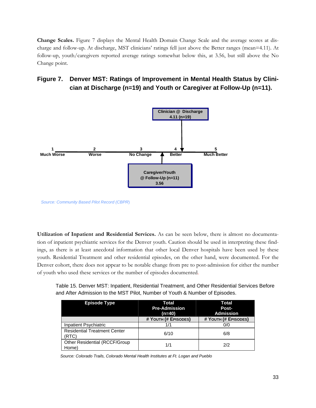**Change Scales.** Figure 7 displays the Mental Health Domain Change Scale and the average scores at discharge and follow-up. At discharge, MST clinicians' ratings fell just above the Better ranges (mean=4.11). At follow-up, youth/caregivers reported average ratings somewhat below this, at 3.56, but still above the No Change point.

# **Figure 7. Denver MST: Ratings of Improvement in Mental Health Status by Clinician at Discharge (n=19) and Youth or Caregiver at Follow-Up (n=11).**



*Source: Community Based Pilot Record (CBPR*)

**Utilization of Inpatient and Residential Services.** As can be seen below, there is almost no documentation of inpatient psychiatric services for the Denver youth. Caution should be used in interpreting these findings, as there is at least anecdotal information that other local Denver hospitals have been used by these youth. Residential Treatment and other residential episodes, on the other hand, were documented. For the Denver cohort, there does not appear to be notable change from pre to post-admission for either the number of youth who used these services or the number of episodes documented.

Table 15. Denver MST: Inpatient, Residential Treatment, and Other Residential Services Before and After Admission to the MST Pilot, Number of Youth & Number of Episodes.

| <b>Episode Type</b>                          | Total<br><b>Pre-Admission</b><br>$(n=40)$ | Total<br>Post-<br><b>Admission</b> |
|----------------------------------------------|-------------------------------------------|------------------------------------|
|                                              | # YOUTH (# EPISODES)                      | # YOUTH (# EPISODES)               |
| Inpatient Psychiatric                        |                                           | 0/0                                |
| <b>Residential Treatment Center</b><br>(RTC) | 6/10                                      | 6/8                                |
| Other Residential (RCCF/Group<br>Home)       | 1/1                                       | 2/2                                |

*Source: Colorado Trails, Colorado Mental Health Institutes at Ft. Logan and Pueblo*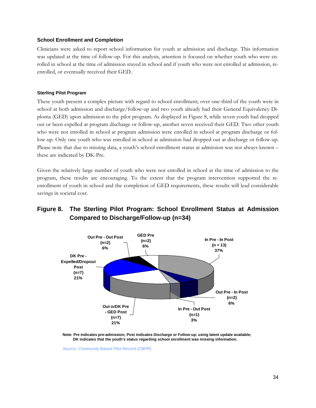### **School Enrollment and Completion**

Clinicians were asked to report school information for youth at admission and discharge. This information was updated at the time of follow-up. For this analysis, attention is focused on whether youth who were enrolled in school at the time of admission stayed in school and if youth who were not enrolled at admission, reenrolled, or eventually received their GED.

### **Sterling Pilot Program**

These youth present a complex picture with regard to school enrollment; over one-third of the youth were in school at both admission and discharge/follow-up and two youth already had their General Equivalency Diploma (GED) upon admission to the pilot program. As displayed in Figure 8, while seven youth had dropped out or been expelled at program discharge or follow-up, another seven received their GED. Two other youth who were not enrolled in school at program admission were enrolled in school at program discharge or follow-up. Only one youth who was enrolled in school at admission had dropped out at discharge or follow-up. Please note that due to missing data, a youth's school enrollment status at admission was not always known – these are indicated by DK-Pre.

Given the relatively large number of youth who were not enrolled in school at the time of admission to the program, these results are encouraging. To the extent that the program intervention supported the reenrollment of youth in school and the completion of GED requirements, these results will lead considerable savings in societal cost.

# **Figure 8. The Sterling Pilot Program: School Enrollment Status at Admission Compared to Discharge/Follow-up (n=34)**



**Note: Pre indicates pre-admission; Post indicates Discharge or Follow-up, using latest update available; DK indicates that the youth's status regarding school enrollment was missing information.**

*Source: Community Based Pilot Record (CBPR*)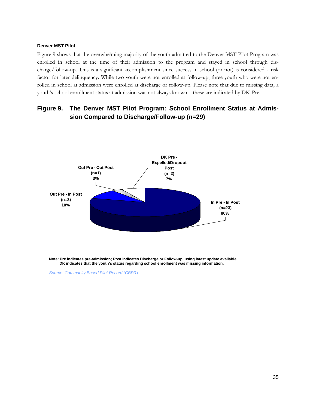#### **Denver MST Pilot**

Figure 9 shows that the overwhelming majority of the youth admitted to the Denver MST Pilot Program was enrolled in school at the time of their admission to the program and stayed in school through discharge/follow-up. This is a significant accomplishment since success in school (or not) is considered a risk factor for later delinquency. While two youth were not enrolled at follow-up, three youth who were not enrolled in school at admission were enrolled at discharge or follow-up. Please note that due to missing data, a youth's school enrollment status at admission was not always known – these are indicated by DK-Pre.

# **Figure 9. The Denver MST Pilot Program: School Enrollment Status at Admission Compared to Discharge/Follow-up (n=29)**



**Note: Pre indicates pre-admission; Post indicates Discharge or Follow-up, using latest update available; DK indicates that the youth's status regarding school enrollment was missing information.**

*Source: Community Based Pilot Record (CBPR*)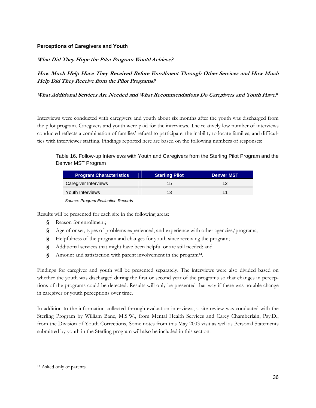### **Perceptions of Caregivers and Youth**

### **What Did They Hope the Pilot Program Would Achieve?**

**How Much Help Have They Received Before Enrollment Through Other Services and How Much Help Did They Receive from the Pilot Programs?** 

### **What Additional Services Are Needed and What Recommendations Do Caregivers and Youth Have?**

Interviews were conducted with caregivers and youth about six months after the youth was discharged from the pilot program. Caregivers and youth were paid for the interviews. The relatively low number of interviews conducted reflects a combination of families' refusal to participate, the inability to locate families, and difficulties with interviewer staffing. Findings reported here are based on the following numbers of responses:

### Table 16. Follow-up Interviews with Youth and Caregivers from the Sterling Pilot Program and the Denver MST Program

| <b>Program Characteristics</b> | <b>Sterling Pilot</b> | Denver MST |
|--------------------------------|-----------------------|------------|
| Caregiver Interviews           | 15                    |            |
| Youth Interviews               | 13                    |            |

*Source: Program Evaluation Records* 

Results will be presented for each site in the following areas:

- **§** Reason for enrollment;
- **§** Age of onset, types of problems experienced, and experience with other agencies/programs;
- **§** Helpfulness of the program and changes for youth since receiving the program;
- **§** Additional services that might have been helpful or are still needed; and
- **§** Amount and satisfaction with parent involvement in the program14.

Findings for caregiver and youth will be presented separately. The interviews were also divided based on whether the youth was discharged during the first or second year of the programs so that changes in perceptions of the programs could be detected. Results will only be presented that way if there was notable change in caregiver or youth perceptions over time.

In addition to the information collected through evaluation interviews, a site review was conducted with the Sterling Program by William Bane, M.S.W., from Mental Health Services and Carey Chamberlain, Psy.D., from the Division of Youth Corrections, Some notes from this May 2003 visit as well as Personal Statements submitted by youth in the Sterling program will also be included in this section.

<u>.</u>

<sup>14</sup> Asked only of parents.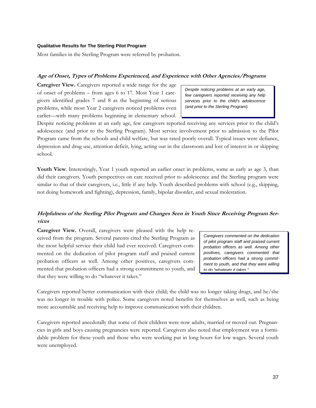#### **Qualitative Results for The Sterling Pilot Program**

Most families in the Sterling Program were referred by probation.

### **Age of Onset, Types of Problems Experienced, and Experience with Other Agencies/Programs**

**Caregiver View.** Caregivers reported a wide range for the age of onset of problems – from ages 6 to 17. Most Year 1 caregivers identified grades 7 and 8 as the beginning of serious problems, while most Year 2 caregivers noticed problems even earlier—with many problems beginning in elementary school.

*Despite noticing problems at an early age, few caregivers reported receiving any help services prior to the child's adolescence (and prior to the Sterling Program).* 

Despite noticing problems at an early age, few caregivers reported receiving any services prior to the child's adolescence (and prior to the Sterling Program). Most service involvement prior to admission to the Pilot Program came from the schools and child welfare, but was rated poorly overall. Typical issues were defiance, depression and drug use, attention deficit, lying, acting out in the classroom and lost of interest in or skipping school.

Youth View. Interestingly, Year 1 youth reported an earlier onset in problems, some as early as age 3, than did their caregivers. Youth perspectives on care received prior to adolescence and the Sterling program were similar to that of their caregivers, i.e., little if any help. Youth described problems with school (e.g., skipping, not doing homework and fighting), depression, family, bipolar disorder, and sexual molestation.

## **Helpfulness of the Sterling Pilot Program and Changes Seen in Youth Since Receiving Program Services**

**Caregiver View.** Overall, caregivers were pleased with the help received from the program. Several parents cited the Sterling Program as the most helpful service their child had ever received. Caregivers commented on the dedication of pilot program staff and praised current probation officers as well. Among other positives, caregivers commented that probation officers had a strong commitment to youth, and that they were willing to do "whatever it takes."

*Caregivers commented on the dedication of pilot program staff and praised current probation officers as well. Among other positives, caregivers commented that probation officers had a strong commitment to youth, and that they were willing to do "whatever it takes "* 

Caregivers reported better communication with their child; the child was no longer taking drugs, and he/she was no longer in trouble with police. Some caregivers noted benefits for themselves as well, such as being more accountable and receiving help to improve communication with their children.

Caregivers reported anecdotally that some of their children were now adults, married or moved out. Pregnancies in girls and boys causing pregnancies were reported. Caregivers also noted that employment was a formidable problem for these youth and those who were working put in long hours for low wages. Several youth were unemployed.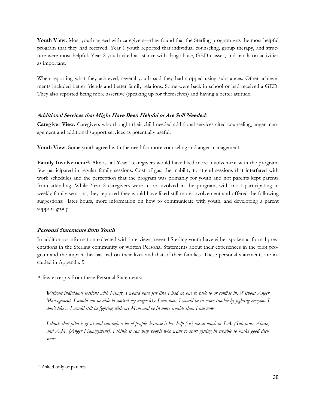**Youth View.** Most youth agreed with caregivers—they found that the Sterling program was the most helpful program that they had received. Year 1 youth reported that individual counseling, group therapy, and structure were most helpful. Year 2 youth cited assistance with drug abuse, GED classes, and hands on activities as important.

When reporting what they achieved, several youth said they had stopped using substances. Other achievements included better friends and better family relations. Some were back in school or had received a GED. They also reported being more assertive (speaking up for themselves) and having a better attitude.

## **Additional Services that Might Have Been Helpful or Are Still Needed:**

**Caregiver View.** Caregivers who thought their child needed additional services cited counseling, anger management and additional support services as potentially useful.

**Youth View.** Some youth agreed with the need for more counseling and anger management.

**Family Involvement<sup>15</sup>.** Almost all Year 1 caregivers would have liked more involvement with the program; few participated in regular family sessions. Cost of gas, the inability to attend sessions that interfered with work schedules and the perception that the program was primarily for youth and not parents kept parents from attending. While Year 2 caregivers were more involved in the program, with most participating in weekly family sessions, they reported they would have liked still more involvement and offered the following suggestions: later hours, more information on how to communicate with youth, and developing a parent support group.

## **Personal Statements from Youth**

In addition to information collected with interviews, several Sterling youth have either spoken at formal presentations in the Sterling community or written Personal Statements about their experiences in the pilot program and the impact this has had on their lives and that of their families. These personal statements are included in Appendix 5.

A few excerpts from these Personal Statements:

*Without individual sessions with Mindy, I would have felt like I had no one to talk to or confide in. Without Anger Management, I would not be able to control my anger like I can now. I would be in more trouble by fighting everyone I don't like…I would still be fighting with my Mom and be in more trouble than I am now.* 

*I think that pilot is great and can help a lot of people, because it has help [sic] me so much in S.A. (Substance Abuse) and A.M. (Anger Management). I think it can help people who want to start getting in trouble to make good decisions.* 

<u>.</u>

<sup>15</sup> Asked only of parents.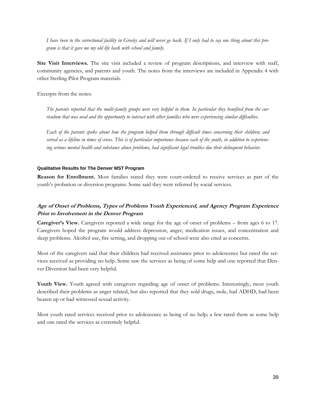*I have been to the correctional facility in Greeley and will never go back. If I only had to say one thing about this program is that it gave me my old life back with school and family.* 

**Site Visit Interviews.** The site visit included a review of program descriptions, and interview with staff, community agencies, and parents and youth. The notes from the interviews are included in Appendix 4 with other Sterling Pilot Program materials.

Excerpts from the notes:

*The parents reported that the multi-family groups were very helpful to them. In particular they benefited from the curriculum that was used and the opportunity to interact with other families who were experiencing similar difficulties.* 

*Each of the parents spoke about how the program helped them through difficult times concerning their children; and served as a lifeline in times of crises. This is of particular importance because each of the youth, in addition to experiencing serious mental health and substance abuse problems, had significant legal troubles due their delinquent behavior.* 

### **Qualitative Results for The Denver MST Program**

**Reason for Enrollment.** Most families stated they were court-ordered to receive services as part of the youth's probation or diversion programs. Some said they were referred by social services.

## **Age of Onset of Problems, Types of Problems Youth Experienced, and Agency Program Experience Prior to Involvement in the Denver Program**

**Caregiver's View.** Caregivers reported a wide range for the age of onset of problems – from ages 6 to 17. Caregivers hoped the program would address depression, anger, medication issues, and concentration and sleep problems. Alcohol use, fire setting, and dropping out of school were also cited as concerns.

Most of the caregivers said that their children had received assistance prior to adolescence but rated the services received as providing no help. Some saw the services as being of some help and one reported that Denver Diversion had been very helpful.

Youth View. Youth agreed with caregivers regarding age of onset of problems. Interestingly, most youth described their problems as anger related, but also reported that they sold drugs, stole, had ADHD, had been beaten up or had witnessed sexual activity.

Most youth rated services received prior to adolescence as being of no help; a few rated them as some help and one rated the services as extremely helpful.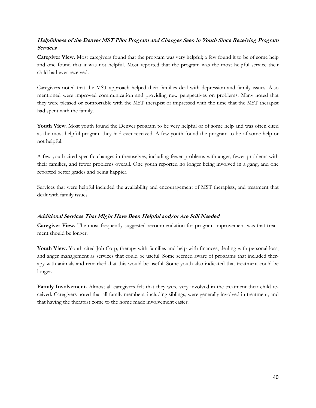## **Helpfulness of the Denver MST Pilot Program and Changes Seen in Youth Since Receiving Program Services**

**Caregiver View.** Most caregivers found that the program was very helpful; a few found it to be of some help and one found that it was not helpful. Most reported that the program was the most helpful service their child had ever received.

Caregivers noted that the MST approach helped their families deal with depression and family issues. Also mentioned were improved communication and providing new perspectives on problems. Many noted that they were pleased or comfortable with the MST therapist or impressed with the time that the MST therapist had spent with the family.

Youth View. Most youth found the Denver program to be very helpful or of some help and was often cited as the most helpful program they had ever received. A few youth found the program to be of some help or not helpful.

A few youth cited specific changes in themselves, including fewer problems with anger, fewer problems with their families, and fewer problems overall. One youth reported no longer being involved in a gang, and one reported better grades and being happier.

Services that were helpful included the availability and encouragement of MST therapists, and treatment that dealt with family issues.

## **Additional Services That Might Have Been Helpful and/or Are Still Needed**

**Caregiver View.** The most frequently suggested recommendation for program improvement was that treatment should be longer.

Youth View. Youth cited Job Corp, therapy with families and help with finances, dealing with personal loss, and anger management as services that could be useful. Some seemed aware of programs that included therapy with animals and remarked that this would be useful. Some youth also indicated that treatment could be longer.

**Family Involvement.** Almost all caregivers felt that they were very involved in the treatment their child received. Caregivers noted that all family members, including siblings, were generally involved in treatment, and that having the therapist come to the home made involvement easier.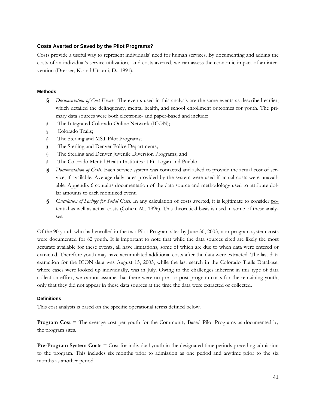### **Costs Averted or Saved by the Pilot Programs?**

Costs provide a useful way to represent individuals' need for human services. By documenting and adding the costs of an individual's service utilization, and costs averted, we can assess the economic impact of an intervention (Dresser, K. and Utsumi, D., 1991).

### **Methods**

- **§** *Documentation of Cost Events*. The events used in this analysis are the same events as described earlier, which detailed the delinquency, mental health, and school enrollment outcomes for youth. The primary data sources were both electronic- and paper-based and include:
- § The Integrated Colorado Online Network (ICON);
- § Colorado Trails;
- § The Sterling and MST Pilot Programs;
- § The Sterling and Denver Police Departments;
- § The Sterling and Denver Juvenile Diversion Programs; and
- § The Colorado Mental Health Institutes at Ft. Logan and Pueblo.
- **§** *Documentation of Costs*. Each service system was contacted and asked to provide the actual cost of service, if available. Average daily rates provided by the system were used if actual costs were unavailable. Appendix 6 contains documentation of the data source and methodology used to attribute dollar amounts to each monitized event.
- **§** *Calculation of Savings for Social Costs*. In any calculation of costs averted, it is legitimate to consider potential as well as actual costs (Cohen, M., 1996). This theoretical basis is used in some of these analyses.

Of the 90 youth who had enrolled in the two Pilot Program sites by June 30, 2003, non-program system costs were documented for 82 youth. It is important to note that while the data sources cited are likely the most accurate available for these events, all have limitations, some of which are due to when data were entered or extracted. Therefore youth may have accumulated additional costs after the data were extracted. The last data extraction for the ICON data was August 15, 2003, while the last search in the Colorado Trails Database, where cases were looked up individually, was in July. Owing to the challenges inherent in this type of data collection effort, we cannot assume that there were no pre- or post-program costs for the remaining youth, only that they did not appear in these data sources at the time the data were extracted or collected.

### **Definitions**

This cost analysis is based on the specific operational terms defined below.

**Program Cost** = The average cost per youth for the Community Based Pilot Programs as documented by the program sites.

**Pre-Program System Costs** = Cost for individual youth in the designated time periods preceding admission to the program. This includes six months prior to admission as one period and anytime prior to the six months as another period.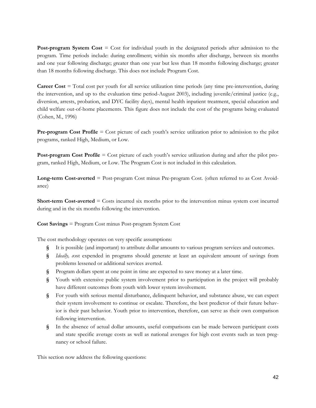**Post-program System Cost** = Cost for individual youth in the designated periods after admission to the program. Time periods include: during enrollment; within six months after discharge, between six months and one year following discharge; greater than one year but less than 18 months following discharge; greater than 18 months following discharge. This does not include Program Cost.

**Career Cost** = Total cost per youth for all service utilization time periods (any time pre-intervention, during the intervention, and up to the evaluation time period-August 2003), including juvenile/criminal justice (e.g., diversion, arrests, probation, and DYC facility days), mental health inpatient treatment, special education and child welfare out-of-home placements. This figure does not include the cost of the programs being evaluated (Cohen, M., 1996)

**Pre-program Cost Profile** = Cost picture of each youth's service utilization prior to admission to the pilot programs, ranked High, Medium, or Low.

**Post-program Cost Profile** = Cost picture of each youth's service utilization during and after the pilot program, ranked High, Medium, or Low. The Program Cost is not included in this calculation.

**Long-term Cost-averted** = Post-program Cost minus Pre-program Cost. (often referred to as Cost Avoidance)

**Short-term Cost-averted** = Costs incurred six months prior to the intervention minus system cost incurred during and in the six months following the intervention.

**Cost Savings** = Program Cost minus Post-program System Cost

The cost methodology operates on very specific assumptions:

- **§** It is possible (and important) to attribute dollar amounts to various program services and outcomes.
- **§** *Ideally, c*ost expended in programs should generate at least an equivalent amount of savings from problems lessened or additional services averted.
- **§** Program dollars spent at one point in time are expected to save money at a later time.
- **§** Youth with extensive public system involvement prior to participation in the project will probably have different outcomes from youth with lower system involvement.
- **§** For youth with serious mental disturbance, delinquent behavior, and substance abuse, we can expect their system involvement to continue or escalate. Therefore, the best predictor of their future behavior is their past behavior. Youth prior to intervention, therefore, can serve as their own comparison following intervention.
- **§** In the absence of actual dollar amounts, useful comparisons can be made between participant costs and state specific average costs as well as national averages for high cost events such as teen pregnancy or school failure.

This section now address the following questions: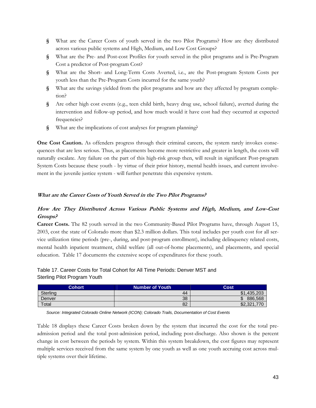- **§** What are the Career Costs of youth served in the two Pilot Programs? How are they distributed across various public systems and High, Medium, and Low Cost Groups?
- **§** What are the Pre- and Post-cost Profiles for youth served in the pilot programs and is Pre-Program Cost a predictor of Post-program Cost?
- **§** What are the Short- and Long-Term Costs Averted, i.e., are the Post-program System Costs per youth less than the Pre-Program Costs incurred for the same youth?
- **§** What are the savings yielded from the pilot programs and how are they affected by program completion?
- **§** Are other high cost events (e.g., teen child birth, heavy drug use, school failure), averted during the intervention and follow-up period, and how much would it have cost had they occurred at expected frequencies?
- **§** What are the implications of cost analyses for program planning?

**One Cost Caution.** As offenders progress through their criminal careers, the system rarely invokes consequences that are less serious. Thus, as placements become more restrictive and greater in length, the costs will naturally escalate. Any failure on the part of this high-risk group then, will result in significant Post-program System Costs because these youth - by virtue of their prior history, mental health issues, and current involvement in the juvenile justice system - will further penetrate this expensive system.

### **What are the Career Costs of Youth Served in the Two Pilot Programs?**

## **How Are They Distributed Across Various Public Systems and High, Medium, and Low-Cost Groups?**

**Career Costs.** The 82 youth served in the two Community-Based Pilot Programs have, through August 15, 2003, cost the state of Colorado more than \$2.3 million dollars. This total includes per youth cost for all service utilization time periods (pre-, during, and post-program enrollment), including delinquency related costs, mental health inpatient treatment, child welfare (all out-of-home placements), and placements, and special education. Table 17 documents the extensive scope of expenditures for these youth.

## Table 17. Career Costs for Total Cohort for All Time Periods: Denver MST and Sterling Pilot Program Youth

| <b>Cohort</b>   | Number of Youth | Cost        |
|-----------------|-----------------|-------------|
| <b>Sterling</b> | 44              | \$1.435.203 |
| Denver          | 38              | 886,568     |
| Total           | 82              | \$2,321,770 |

*Source: Integrated Colorado Online Network (ICON); Colorado Trails, Documentation of Cost Events* 

Table 18 displays these Career Costs broken down by the system that incurred the cost for the total preadmission period and the total post-admission period, including post-discharge. Also shown is the percent change in cost between the periods by system. Within this system breakdown, the cost figures may represent multiple services received from the same system by one youth as well as one youth accruing cost across multiple systems over their lifetime.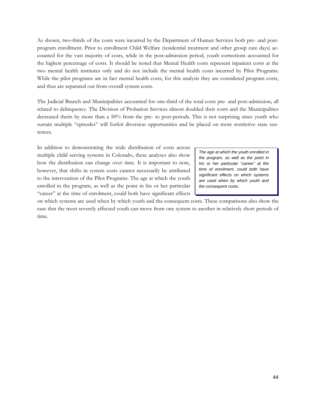As shown, two-thirds of the costs were incurred by the Department of Human Services both pre- and postprogram enrollment. Prior to enrollment Child Welfare (residential treatment and other group care days) accounted for the vast majority of costs, while in the post-admission period, youth corrections accounted for the highest percentage of costs. It should be noted that Mental Health costs represent inpatient costs at the two mental health institutes only and do not include the mental health costs incurred by Pilot Programs. While the pilot programs are in fact mental health costs, for this analysis they are considered program costs, and thus are separated out from overall system costs.

The Judicial Branch and Municipalities accounted for one-third of the total costs pre- and post-admission, all related to delinquency. The Division of Probation Services almost doubled their costs and the Municipalities decreased theirs by more than a 50% from the pre- to post-periods. This is not surprising since youth who sustain multiple "episodes" will forfeit diversion opportunities and be placed on more restrictive state sentences.

In addition to demonstrating the wide distribution of costs across multiple child serving systems in Colorado, these analyses also show how the distribution can change over time. It is important to note, however, that shifts in system costs cannot necessarily be attributed to the intervention of the Pilot Programs. The age at which the youth enrolled in the program, as well as the point in his or her particular "career" at the time of enrolment, could both have significant effects

*The age at which the youth enrolled in the program, as well as the point in his or her particular "career" at the time of enrolment, could both have significant effects on which systems are used when by which youth and the consequent costs.* 

on which systems are used when by which youth and the consequent costs. These comparisons also show the ease that the most severely affected youth can move from one system to another in relatively short periods of time.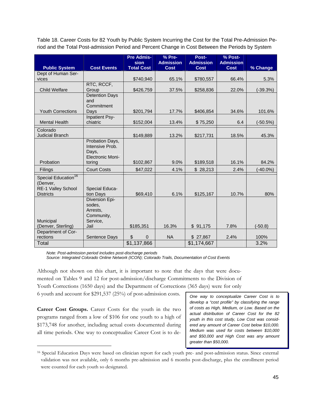Table 18. Career Costs for 82 Youth by Public System Incurring the Cost for the Total Pre-Admission Period and the Total Post-admission Period and Percent Change in Cost Between the Periods by System

|                                 |                                  | <b>Pre Admis-</b><br><b>sion</b> | % Pre-<br><b>Admission</b> | Post-<br><b>Admission</b> | % Post-<br><b>Admission</b> |             |
|---------------------------------|----------------------------------|----------------------------------|----------------------------|---------------------------|-----------------------------|-------------|
| <b>Public System</b>            | <b>Cost Events</b>               | <b>Total Cost</b>                | <b>Cost</b>                | <b>Cost</b>               | <b>Cost</b>                 | % Change    |
| Dept of Human Ser-              |                                  |                                  |                            |                           |                             |             |
| vices                           |                                  | \$740,940                        | 65.1%                      | \$780,557                 | 66.4%                       | 5.3%        |
|                                 | RTC, RCCF,                       |                                  |                            |                           |                             |             |
| <b>Child Welfare</b>            | Group<br><b>Detention Days</b>   | \$426,759                        | 37.5%                      | \$258,836                 | 22.0%                       | $(-39.3%)$  |
|                                 | and                              |                                  |                            |                           |                             |             |
|                                 | Commitment                       |                                  |                            |                           |                             |             |
| <b>Youth Corrections</b>        | Days                             | \$201,794                        | 17.7%                      | \$406,854                 | 34.6%                       | 101.6%      |
|                                 | Inpatient Psy-                   |                                  |                            |                           |                             |             |
| <b>Mental Health</b>            | chiatric                         | \$152,004                        | 13.4%                      | \$75,250                  | 6.4                         | (-50.5%)    |
| Colorado                        |                                  |                                  |                            |                           |                             |             |
| <b>Judicial Branch</b>          |                                  | \$149,889                        | 13.2%                      | \$217,731                 | 18.5%                       | 45.3%       |
|                                 | Probation Days,                  |                                  |                            |                           |                             |             |
|                                 | Intensive Prob.                  |                                  |                            |                           |                             |             |
|                                 | Days,<br><b>Electronic Moni-</b> |                                  |                            |                           |                             |             |
| Probation                       | toring                           | \$102,867                        | 9.0%                       | \$189,518                 | 16.1%                       | 84.2%       |
| <b>Filings</b>                  | <b>Court Costs</b>               | \$47,022                         | 4.1%                       | \$28,213                  | 2.4%                        | $(-40.0\%)$ |
| Special Education <sup>16</sup> |                                  |                                  |                            |                           |                             |             |
| (Denver,                        |                                  |                                  |                            |                           |                             |             |
| <b>RE-1 Valley School</b>       | Special Educa-                   |                                  |                            |                           |                             |             |
| <b>Districts</b>                | tion Days                        | \$69,410                         | 6.1%                       | \$125,167                 | 10.7%                       | 80%         |
|                                 | Diversion Epi-                   |                                  |                            |                           |                             |             |
|                                 | sodes.<br>Arrests,               |                                  |                            |                           |                             |             |
|                                 | Community,                       |                                  |                            |                           |                             |             |
| Municipal                       | Service,                         |                                  |                            |                           |                             |             |
| (Denver, Sterling)              | Jail                             | \$185,351                        | 16.3%                      | \$91,175                  | 7.8%                        | $(-50.8)$   |
| Department of Cor-              |                                  |                                  |                            |                           |                             |             |
| rections                        | Sentence Days                    | \$<br>$\Omega$                   | <b>NA</b>                  | \$27,867                  | 2.4%                        | 100%        |
| Total                           |                                  | \$1,137,866                      |                            | \$1,174,667               |                             | 3.2%        |

*Note: Post-admission period includes post-discharge periods* 

*Source: Integrated Colorado Online Network (ICON); Colorado Trails, Documentation of Cost Events* 

Although not shown on this chart, it is important to note that the days that were documented on Tables 9 and 12 for post-admission/discharge Commitments to the Division of Youth Corrections (1650 days) and the Department of Corrections (365 days) were for only 6 youth and account for \$291,537 (25%) of post-admission costs.

**Career Cost Groups.** Career Costs for the youth in the two programs ranged from a low of \$106 for one youth to a high of \$173,748 for another, including actual costs documented during all time periods. One way to conceptualize Career Cost is to de-

 $\overline{a}$ 

*One way to conceptualize Career Cost is to develop a "cost profile" by classifying the range of costs as High, Medium, or Low. Based on the actual distribution of Career Cost for the 82 youth in this cost study, Low Cost was considered any amount of Career Cost below \$10,000. Medium was used for costs between \$10,000 and \$50,000 and High Cost was any amount greater than \$50,000.* 

<sup>16</sup> Special Education Days were based on clinician report for each youth pre- and post-admission status. Since external validation was not available, only 6 months pre-admission and 6 months post-discharge, plus the enrollment period were counted for each youth so designated.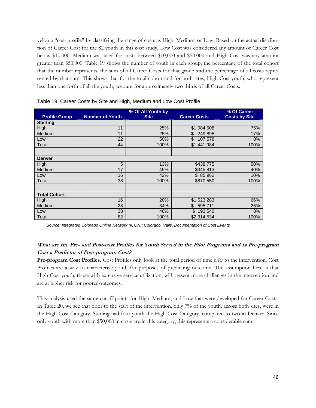velop a "cost profile" by classifying the range of costs as High, Medium, or Low. Based on the actual distribution of Career Cost for the 82 youth in this cost study, Low Cost was considered any amount of Career Cost below \$10,000. Medium was used for costs between \$10,000 and \$50,000 and High Cost was any amount greater than \$50,000. Table 19 shows the number of youth in each group, the percentage of the total cohort that the number represents, the sum of all Career Costs for that group and the percentage of all costs represented by that sum. This shows that for the total cohort and for both sites, High Cost youth, who represent less than one forth of all the youth, account for approximately two thirds of all Career Costs.

|                      |                        | % Of All Youth by |                     | % Of Career          |
|----------------------|------------------------|-------------------|---------------------|----------------------|
| <b>Profile Group</b> | <b>Number of Youth</b> | <b>Site</b>       | <b>Career Costs</b> | <b>Costs by Site</b> |
| <b>Sterling</b>      |                        |                   |                     |                      |
| High                 | 11                     | 25%               | \$1,084,508         | 75%                  |
| Medium               | 11                     | 25%               | \$<br>249,898       | 17%                  |
| Low                  | 22                     | 50%               | \$<br>107,578       | 8%                   |
| Total                | 44                     | 100%              | \$1,441,984         | 100%                 |
|                      |                        |                   |                     |                      |
| <b>Denver</b>        |                        |                   |                     |                      |
| <b>High</b>          | 5                      | 13%               | \$438,775           | 50%                  |
| Medium               | 17                     | 45%               | \$345,813           | 40%                  |
| Low                  | 16                     | 42%               | \$85,962            | 10%                  |
| Total                | 38                     | 100%              | \$870,550           | 100%                 |
|                      |                        |                   |                     |                      |
| <b>Total Cohort</b>  |                        |                   |                     |                      |
| High                 | 16                     | 20%               | \$1,523,283         | 66%                  |
| Medium               | 28                     | 34%               | \$<br>595,711       | 26%                  |
| Low                  | 38                     | 46%               | \$193,540           | 8%                   |
| Total                | 82                     | 100%              | \$2,314,534         | 100%                 |

*Source: Integrated Colorado Online Network (ICON); Colorado Trails, Documentation of Cost Events* 

## **What are the Pre- and Post-cost Profiles for Youth Served in the Pilot Programs and Is Pre-program Cost a Predictor of Post-program Cost?**

**Pre-program Cost Profiles.** Cost Profiles only look at the total period of time *prior* to the intervention. Cost Profiles are a way to characterize youth for purposes of predicting outcome. The assumption here is that High Cost youth, those with extensive service utilization, will present more challenges in the intervention and are at higher risk for poorer outcomes.

This analysis used the same cutoff points for High, Medium, and Low that were developed for Career Costs. In Table 20, we see that prior to the start of the intervention, only 7% of the youth, across both sites, were in the High Cost Category. Sterling had four youth the High Cost Category, compared to two in Denver. Since only youth with more than \$50,000 in costs are in this category, this represents a considerable sum.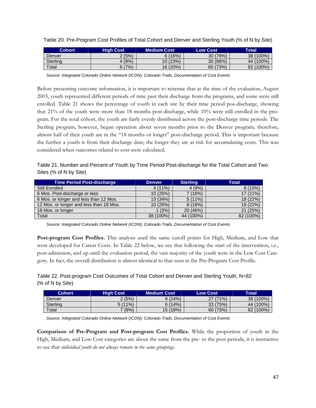| <b>Cohort</b>          | <b>High Cost</b> | <b>Medium Cost</b> | <b>Low Cost</b> | Total     |
|------------------------|------------------|--------------------|-----------------|-----------|
| Denver                 | 2(5%)            | 6(16%)             | 30 (79%)        | 38 (100%) |
| Sterlina               | (9%)             | 10(23%)            | 30(68%)         | 44 (100%) |
| $\tau$ <sub>otal</sub> | 6(7%)            | 16 (20%)           | 60 (73%)        | 82 (100%) |

Table 20. Pre-Program Cost Profiles of Total Cohort and Denver and Sterling Youth (% of N by Site)

*Source: Integrated Colorado Online Network (ICON); Colorado Trails, Documentation of Cost Events* 

Before presenting outcome information, it is important to reiterate that at the time of the evaluation, August 2003, youth represented different periods of time past their discharge from the programs, and some were still enrolled. Table 21 shows the percentage of youth in each site by their time period pos-discharge, showing that 21% of the youth were more than 18 months post-discharge, while 10% were still enrolled in the program. For the total cohort, the youth are fairly evenly distributed across the post-discharge time periods. The Sterling program, however, began operation about seven months prior to the Denver program; therefore, almost half of their youth are in the "18 months or longer" post-discharge period. This is important because the further a youth is from their discharge date; the longer they are at risk for accumulating costs. This was considered when outcomes related to cost were calculated.

Table 21. Number and Percent of Youth by Time Period Post-discharge for the Total Cohort and Two Sites (% of N by Site)

| <b>Time Period Post-discharge</b>       | <b>Denver</b> | <b>Sterling</b> | <b>Total</b> |
|-----------------------------------------|---------------|-----------------|--------------|
| <b>Still Enrolled</b>                   | $4(11\%)$     | 4(9%)           | $8(10\%)$    |
| 6 Mos. Post-discharge or less           | 10(26%)       | 7 (16%)         | 17 (21%)     |
| 6 Mos. or longer and less than 12 Mos.  | 13 (34%)      | $5(11\%)$       | 18 (22%)     |
| 12 Mos. or longer and less than 18 Mos. | 10 (26%)      | 8(18%)          | 18 (22%)     |
| 18 Mos. or longer                       | 1(3%)         | 20 (46%)        | 21 (25%)     |
| Total                                   | 38 (100%)     | 44 (100%)       | 82 (100%)    |

*Source: Integrated Colorado Online Network (ICON); Colorado Trails, Documentation of Cost Events* 

**Post-program Cost Profiles.** This analysis used the same cutoff points for High, Medium, and Low that were developed for Career Costs. In Table 22 below, we see that following the start of the intervention, i.e., post-admission, and up until the evaluation period, the vast majority of the youth were in the Low Cost Category. In fact, the overall distribution is almost identical to that seen in the Pre-Program Cost Profile.

| Table 22. Post-program Cost Outcomes of Total Cohort and Denver and Sterling Youth, N=82 |  |  |
|------------------------------------------------------------------------------------------|--|--|
| (% of N by Site)                                                                         |  |  |

| <b>Cohort</b>          | <b>High Cost</b> | <b>Medium Cost</b> | <b>Low Cost</b> | <b>Total</b> |
|------------------------|------------------|--------------------|-----------------|--------------|
| Denver                 | 2(5%)            | 9(24%)             | 27 (71%)        | 38 (100%)    |
| <b>Sterling</b>        | 5(11%)           | 6(14%)             | 33 (75%)        | 44 (100%)    |
| $\tau$ <sub>otal</sub> | (9%)             | 15(18%)            | 60 (73%)        | 82 (100%)    |

*Source: Integrated Colorado Online Network (ICON); Colorado Trails, Documentation of Cost Events* 

**Comparison of Pre-Program and Post-program Cost Profiles.** While the proportion of youth in the High, Medium, and Low Cost categories are about the same from the pre- to the post-periods, it is instructive to see that *individual youth do not always remain in the same groupings*.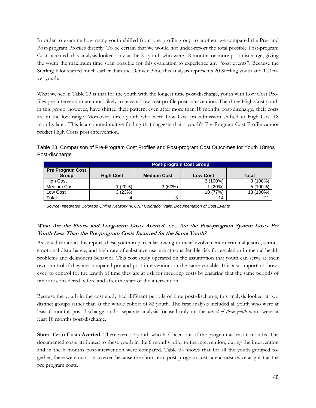In order to examine how many youth shifted from one profile group to another, we compared the Pre- and Post-program Profiles directly. To be certain that we would not under-report the total possible Post-program Costs accrued, this analysis looked only at the 21 youth who were 18 months or more post-discharge, giving the youth the maximum time span possible for this evaluation to experience any "cost events". Because the Sterling Pilot started much earlier than the Denver Pilot, this analysis represents 20 Sterling youth and 1 Denver youth.

What we see in Table 23 is that for the youth with the longest time post-discharge, youth with Low Cost Profiles pre-intervention are most likely to have a Low cost profile post-intervention. The three High Cost youth in this group, however, have shifted their pattern; even after more than 18 months post-discharge, their costs are in the low range. Moreover, three youth who were Low Cost pre-admission shifted to High Cost 18 months later. This is a counterintuitive finding that suggests that a youth's Pre-Program Cost Profile cannot predict High Costs post-intervention.

Table 23. Comparison of Pre-Program Cost Profiles and Post-program Cost Outcomes for Youth 18mos Post-discharge

|                                         | <b>Post-program Cost Group</b> |                    |                 |              |  |
|-----------------------------------------|--------------------------------|--------------------|-----------------|--------------|--|
| <b>Pre Program Cost</b><br><b>Group</b> | <b>High Cost</b>               | <b>Medium Cost</b> | <b>Low Cost</b> | <b>Total</b> |  |
| <b>High Cost</b>                        |                                |                    | $3(100\%)$      | $3(100\%)$   |  |
| Medium Cost                             | l (20%)                        | 3(60%)             | 1(20%)          | $5(100\%)$   |  |
| Low Cost                                | 3(23%)                         |                    | 10 (77%)        | 13 (100%)    |  |
| Total                                   |                                |                    | 14              |              |  |

*Source: Integrated Colorado Online Network (ICON); Colorado Trails, Documentation of Cost Events* 

## **What Are the Short- and Long-term Costs Averted, i.e., Are the Post-program System Costs Per Youth Less Than the Pre-program Costs Incurred for the Same Youth?**

As stated earlier in this report, these youth in particular, owing to their involvement in criminal justice, serious emotional disturbance, and high rate of substance use, are at considerable risk for escalation in mental health problems and delinquent behavior. This cost study operated on the assumption that youth can serve as their own control if they are compared pre and post-intervention on the same variable. It is also important, however, to control for the length of time they are at risk for incurring costs by ensuring that the same periods of time are considered before and after the start of the intervention.

Because the youth in the cost study had different periods of time post-discharge, this analysis looked at two distinct groups rather than at the whole cohort of 82 youth. The first analysis included all youth who were at least 6 months post-discharge, and a separate analysis focused only on the *subset of these youth* who were at least 18 months post-discharge.

**Short-Term Costs Averted.** There were 57 youth who had been out of the program at least 6 months. The documented costs attributed to these youth in the 6 months prior to the intervention, during the intervention and in the 6 months post-intervention were compared. Table 24 shows that for all the youth grouped together, there were no costs averted because the short-term post-program costs are almost twice as great as the pre program costs.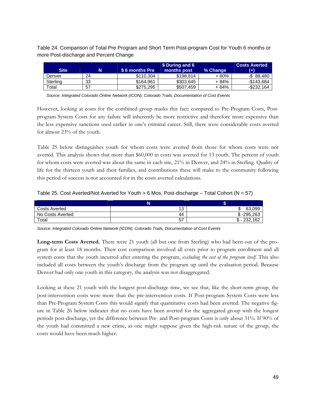Table 24. Comparison of Total Pre Program and Short Term Post-program Cost for Youth 6 months or more Post-discharge and Percent Change

| Site.       |    | 「\$ 6 months Pre」 | \$ During and 6<br>months post | % Change | <b>Costs Averted</b><br>$(+)$ |
|-------------|----|-------------------|--------------------------------|----------|-------------------------------|
| Denver      | 24 | \$110.304         | \$198.814                      | + 80%    | $-$ \$ 88.480                 |
| Sterling    | 33 | \$164.961         | \$303.645                      | + 84%    | $-$143.684$                   |
| $\tau$ otal | 57 | \$275.295         | \$507.459                      | + 84%    | $-$ \$232.164                 |

*Source: Integrated Colorado Online Network (ICON); Colorado Trails, Documentation of Cost Events* 

However, looking at costs for the combined group masks this fact: compared to Pre-Program Costs, Postprogram System Costs for any failure will inherently be more restrictive and therefore more expensive than the less expensive sanctions used earlier in one's criminal career. Still, there were considerable costs averted for almost 23% of the youth.

Table 25 below distinguishes youth for whom costs were averted from those for whom costs were not averted. This analysis shows that more than \$60,000 in costs was averted for 13 youth. The percent of youth for whom costs were averted was about the same in each site, 21% in Denver, and 24% in Sterling. Quality of life for the thirteen youth and their families, and contributions these will make to the community following this period of success is not accounted for in the costs averted calculations.

|  | Table 25. Cost Averted/Not Averted for Youth $> 6$ Mos. Post-discharge - Total Cohort ( $N = 57$ ) |  |  |
|--|----------------------------------------------------------------------------------------------------|--|--|
|--|----------------------------------------------------------------------------------------------------|--|--|

| <b>Costs Averted</b> | 10<br>۰J | 63.099            |
|----------------------|----------|-------------------|
| No Costs Averted     | 44       | $-295.263$<br>or. |
| Total                | 57       | 232,162<br>ጦ      |

*Source: Integrated Colorado Online Network (ICON); Colorado Trails, Documentation of Cost Events* 

**Long-term Costs Averted.** There were 21 youth (all but one from Sterling) who had been out of the program for at least 18 months. Their cost comparison involved all costs prior to program enrollment and all system costs that the youth incurred after entering the program, *excluding the cost of the program itself*. This also included all costs between the youth's discharge from the program up until the evaluation period. Because Denver had only one youth in this category, the analysis was not disaggregated.

Looking at these 21 youth with the longest post-discharge time, we see that, like the short-term group, the post-intervention costs were more than the pre-intervention costs. If Post-program System Costs were less than Pre-Program System Costs this would signify that quantitative costs had been averted. The negative figure in Table 26 below indicates that no costs have been averted for the aggregated group with the longest periods post-discharge, yet the difference between Pre- and Post-program Costs is only about 31%. If 90% of the youth had committed a new crime, as one might suppose given the high-risk nature of the group, the costs would have been much higher.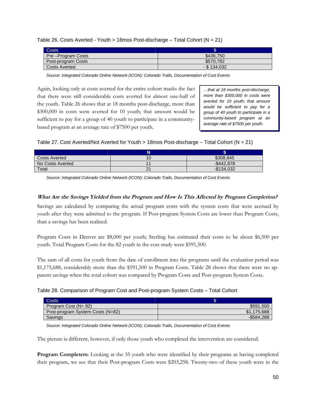| Costs <sup>1</sup>   | æ              |
|----------------------|----------------|
| Pre-Program Costs    | \$436,750      |
| Post-program Costs   | \$570.782      |
| <b>Costs Averted</b> | $-$ \$ 134,032 |

Table 26. Costs Averted - Youth > 18mos Post-discharge – Total Cohort (N = 21)

*Source: Integrated Colorado Online Network (ICON); Colorado Trails, Documentation of Cost Events* 

Again, looking only at costs averted for the entire cohort masks the fact that there were still considerable costs averted for almost one-half of the youth. Table 26 shows that at 18 months post-discharge, more than \$300,000 in costs were averted for 10 youth; that amount would be sufficient to pay for a group of 40 youth to participate in a communitybased program at an average rate of \$7500 per youth.

*…that at 18 months post-discharge, more than \$300,000 in costs were averted for 10 youth; that amount would be sufficient to pay for a group of 40 youth to participate in a community-based program at an average rate of \$7500 per youth.* 

|  | Table 27. Cost Averted/Not Averted for Youth > 18mos Post-discharge $-$ Total Cohort ( $N = 21$ ) |
|--|---------------------------------------------------------------------------------------------------|
|--|---------------------------------------------------------------------------------------------------|

| <b>Costs Averted</b> | \$308,845   |
|----------------------|-------------|
| No Costs Averted     | $-$442.878$ |
| Total                | -\$134.032  |

*Source: Integrated Colorado Online Network (ICON); Colorado Trails, Documentation of Cost Events* 

## **What Are the Savings Yielded from the Program and How Is This Affected by Program Completion?**

Savings are calculated by comparing the actual program costs with the system costs that were accrued by youth after they were admitted to the program. If Post-program System Costs are lower than Program Costs, than a savings has been realized.

Program Costs in Denver are \$8,000 per youth; Sterling has estimated their costs to be about \$6,500 per youth. Total Program Costs for the 82 youth in the cost study were \$591,500.

The sum of all costs for youth from the date of enrollment into the programs until the evaluation period was \$1,175,688, considerably more than the \$591,500 in Program Costs. Table 28 shows that there were no apparent savings when the total cohort was compared by Program Costs and Post-program System Costs.

| Table 28. Comparison of Program Cost and Post-program System Costs – Total Cohort |  |  |
|-----------------------------------------------------------------------------------|--|--|
|                                                                                   |  |  |

| Costs                            |                 |
|----------------------------------|-----------------|
| Program Cost (N= 82)             | \$591.500       |
| Post-program System Costs (N=82) | \$1<br>,175,688 |
| <b>Savings</b>                   | $-$ \$584,288   |

*Source: Integrated Colorado Online Network (ICON); Colorado Trails, Documentation of Cost Events* 

The picture is different, however, if only those youth who completed the intervention are considered.

**Program Completers:** Looking at the 35 youth who were identified by their programs as having completed their program, we see that their Post-program Costs were \$203,258. Twenty-two of these youth were in the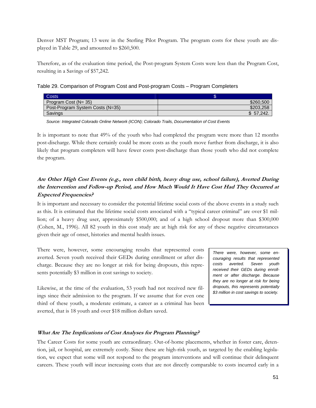Denver MST Program; 13 were in the Sterling Pilot Program. The program costs for these youth are displayed in Table 29, and amounted to \$260,500.

Therefore, as of the evaluation time period, the Post-program System Costs were less than the Program Cost, resulting in a Savings of \$57,242.

Table 29. Comparison of Program Cost and Post-program Costs – Program Completers

| <b>Costs</b>                     |             |
|----------------------------------|-------------|
| Program Cost (N= 35)             | \$260,500   |
| Post-Program System Costs (N=35) | \$203.258   |
| Savings                          | $$57.242$ . |

*Source: Integrated Colorado Online Network (ICON); Colorado Trails, Documentation of Cost Events* 

It is important to note that 49% of the youth who had completed the program were more than 12 months post-discharge. While there certainly could be more costs as the youth move further from discharge, it is also likely that program completers will have fewer costs post-discharge than those youth who did not complete the program.

## **Are Other High Cost Events (e.g., teen child birth, heavy drug use, school failure), Averted During the Intervention and Follow-up Period, and How Much Would It Have Cost Had They Occurred at Expected Frequencies?**

It is important and necessary to consider the potential lifetime social costs of the above events in a study such as this. It is estimated that the lifetime social costs associated with a "typical career criminal" are over \$1 million; of a heavy drug user, approximately \$500,000; and of a high school dropout more than \$300,000 (Cohen, M., 1996). All 82 youth in this cost study are at high risk for any of these negative circumstances given their age of onset, histories and mental health issues.

There were, however, some encouraging results that represented costs averted. Seven youth received their GEDs during enrollment or after discharge. Because they are no longer at risk for being dropouts, this represents potentially \$3 million in cost savings to society.

Likewise, at the time of the evaluation, 53 youth had not received new filings since their admission to the program. If we assume that for even one third of these youth, a moderate estimate, a career as a criminal has been averted, that is 18 youth and over \$18 million dollars saved.

*There were, however, some encouraging results that represented costs averted. Seven youth received their GEDs during enrollment or after discharge. Because they are no longer at risk for being dropouts, this represents potentially \$3 million in cost savings to society.* 

### **What Are The Implications of Cost Analyses for Program Planning?**

The Career Costs for some youth are extraordinary. Out-of-home placements, whether in foster care, detention, jail, or hospital, are extremely costly. Since these are high-risk youth, as targeted by the enabling legislation, we expect that some will not respond to the program interventions and will continue their delinquent careers. These youth will incur increasing costs that are not directly comparable to costs incurred early in a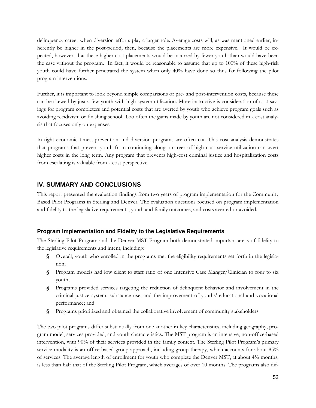delinquency career when diversion efforts play a larger role. Average costs will, as was mentioned earlier, inherently be higher in the post-period, then, because the placements are more expensive. It would be expected, however, that these higher cost placements would be incurred by fewer youth than would have been the case without the program. In fact, it would be reasonable to assume that up to 100% of these high-risk youth could have further penetrated the system when only 40% have done so thus far following the pilot program interventions.

Further, it is important to look beyond simple comparisons of pre- and post-intervention costs, because these can be skewed by just a few youth with high system utilization. More instructive is consideration of cost savings for program completers and potential costs that are averted by youth who achieve program goals such as avoiding recidivism or finishing school. Too often the gains made by youth are not considered in a cost analysis that focuses only on expenses.

In tight economic times, prevention and diversion programs are often cut. This cost analysis demonstrates that programs that prevent youth from continuing along a career of high cost service utilization can avert higher costs in the long term. Any program that prevents high-cost criminal justice and hospitalization costs from escalating is valuable from a cost perspective.

# **IV. SUMMARY AND CONCLUSIONS**

This report presented the evaluation findings from two years of program implementation for the Community Based Pilot Programs in Sterling and Denver. The evaluation questions focused on program implementation and fidelity to the legislative requirements, youth and family outcomes, and costs averted or avoided.

## **Program Implementation and Fidelity to the Legislative Requirements**

The Sterling Pilot Program and the Denver MST Program both demonstrated important areas of fidelity to the legislative requirements and intent, including:

- **§** Overall, youth who enrolled in the programs met the eligibility requirements set forth in the legislation;
- **§** Program models had low client to staff ratio of one Intensive Case Manger/Clinician to four to six youth;
- **§** Programs provided services targeting the reduction of delinquent behavior and involvement in the criminal justice system, substance use, and the improvement of youths' educational and vocational performance; and
- **§** Programs prioritized and obtained the collaborative involvement of community stakeholders.

The two pilot programs differ substantially from one another in key characteristics, including geography, program model, services provided, and youth characteristics. The MST program is an intensive, non-office-based intervention, with 90% of their services provided in the family context. The Sterling Pilot Program's primary service modality is an office-based group approach, including group therapy, which accounts for about 85% of services. The average length of enrollment for youth who complete the Denver MST, at about 4½ months, is less than half that of the Sterling Pilot Program, which averages of over 10 months. The programs also dif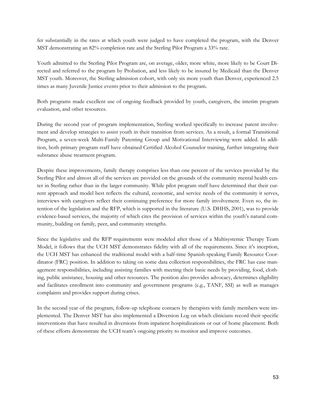fer substantially in the rates at which youth were judged to have completed the program, with the Denver MST demonstrating an 82% completion rate and the Sterling Pilot Program a 33% rate.

Youth admitted to the Sterling Pilot Program are, on average, older, more white, more likely to be Court Directed and referred to the program by Probation, and less likely to be insured by Medicaid than the Denver MST youth. Moreover, the Sterling admission cohort, with only six more youth than Denver, experienced 2.5 times as many Juvenile Justice events prior to their admission to the program.

Both programs made excellent use of ongoing feedback provided by youth, caregivers, the interim program evaluation, and other resources.

During the second year of program implementation, Sterling worked specifically to increase parent involvement and develop strategies to assist youth in their transition from services. As a result, a formal Transitional Program, a seven-week Multi-Family Parenting Group and Motivational Interviewing were added. In addition, both primary program staff have obtained Certified Alcohol Counselor training, further integrating their substance abuse treatment program.

Despite these improvements, family therapy comprises less than one percent of the services provided by the Sterling Pilot and almost all of the services are provided on the grounds of the community mental health center in Sterling rather than in the larger community. While pilot program staff have determined that their current approach and model best reflects the cultural, economic, and service needs of the community it serves, interviews with caregivers reflect their continuing preference for more family involvement. Even so, the intention of the legislation and the RFP, which is supported in the literature (U.S. DHHS, 2001), was to provide evidence-based services, the majority of which cites the provision of services within the youth's natural community, building on family, peer, and community strengths.

Since the legislative and the RFP requirements were modeled after those of a Multisystemic Therapy Team Model, it follows that the UCH MST demonstrates fidelity with all of the requirements. Since it's inception, the UCH MST has enhanced the traditional model with a half-time Spanish-speaking Family Resource Coordinator (FRC) position. In addition to taking on some data collection responsibilities, the FRC has case management responsibilities, including assisting families with meeting their basic needs by providing, food, clothing, public assistance, housing and other resources. The position also provides advocacy, determines eligibility and facilitates enrollment into community and government programs (e.g., TANF, SSI) as well as manages complaints and provides support during crises.

In the second year of the program, follow-up telephone contacts by therapists with family members were implemented. The Denver MST has also implemented a Diversion Log on which clinicians record their specific interventions that have resulted in diversions from inpatient hospitalizations or out of home placement. Both of these efforts demonstrate the UCH team's ongoing priority to monitor and improve outcomes.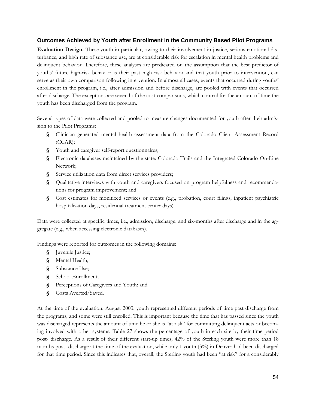### **Outcomes Achieved by Youth after Enrollment in the Community Based Pilot Programs**

**Evaluation Design.** These youth in particular, owing to their involvement in justice, serious emotional disturbance, and high rate of substance use, are at considerable risk for escalation in mental health problems and delinquent behavior. Therefore, these analyses are predicated on the assumption that the best predictor of youths' future high-risk behavior is their past high risk behavior and that youth prior to intervention, can serve as their own comparison following intervention. In almost all cases, events that occurred during youths' enrollment in the program, i.e., after admission and before discharge, are pooled with events that occurred after discharge. The exceptions are several of the cost comparisons, which control for the amount of time the youth has been discharged from the program.

Several types of data were collected and pooled to measure changes documented for youth after their admission to the Pilot Programs:

- **§** Clinician generated mental health assessment data from the Colorado Client Assessment Record (CCAR);
- **§** Youth and caregiver self-report questionnaires;
- **§** Electronic databases maintained by the state: Colorado Trails and the Integrated Colorado On-Line Network;
- **§** Service utilization data from direct services providers;
- **§** Qualitative interviews with youth and caregivers focused on program helpfulness and recommendations for program improvement; and
- **§** Cost estimates for monitized services or events (e.g., probation, court filings, inpatient psychiatric hospitalization days, residential treatment center days)

Data were collected at specific times, i.e., admission, discharge, and six-months after discharge and in the aggregate (e.g., when accessing electronic databases).

Findings were reported for outcomes in the following domains:

- **§** Juvenile Justice;
- **§** Mental Health;
- **§** Substance Use;
- **§** School Enrollment;
- **§** Perceptions of Caregivers and Youth; and
- **§** Costs Averted/Saved.

At the time of the evaluation, August 2003, youth represented different periods of time past discharge from the programs, and some were still enrolled. This is important because the time that has passed since the youth was discharged represents the amount of time he or she is "at risk" for committing delinquent acts or becoming involved with other systems. Table 27 shows the percentage of youth in each site by their time period post- discharge. As a result of their different start-up times, 42% of the Sterling youth were more than 18 months post- discharge at the time of the evaluation, while only 1 youth (3%) in Denver had been discharged for that time period. Since this indicates that, overall, the Sterling youth had been "at risk" for a considerably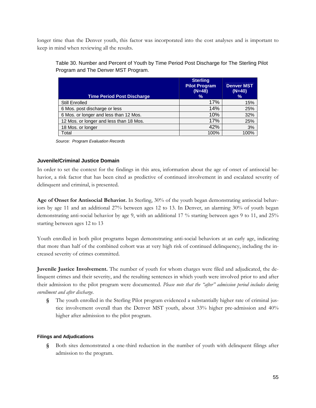longer time than the Denver youth, this factor was incorporated into the cost analyses and is important to keep in mind when reviewing all the results.

Table 30. Number and Percent of Youth by Time Period Post Discharge for The Sterling Pilot Program and The Denver MST Program.

| <b>Time Period Post Discharge</b>       | <b>Sterling</b><br><b>Pilot Program</b><br>$(N=48)$<br>% | <b>Denver MST</b><br>$(N=40)$<br>$\frac{9}{6}$ |
|-----------------------------------------|----------------------------------------------------------|------------------------------------------------|
| Still Enrolled                          | 17%                                                      | 15%                                            |
| 6 Mos. post discharge or less           | 14%                                                      | 25%                                            |
| 6 Mos. or longer and less than 12 Mos.  | 10%                                                      | 32%                                            |
| 12 Mos. or longer and less than 18 Mos. | 17%                                                      | 25%                                            |
| 18 Mos. or longer                       | 42%                                                      | 3%                                             |
| Total                                   | 100%                                                     | 100%                                           |

*Source: Program Evaluation Records* 

### **Juvenile/Criminal Justice Domain**

In order to set the context for the findings in this area, information about the age of onset of antisocial behavior, a risk factor that has been cited as predictive of continued involvement in and escalated severity of delinquent and criminal, is presented.

**Age of Onset for Antisocial Behavior.** In Sterling, 30% of the youth began demonstrating antisocial behaviors by age 11 and an additional 27% between ages 12 to 13. In Denver, an alarming 30% of youth began demonstrating anti-social behavior by age 9, with an additional 17 % starting between ages 9 to 11, and 25% starting between ages 12 to 13

Youth enrolled in both pilot programs began demonstrating anti-social behaviors at an early age, indicating that more than half of the combined cohort was at very high risk of continued delinquency, including the increased severity of crimes committed.

**Juvenile Justice Involvement.** The number of youth for whom charges were filed and adjudicated, the delinquent crimes and their severity, and the resulting sentences in which youth were involved prior to and after their admission to the pilot program were documented. *Please note that the "after" admission period includes during enrollment and after discharge.* 

**§** The youth enrolled in the Sterling Pilot program evidenced a substantially higher rate of criminal justice involvement overall than the Denver MST youth, about 33% higher pre-admission and 40% higher after admission to the pilot program.

### **Filings and Adjudications**

**§** Both sites demonstrated a one-third reduction in the number of youth with delinquent filings after admission to the program.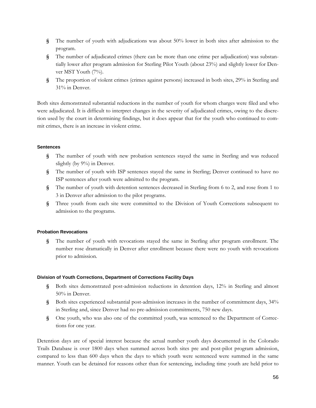- **§** The number of youth with adjudications was about 50% lower in both sites after admission to the program.
- **§** The number of adjudicated crimes (there can be more than one crime per adjudication) was substantially lower after program admission for Sterling Pilot Youth (about 23%) and slightly lower for Denver MST Youth (7%).
- **§** The proportion of violent crimes (crimes against persons) increased in both sites, 29% in Sterling and 31% in Denver.

Both sites demonstrated substantial reductions in the number of youth for whom charges were filed and who were adjudicated. It is difficult to interpret changes in the severity of adjudicated crimes, owing to the discretion used by the court in determining findings, but it does appear that for the youth who continued to commit crimes, there is an increase in violent crime.

### **Sentences**

- **§** The number of youth with new probation sentences stayed the same in Sterling and was reduced slightly (by 9%) in Denver.
- **§** The number of youth with ISP sentences stayed the same in Sterling; Denver continued to have no ISP sentences after youth were admitted to the program.
- **§** The number of youth with detention sentences decreased in Sterling from 6 to 2, and rose from 1 to 3 in Denver after admission to the pilot programs.
- **§** Three youth from each site were committed to the Division of Youth Corrections subsequent to admission to the programs.

### **Probation Revocations**

**§** The number of youth with revocations stayed the same in Sterling after program enrollment. The number rose dramatically in Denver after enrollment because there were no youth with revocations prior to admission.

### **Division of Youth Corrections, Department of Corrections Facility Days**

- **§** Both sites demonstrated post-admission reductions in detention days, 12% in Sterling and almost 50% in Denver.
- **§** Both sites experienced substantial post-admission increases in the number of commitment days, 34% in Sterling and, since Denver had no pre-admission commitments, 750 new days.
- **§** One youth, who was also one of the committed youth, was sentenced to the Department of Corrections for one year.

Detention days are of special interest because the actual number youth days documented in the Colorado Trails Database is over 1800 days when summed across both sites pre and post-pilot program admission, compared to less than 600 days when the days to which youth were sentenced were summed in the same manner. Youth can be detained for reasons other than for sentencing, including time youth are held prior to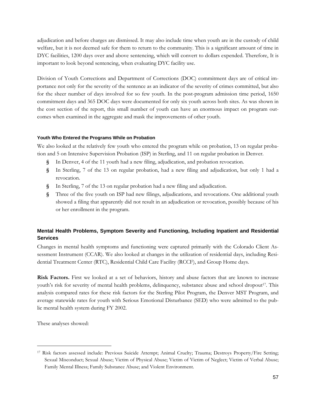adjudication and before charges are dismissed. It may also include time when youth are in the custody of child welfare, but it is not deemed safe for them to return to the community. This is a significant amount of time in DYC facilities, 1200 days over and above sentencing, which will convert to dollars expended. Therefore, It is important to look beyond sentencing, when evaluating DYC facility use.

Division of Youth Corrections and Department of Corrections (DOC) commitment days are of critical importance not only for the severity of the sentence as an indicator of the severity of crimes committed, but also for the sheer number of days involved for so few youth. In the post-program admission time period, 1650 commitment days and 365 DOC days were documented for only six youth across both sites. As was shown in the cost section of the report, this small number of youth can have an enormous impact on program outcomes when examined in the aggregate and mask the improvements of other youth.

### **Youth Who Entered the Programs While on Probation**

We also looked at the relatively few youth who entered the program while on probation, 13 on regular probation and 5 on Intensive Supervision Probation (ISP) in Sterling, and 11 on regular probation in Denver.

- **§** In Denver, 4 of the 11 youth had a new filing, adjudication, and probation revocation.
- **§** In Sterling, 7 of the 13 on regular probation, had a new filing and adjudication, but only 1 had a revocation.
- **§** In Sterling, 7 of the 13 on regular probation had a new filing and adjudication.
- **§** Three of the five youth on ISP had new filings, adjudications, and revocations. One additional youth showed a filing that apparently did not result in an adjudication or revocation, possibly because of his or her enrollment in the program.

## **Mental Health Problems, Symptom Severity and Functioning, Including Inpatient and Residential Services**

Changes in mental health symptoms and functioning were captured primarily with the Colorado Client Assessment Instrument (CCAR). We also looked at changes in the utilization of residential days, including Residential Treatment Center (RTC), Residential Child Care Facility (RCCF), and Group Home days.

**Risk Factors.** First we looked at a set of behaviors, history and abuse factors that are known to increase youth's risk for severity of mental health problems, delinquency, substance abuse and school dropout<sup>17</sup>. This analysis compared rates for these risk factors for the Sterling Pilot Program, the Denver MST Program, and average statewide rates for youth with Serious Emotional Disturbance (SED) who were admitted to the public mental health system during FY 2002.

These analyses showed:

<u>.</u>

<sup>17</sup> Risk factors assessed include: Previous Suicide Attempt; Animal Cruelty; Trauma; Destroys Property/Fire Setting; Sexual Misconduct; Sexual Abuse; Victim of Physical Abuse; Victim of Victim of Neglect; Victim of Verbal Abuse; Family Mental Illness; Family Substance Abuse; and Violent Environment.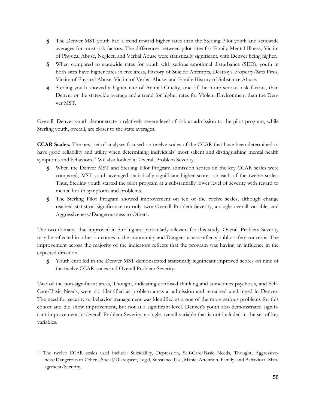- **§** The Denver MST youth had a trend toward higher rates than the Sterling Pilot youth and statewide averages for most risk factors. The differences between pilot sites for Family Mental Illness, Victim of Physical Abuse, Neglect, and Verbal Abuse were statistically significant, with Denver being higher.
- **§** When compared to statewide rates for youth with serious emotional disturbance (SED), youth in both sites have higher rates in five areas, History of Suicide Attempts, Destroys Property/Sets Fires, Victim of Physical Abuse, Victim of Verbal Abuse, and Family History of Substance Abuse.
- **§** Sterling youth showed a higher rate of Animal Cruelty, one of the more serious risk factors, than Denver or the statewide average and a trend for higher rates for Violent Environment than the Denver MST.

Overall, Denver youth demonstrate a relatively severe level of risk at admission to the pilot program, while Sterling youth, overall, are closer to the state averages.

**CCAR Scales.** The next set of analyses focused on twelve scales of the CCAR that have been determined to have good reliability and utility when determining individuals' most salient and distinguishing mental health symptoms and behaviors.18 We also looked at Overall Problem Severity.

- **§** When the Denver MST and Sterling Pilot Program admission scores on the key CCAR scales were compared, MST youth averaged statistically significant higher scores on each of the twelve scales. Thus, Sterling youth started the pilot program at a substantially lower level of severity with regard to mental health symptoms and problems.
- **§** The Sterling Pilot Program showed improvement on ten of the twelve scales, although change reached statistical significance on only two: Overall Problem Severity, a single overall variable, and Aggressiveness/Dangerousness to Others.

The two domains that improved in Sterling are particularly relevant for this study. Overall Problem Severity may be reflected in other outcomes in the community and Dangerousness reflects public safety concerns. The improvement across the majority of the indicators reflects that the program was having an influence in the expected direction.

**§** Youth enrolled in the Denver MST demonstrated statistically significant improved scores on nine of the twelve CCAR scales and Overall Problem Severity.

Two of the non-significant areas, Thought, indicating confused thinking and sometimes psychosis, and Self-Care/Basic Needs, were not identified as problem areas at admission and remained unchanged in Denver. The need for security or behavior management was identified as a one of the more serious problems for this cohort and did show improvement, but not at a significant level. Denver's youth also demonstrated significant improvement in Overall Problem Severity, a single overall variable that is not included in the set of key variables.

<u>.</u>

<sup>18</sup> The twelve CCAR scales used include: Suicidalilty, Depression, Self-Care/Basic Needs, Thought, Aggressiveness/Dangerous to Others, Social/Disrespect, Legal, Substance Use, Manic, Attention, Family, and Behavioral Management/Security.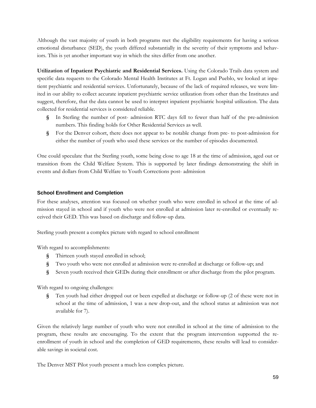Although the vast majority of youth in both programs met the eligibility requirements for having a serious emotional disturbance (SED), the youth differed substantially in the severity of their symptoms and behaviors. This is yet another important way in which the sites differ from one another.

**Utilization of Inpatient Psychiatric and Residential Services.** Using the Colorado Trails data system and specific data requests to the Colorado Mental Health Institutes at Ft. Logan and Pueblo, we looked at inpatient psychiatric and residential services. Unfortunately, because of the lack of required releases, we were limited in our ability to collect accurate inpatient psychiatric service utilization from other than the Institutes and suggest, therefore, that the data cannot be used to interpret inpatient psychiatric hospital utilization. The data collected for residential services is considered reliable.

- **§** In Sterling the number of post- admission RTC days fell to fewer than half of the pre-admission numbers. This finding holds for Other Residential Services as well.
- **§** For the Denver cohort, there does not appear to be notable change from pre- to post-admission for either the number of youth who used these services or the number of episodes documented.

One could speculate that the Sterling youth, some being close to age 18 at the time of admission, aged out or transition from the Child Welfare System. This is supported by later findings demonstrating the shift in events and dollars from Child Welfare to Youth Corrections post- admission

## **School Enrollment and Completion**

For these analyses, attention was focused on whether youth who were enrolled in school at the time of admission stayed in school and if youth who were not enrolled at admission later re-enrolled or eventually received their GED. This was based on discharge and follow-up data.

Sterling youth present a complex picture with regard to school enrollment

With regard to accomplishments:

- **§** Thirteen youth stayed enrolled in school;
- **§** Two youth who were not enrolled at admission were re-enrolled at discharge or follow-up; and
- **§** Seven youth received their GEDs during their enrollment or after discharge from the pilot program.

With regard to ongoing challenges:

**§** Ten youth had either dropped out or been expelled at discharge or follow-up (2 of these were not in school at the time of admission, 1 was a new drop-out, and the school status at admission was not available for 7).

Given the relatively large number of youth who were not enrolled in school at the time of admission to the program, these results are encouraging. To the extent that the program intervention supported the reenrollment of youth in school and the completion of GED requirements, these results will lead to considerable savings in societal cost.

The Denver MST Pilot youth present a much less complex picture.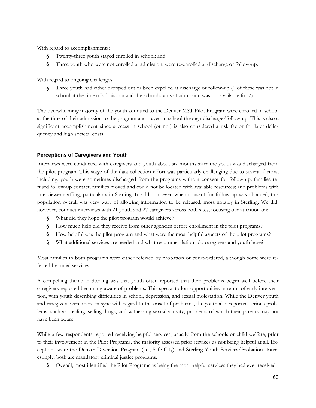With regard to accomplishments:

- **§** Twenty-three youth stayed enrolled in school; and
- **§** Three youth who were not enrolled at admission, were re-enrolled at discharge or follow-up.

With regard to ongoing challenges:

**§** Three youth had either dropped out or been expelled at discharge or follow-up (1 of these was not in school at the time of admission and the school status at admission was not available for 2).

The overwhelming majority of the youth admitted to the Denver MST Pilot Program were enrolled in school at the time of their admission to the program and stayed in school through discharge/follow-up. This is also a significant accomplishment since success in school (or not) is also considered a risk factor for later delinquency and high societal costs.

### **Perceptions of Caregivers and Youth**

Interviews were conducted with caregivers and youth about six months after the youth was discharged from the pilot program. This stage of the data collection effort was particularly challenging due to several factors, including: youth were sometimes discharged from the programs without consent for follow-up; families refused follow-up contact; families moved and could not be located with available resources; and problems with interviewer staffing, particularly in Sterling. In addition, even when consent for follow-up was obtained, this population overall was very wary of allowing information to be released, most notably in Sterling. We did, however, conduct interviews with 21 youth and 27 caregivers across both sites, focusing our attention on:

- **§** What did they hope the pilot program would achieve?
- **§** How much help did they receive from other agencies before enrollment in the pilot programs?
- **§** How helpful was the pilot program and what were the most helpful aspects of the pilot programs?
- **§** What additional services are needed and what recommendations do caregivers and youth have?

Most families in both programs were either referred by probation or court-ordered, although some were referred by social services.

A compelling theme in Sterling was that youth often reported that their problems began well before their caregivers reported becoming aware of problems. This speaks to lost opportunities in terms of early intervention, with youth describing difficulties in school, depression, and sexual molestation. While the Denver youth and caregivers were more in sync with regard to the onset of problems, the youth also reported serious problems, such as stealing, selling drugs, and witnessing sexual activity, problems of which their parents may not have been aware.

While a few respondents reported receiving helpful services, usually from the schools or child welfare, prior to their involvement in the Pilot Programs, the majority assessed prior services as not being helpful at all. Exceptions were the Denver Diversion Program (i.e., Safe City) and Sterling Youth Services/Probation. Interestingly, both are mandatory criminal justice programs.

**§** Overall, most identified the Pilot Programs as being the most helpful services they had ever received.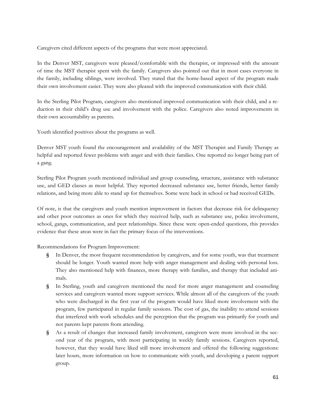Caregivers cited different aspects of the programs that were most appreciated.

In the Denver MST, caregivers were pleased/comfortable with the therapist, or impressed with the amount of time the MST therapist spent with the family. Caregivers also pointed out that in most cases everyone in the family, including siblings, were involved. They stated that the home-based aspect of the program made their own involvement easier. They were also pleased with the improved communication with their child.

In the Sterling Pilot Program, caregivers also mentioned improved communication with their child, and a reduction in their child's drug use and involvement with the police. Caregivers also noted improvements in their own accountability as parents.

Youth identified positives about the programs as well.

Denver MST youth found the encouragement and availability of the MST Therapist and Family Therapy as helpful and reported fewer problems with anger and with their families. One reported no longer being part of a gang.

Sterling Pilot Program youth mentioned individual and group counseling, structure, assistance with substance use, and GED classes as most helpful. They reported decreased substance use, better friends, better family relations, and being more able to stand up for themselves. Some were back in school or had received GEDs.

Of note, is that the caregivers and youth mention improvement in factors that decrease risk for delinquency and other poor outcomes as ones for which they received help, such as substance use, police involvement, school, gangs, communication, and peer relationships. Since these were open-ended questions, this provides evidence that these areas were in fact the primary focus of the interventions.

Recommendations for Program Improvement:

- **§** In Denver, the most frequent recommendation by caregivers, and for some youth, was that treatment should be longer. Youth wanted more help with anger management and dealing with personal loss. They also mentioned help with finances, more therapy with families, and therapy that included animals.
- **§** In Sterling, youth and caregivers mentioned the need for more anger management and counseling services and caregivers wanted more support services. While almost all of the caregivers of the youth who were discharged in the first year of the program would have liked more involvement with the program, few participated in regular family sessions. The cost of gas, the inability to attend sessions that interfered with work schedules and the perception that the program was primarily for youth and not parents kept parents from attending.
- **§** As a result of changes that increased family involvement, caregivers were more involved in the second year of the program, with most participating in weekly family sessions. Caregivers reported, however, that they would have liked still more involvement and offered the following suggestions: later hours, more information on how to communicate with youth, and developing a parent support group.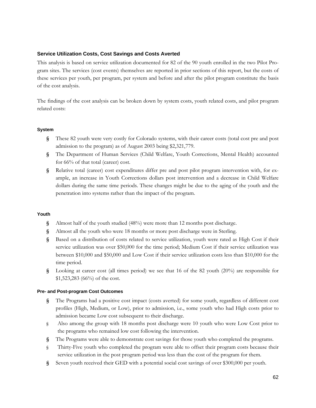#### **Service Utilization Costs, Cost Savings and Costs Averted**

This analysis is based on service utilization documented for 82 of the 90 youth enrolled in the two Pilot Program sites. The services (cost events) themselves are reported in prior sections of this report, but the costs of these services per youth, per program, per system and before and after the pilot program constitute the basis of the cost analysis.

The findings of the cost analysis can be broken down by system costs, youth related costs, and pilot program related costs:

#### **System**

- **§** These 82 youth were very costly for Colorado systems, with their career costs (total cost pre and post admission to the program) as of August 2003 being \$2,321,779.
- **§** The Department of Human Services (Child Welfare, Youth Corrections, Mental Health) accounted for 66% of that total (career) cost.
- **§** Relative total (career) cost expenditures differ pre and post pilot program intervention with, for example, an increase in Youth Corrections dollars post intervention and a decrease in Child Welfare dollars during the same time periods. These changes might be due to the aging of the youth and the penetration into systems rather than the impact of the program.

#### **Youth**

- **§** Almost half of the youth studied (48%) were more than 12 months post discharge.
- **§** Almost all the youth who were 18 months or more post discharge were in Sterling.
- **§** Based on a distribution of costs related to service utilization, youth were rated as High Cost if their service utilization was over \$50,000 for the time period; Medium Cost if their service utilization was between \$10,000 and \$50,000 and Low Cost if their service utilization costs less than \$10,000 for the time period.
- **§** Looking at career cost (all times period) we see that 16 of the 82 youth (20%) are responsible for \$1,523,283 (66%) of the cost.

#### **Pre- and Post-program Cost Outcomes**

- **§** The Programs had a positive cost impact (costs averted) for some youth, regardless of different cost profiles (High, Medium, or Low), prior to admission, i.e., some youth who had High costs prior to admission became Low cost subsequent to their discharge.
- § Also among the group with 18 months post discharge were 10 youth who were Low Cost prior to the programs who remained low cost following the intervention.
- **§** The Programs were able to demonstrate cost savings for those youth who completed the programs.
- § Thirty-Five youth who completed the program were able to offset their program costs because their service utilization in the post program period was less than the cost of the program for them.
- **§** Seven youth received their GED with a potential social cost savings of over \$300,000 per youth.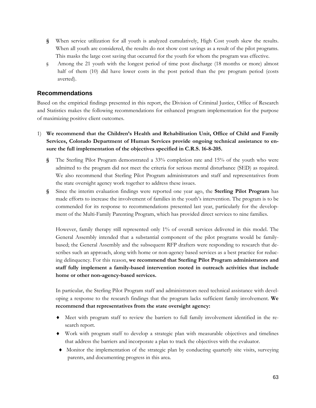- **§** When service utilization for all youth is analyzed cumulatively, High Cost youth skew the results. When all youth are considered, the results do not show cost savings as a result of the pilot programs. This masks the large cost saving that occurred for the youth for whom the program was effective.
- § Among the 21 youth with the longest period of time post discharge (18 months or more) almost half of them (10) did have lower costs in the post period than the pre program period (costs averted).

# **Recommendations**

Based on the empirical findings presented in this report, the Division of Criminal Justice, Office of Research and Statistics makes the following recommendations for enhanced program implementation for the purpose of maximizing positive client outcomes.

- 1) **We recommend that the Children's Health and Rehabilitation Unit, Office of Child and Family Services, Colorado Department of Human Services provide ongoing technical assistance to ensure the full implementation of the objectives specified in C.R.S. 16-8-205.** 
	- **§** The Sterling Pilot Program demonstrated a 33% completion rate and 15% of the youth who were admitted to the program did not meet the criteria for serious mental disturbance (SED) as required. We also recommend that Sterling Pilot Program administrators and staff and representatives from the state oversight agency work together to address these issues.
	- **§** Since the interim evaluation findings were reported one year ago, the **Sterling Pilot Program** has made efforts to increase the involvement of families in the youth's intervention. The program is to be commended for its response to recommendations presented last year, particularly for the development of the Multi-Family Parenting Program, which has provided direct services to nine families.

However, family therapy still represented only 1% of overall services delivered in this model. The General Assembly intended that a substantial component of the pilot programs would be familybased; the General Assembly and the subsequent RFP drafters were responding to research that describes such an approach, along with home or non-agency based services as a best practice for reducing delinquency. For this reason, **we recommend that Sterling Pilot Program administrators and staff fully implement a family-based intervention rooted in outreach activities that include home or other non-agency-based services.** 

In particular, the Sterling Pilot Program staff and administrators need technical assistance with developing a response to the research findings that the program lacks sufficient family involvement. **We recommend that representatives from the state oversight agency:**

- ♦ Meet with program staff to review the barriers to full family involvement identified in the research report.
- ♦ Work with program staff to develop a strategic plan with measurable objectives and timelines that address the barriers and incorporate a plan to track the objectives with the evaluator.
- ♦ Monitor the implementation of the strategic plan by conducting quarterly site visits, surveying parents, and documenting progress in this area.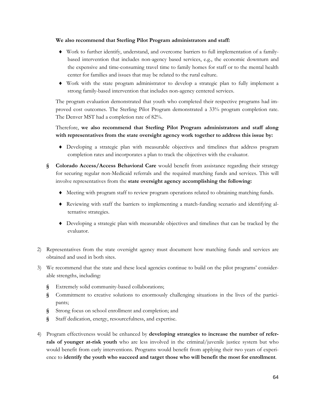#### **We also recommend that Sterling Pilot Program administrators and staff:**

- ♦ Work to further identify, understand, and overcome barriers to full implementation of a familybased intervention that includes non-agency based services, e.g., the economic downturn and the expensive and time-consuming travel time to family homes for staff or to the mental health center for families and issues that may be related to the rural culture.
- ♦ Work with the state program administrator to develop a strategic plan to fully implement a strong family-based intervention that includes non-agency centered services.

The program evaluation demonstrated that youth who completed their respective programs had improved cost outcomes. The Sterling Pilot Program demonstrated a 33% program completion rate. The Denver MST had a completion rate of 82%.

## Therefore, **we also recommend that Sterling Pilot Program administrators and staff along with representatives from the state oversight agency work together to address this issue by:**

- ♦ Developing a strategic plan with measurable objectives and timelines that address program completion rates and incorporates a plan to track the objectives with the evaluator.
- **§ Colorado Access/Access Behavioral Care** would benefit from assistance regarding their strategy for securing regular non-Medicaid referrals and the required matching funds and services. This will involve representatives from the **state oversight agency accomplishing the following:**
	- ♦ Meeting with program staff to review program operations related to obtaining matching funds.
	- ♦ Reviewing with staff the barriers to implementing a match-funding scenario and identifying alternative strategies.
	- ♦ Developing a strategic plan with measurable objectives and timelines that can be tracked by the evaluator.
- 2) Representatives from the state oversight agency must document how matching funds and services are obtained and used in both sites.
- 3) We recommend that the state and these local agencies continue to build on the pilot programs' considerable strengths, including:
	- **§** Extremely solid community-based collaborations;
	- **§** Commitment to creative solutions to enormously challenging situations in the lives of the participants;
	- **§** Strong focus on school enrollment and completion; and
	- **§** Staff dedication, energy, resourcefulness, and expertise.
- 4) Program effectiveness would be enhanced by **developing strategies to increase the number of referrals of younger at-risk youth** who are less involved in the criminal/juvenile justice system but who would benefit from early interventions. Programs would benefit from applying their two years of experience to **identify the youth who succeed and target those who will benefit the most for enrollment**.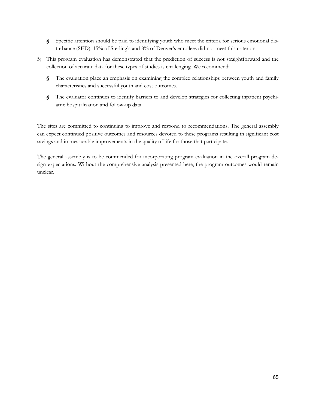- **§** Specific attention should be paid to identifying youth who meet the criteria for serious emotional disturbance (SED); 15% of Sterling's and 8% of Denver's enrollees did not meet this criterion.
- 5) This program evaluation has demonstrated that the prediction of success is not straightforward and the collection of accurate data for these types of studies is challenging. We recommend:
	- **§** The evaluation place an emphasis on examining the complex relationships between youth and family characteristics and successful youth and cost outcomes.
	- **§** The evaluator continues to identify barriers to and develop strategies for collecting inpatient psychiatric hospitalization and follow-up data.

The sites are committed to continuing to improve and respond to recommendations. The general assembly can expect continued positive outcomes and resources devoted to these programs resulting in significant cost savings and immeasurable improvements in the quality of life for those that participate.

The general assembly is to be commended for incorporating program evaluation in the overall program design expectations. Without the comprehensive analysis presented here, the program outcomes would remain unclear.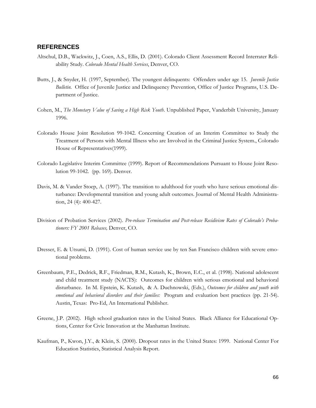### **REFERENCES**

- Altschul, D.B., Wackwitz, J., Coen, A.S., Ellis, D. (2001). Colorado Client Assessment Record Interrater Reliability Study. *Colorado Mental Health Services*, Denver, CO.
- Butts, J., & Snyder, H. (1997, September). The youngest delinquents: Offenders under age 15. *Juvenile Justice Bulletin.* Office of Juvenile Justice and Delinquency Prevention, Office of Justice Programs, U.S. Department of Justice.
- Cohen, M., *The Monetary Value of Saving a High Risk Youth*. Unpublished Paper, Vanderbilt University, January 1996.
- Colorado House Joint Resolution 99-1042. Concerning Creation of an Interim Committee to Study the Treatment of Persons with Mental Illness who are Involved in the Criminal Justice System., Colorado House of Representatives(1999).
- Colorado Legislative Interim Committee (1999). Report of Recommendations Pursuant to House Joint Resolution 99-1042. (pp. 169). Denver.
- Davis, M. & Vander Stoep, A. (1997). The transition to adulthood for youth who have serious emotional disturbance: Developmental transition and young adult outcomes. Journal of Mental Health Administration, 24 (4): 400-427.
- Division of Probation Services (2002). *Pre-release Termination and Post-release Recidivism Rates of Colorado's Probationers: FY 2001 Releases,* Denver, CO.
- Dresser, E. & Utsumi, D. (1991). Cost of human service use by ten San Francisco children with severe emotional problems.
- Greenbaum, P.E., Dedrick, R.F., Friedman, R.M., Kutash, K., Brown, E.C., et al. (1998). National adolescent and child treatment study (NACTS): Outcomes for children with serious emotional and behavioral disturbance. In M. Epstein, K. Kutash, & A. Duchnowski, (Eds.), *Outcomes for children and youth with emotional and behavioral disorders and their families:* Program and evaluation best practices (pp. 21-54). Austin, Texas: Pro-Ed, An International Publisher.
- Greene, J.P. (2002). High school graduation rates in the United States. Black Alliance for Educational Options, Center for Civic Innovation at the Manhattan Institute.
- Kaufman, P., Kwon, J.Y., & Klein, S. (2000). Dropout rates in the United States: 1999. National Center For Education Statistics, Statistical Analysis Report.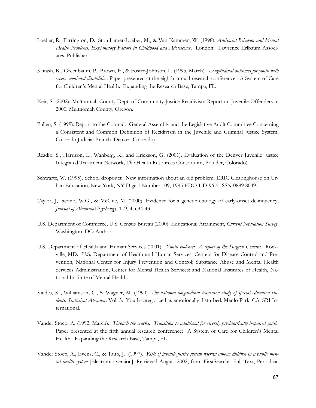- Loeber, R., Farrington, D., Stouthamer-Loeber, M., & Van Kammen, W. (1998). *Antisocial Behavior and Mental Health Problems, Explanatory Factors in Childhood and Adolescence*. London: Lawrence Erlbaum Associates, Publishers.
- Kutash, K., Greenbaum, P., Brown, E., & Foster-Johnson, L. (1995, March). *Longitudinal outcomes for youth with severe emotional disabilities*. Paper presented at the eighth annual research conference: A System of Care for Children's Mental Health: Expanding the Research Base, Tampa, FL.
- Keir, S. (2002). Multnomah County Dept. of Community Justice Recidivism Report on Juvenile Offenders in 2000, Multnomah County, Oregon.
- Pullen, S. (1999). Report to the Colorado General Assembly and the Legislative Audit Committee Concerning a Consistent and Common Definition of Recidivism in the Juvenile and Criminal Justice System, Colorado Judicial Branch, Denver, Colorado).
- Readio, S., Harrison, L., Wanberg, K., and Erickson, G. (2001). Evaluation of the Denver Juvenile Justice Integrated Treatment Network, The Health Resources Consortium, Boulder, Colorado).
- Schwartz, W. (1995). School dropouts: New information about an old problem. ERIC Clearinghouse on Urban Education, New York, NY Digest Number 109, 1995 EDO-UD-96-5 ISSN 0889 8049.
- Taylor, J, Iacono, W.G., & McGue, M. (2000). Evidence for a genetic etiology of early-onset delinquency, *Journal of Abnormal Psychology*, 109, 4, 634-43.
- U.S. Department of Commerce, U.S. Census Bureau (2000). Educational Attainment, *Current Population Survey*. Washington, DC: Author
- U.S. Department of Health and Human Services (2001). *Youth violence: A report of the Surgeon General*. Rockville, MD: U.S. Department of Health and Human Services, Centers for Disease Control and Prevention, National Center for Injury Prevention and Control; Substance Abuse and Mental Health Services Administration, Center for Mental Health Services; and National Institutes of Health, National Institute of Mental Health.
- Valdes, K., Williamson, C., & Wagner, M. (1990). *The national longitudinal transition study of special education students. Statistical Almanac*: Vol. 3. Youth categorized as emotionally disturbed. Menlo Park, CA: SRI International.
- Vander Stoep, A. (1992, March). *Through the cracks: Transition to adulthood for severely psychiatrically impaired youth*. Paper presented at the fifth annual research conference: A System of Care for Children's Mental Health: Expanding the Research Base, Tampa, FL.
- Vander Stoep, A., Evens, C., & Taub, J. (1997). *Risk of juvenile justice system referral among children in a public mental health system* [Electronic version]. Retrieved August 2002, from FirstSearch: Full Text, Periodical